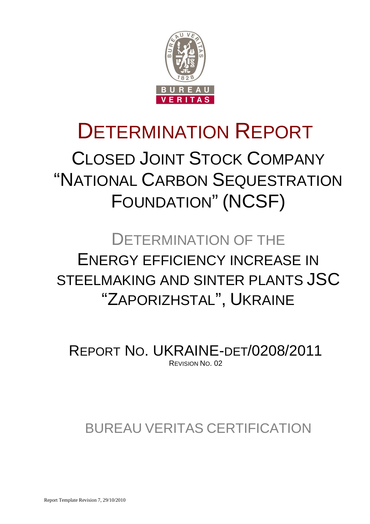

# DETERMINATION REPORT CLOSED JOINT STOCK COMPANY "NATIONAL CARBON SEQUESTRATION

FOUNDATION" (NCSF)

# DETERMINATION OF THE ENERGY EFFICIENCY INCREASE IN STEELMAKING AND SINTER PLANTS JSC "ZAPORIZHSTAL", UKRAINE

REPORT NO. UKRAINE-DET/0208/2011 REVISION NO. 02

# BUREAU VERITAS CERTIFICATION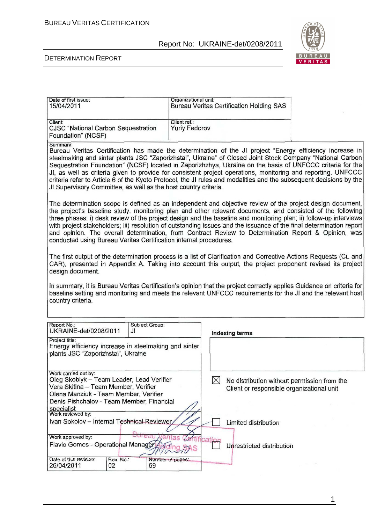

### DETERMINATION REPORT

| Date of first issue:                                                                                                                                                                                                            | Organizational unit: |                                                 |  |
|---------------------------------------------------------------------------------------------------------------------------------------------------------------------------------------------------------------------------------|----------------------|-------------------------------------------------|--|
| 15/04/2011                                                                                                                                                                                                                      |                      | <b>Bureau Veritas Certification Holding SAS</b> |  |
| Client:                                                                                                                                                                                                                         | Client ref.:         |                                                 |  |
| <b>CJSC "National Carbon Sequestration</b>                                                                                                                                                                                      | <b>Yuriy Fedorov</b> |                                                 |  |
| Foundation" (NCSF)                                                                                                                                                                                                              |                      |                                                 |  |
| Summary:                                                                                                                                                                                                                        |                      |                                                 |  |
| Bureau Veritas Certification has made the determination of the JI project "Energy efficiency increase in<br>steelmaking and sinter plants JSC "Zaporizhstal", Ukraine" of Closed Joint Stock Company "National Carbon           |                      |                                                 |  |
| Sequestration Foundation" (NCSF) located in Zaporizhzhya, Ukraine on the basis of UNFCCC criteria for the                                                                                                                       |                      |                                                 |  |
| JI, as well as criteria given to provide for consistent project operations, monitoring and reporting. UNFCCC                                                                                                                    |                      |                                                 |  |
| criteria refer to Article 6 of the Kyoto Protocol, the JI rules and modalities and the subsequent decisions by the                                                                                                              |                      |                                                 |  |
| JI Supervisory Committee, as well as the host country criteria.                                                                                                                                                                 |                      |                                                 |  |
|                                                                                                                                                                                                                                 |                      |                                                 |  |
| The determination scope is defined as an independent and objective review of the project design document,                                                                                                                       |                      |                                                 |  |
| the project's baseline study, monitoring plan and other relevant documents, and consisted of the following<br>three phases: i) desk review of the project design and the baseline and monitoring plan; ii) follow-up interviews |                      |                                                 |  |
| with project stakeholders; iii) resolution of outstanding issues and the issuance of the final determination report                                                                                                             |                      |                                                 |  |
| and opinion. The overall determination, from Contract Review to Determination Report & Opinion, was                                                                                                                             |                      |                                                 |  |
| conducted using Bureau Veritas Certification internal procedures.                                                                                                                                                               |                      |                                                 |  |
|                                                                                                                                                                                                                                 |                      |                                                 |  |
| The first output of the determination process is a list of Clarification and Corrective Actions Requests (CL and                                                                                                                |                      |                                                 |  |
| CAR), presented in Appendix A. Taking into account this output, the project proponent revised its project<br>design document.                                                                                                   |                      |                                                 |  |
|                                                                                                                                                                                                                                 |                      |                                                 |  |
| In summary, it is Bureau Veritas Certification's opinion that the project correctly applies Guidance on criteria for                                                                                                            |                      |                                                 |  |
| baseline setting and monitoring and meets the relevant UNFCCC requirements for the JI and the relevant host                                                                                                                     |                      |                                                 |  |
| country criteria.                                                                                                                                                                                                               |                      |                                                 |  |
|                                                                                                                                                                                                                                 |                      |                                                 |  |
| Report No.:<br><b>Subject Group:</b>                                                                                                                                                                                            |                      |                                                 |  |
| UKRAINE-det/0208/2011<br>JI                                                                                                                                                                                                     |                      | <b>Indexing terms</b>                           |  |
| Project title:                                                                                                                                                                                                                  |                      |                                                 |  |
| Energy efficiency increase in steelmaking and sinter<br>plants JSC "Zaporizhstal", Ukraine                                                                                                                                      |                      |                                                 |  |
|                                                                                                                                                                                                                                 |                      |                                                 |  |
|                                                                                                                                                                                                                                 |                      |                                                 |  |
| Work carried out by:<br>Oleg Skoblyk - Team Leader, Lead Verifier                                                                                                                                                               | $\boxtimes$          | No distribution without permission from the     |  |
| Vera Skitina - Team Member, Verifier                                                                                                                                                                                            |                      | Client or responsible organizational unit       |  |
| Olena Manziuk - Team Member, Verifier                                                                                                                                                                                           |                      |                                                 |  |
| Denis Pishchalov - Team Member, Financial                                                                                                                                                                                       |                      |                                                 |  |
| specialist<br>Work reviewed by:                                                                                                                                                                                                 |                      |                                                 |  |
| Ivan Sokolov - Internal Technical Reviewer<br>Limited distribution                                                                                                                                                              |                      |                                                 |  |
|                                                                                                                                                                                                                                 |                      |                                                 |  |
| Work approved by:<br>ano                                                                                                                                                                                                        |                      |                                                 |  |
| Flavio Gomes - Operational Manager                                                                                                                                                                                              |                      | Unrestricted distribution                       |  |
| Date of this revision:<br>Rev. No.:<br>26/04/2011<br>02<br>69                                                                                                                                                                   | Number of pages:     |                                                 |  |

1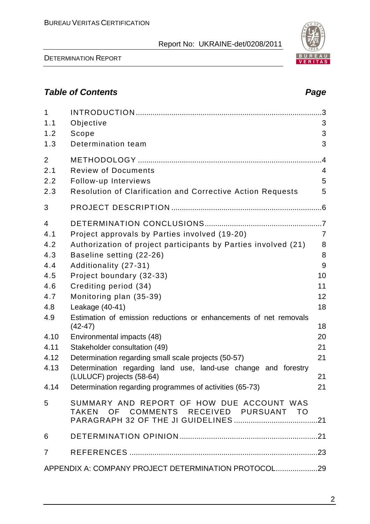DETERMINATION REPORT

# **Table of Contents Page 2018**

| $\mathbf{1}$   |                                                                                             | .3             |
|----------------|---------------------------------------------------------------------------------------------|----------------|
| 1.1            | Objective                                                                                   | 3              |
| 1.2            | Scope                                                                                       | 3              |
| 1.3            | Determination team                                                                          | 3              |
| 2              |                                                                                             | $\overline{A}$ |
| 2.1            | <b>Review of Documents</b>                                                                  | 4              |
| 2.2            | Follow-up Interviews                                                                        | 5              |
| 2.3            | <b>Resolution of Clarification and Corrective Action Requests</b>                           | 5              |
| 3              |                                                                                             |                |
| $\overline{4}$ |                                                                                             |                |
| 4.1            | Project approvals by Parties involved (19-20)                                               | $\overline{7}$ |
| 4.2            | Authorization of project participants by Parties involved (21)                              | 8              |
| 4.3            | Baseline setting (22-26)                                                                    | 8              |
| 4.4            | Additionality (27-31)                                                                       | 9              |
| 4.5            | Project boundary (32-33)                                                                    | 10             |
| 4.6            | Crediting period (34)                                                                       | 11             |
| 4.7            | Monitoring plan (35-39)                                                                     | 12             |
| 4.8            | Leakage (40-41)                                                                             | 18             |
| 4.9            | Estimation of emission reductions or enhancements of net removals<br>$(42-47)$              | 18             |
| 4.10           | Environmental impacts (48)                                                                  | 20             |
| 4.11           | Stakeholder consultation (49)                                                               | 21             |
| 4.12           | Determination regarding small scale projects (50-57)                                        | 21             |
| 4.13           | Determination regarding land use, land-use change and forestry<br>(LULUCF) projects (58-64) | 21             |
| 4.14           | Determination regarding programmes of activities (65-73)                                    | 21             |
| 5              | SUMMARY AND REPORT OF HOW DUE ACCOUNT WAS<br>TAKEN OF COMMENTS RECEIVED PURSUANT TO         |                |
| 6              |                                                                                             |                |
| $\overline{7}$ |                                                                                             |                |
|                | APPENDIX A: COMPANY PROJECT DETERMINATION PROTOCOL29                                        |                |

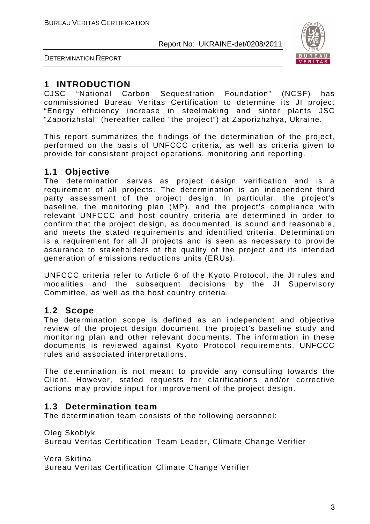



# **1 INTRODUCTION**

CJSC "National Carbon Sequestration Foundation" (NCSF) has commissioned Bureau Veritas Certification to determine its JI project "Energy efficiency increase in steelmaking and sinter plants JSC "Zaporizhstal" (hereafter called "the project") at Zaporizhzhya, Ukraine.

This report summarizes the findings of the determination of the project, performed on the basis of UNFCCC criteria, as well as criteria given to provide for consistent project operations, monitoring and reporting.

# **1.1 Objective**

The determination serves as project design verification and is a requirement of all projects. The determination is an independent third party assessment of the project design. In particular, the project's baseline, the monitoring plan (MP), and the project's compliance with relevant UNFCCC and host country criteria are determined in order to confirm that the project design, as documented, is sound and reasonable, and meets the stated requirements and identified criteria. Determination is a requirement for all JI projects and is seen as necessary to provide assurance to stakeholders of the quality of the project and its intended generation of emissions reductions units (ERUs).

UNFCCC criteria refer to Article 6 of the Kyoto Protocol, the JI rules and modalities and the subsequent decisions by the JI Supervisory Committee, as well as the host country criteria.

# **1.2 Scope**

The determination scope is defined as an independent and objective review of the project design document, the project's baseline study and monitoring plan and other relevant documents. The information in these documents is reviewed against Kyoto Protocol requirements, UNFCCC rules and associated interpretations.

The determination is not meant to provide any consulting towards the Client. However, stated requests for clarifications and/or corrective actions may provide input for improvement of the project design.

# **1.3 Determination team**

The determination team consists of the following personnel:

Oleg Skoblyk

Bureau Veritas Certification Team Leader, Climate Change Verifier

Vera Skitina

Bureau Veritas Certification Climate Change Verifier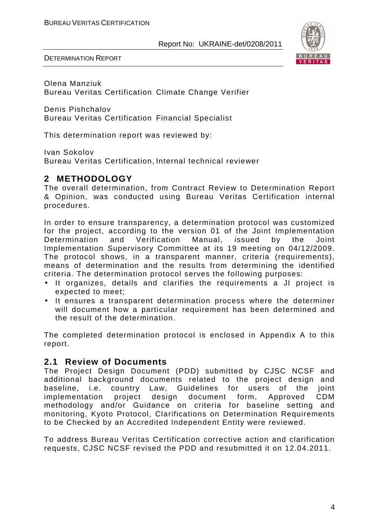

DETERMINATION REPORT

Olena Manziuk Bureau Veritas Certification Climate Change Verifier

Denis Pishchalov Bureau Veritas Certification Financial Specialist

This determination report was reviewed by:

Ivan Sokolov

Bureau Veritas Certification, Internal technical reviewer

# **2 METHODOLOGY**

The overall determination, from Contract Review to Determination Report & Opinion, was conducted using Bureau Veritas Certification internal procedures.

In order to ensure transparency, a determination protocol was customized for the project, according to the version 01 of the Joint Implementation Determination and Verification Manual, issued by the Joint Implementation Supervisory Committee at its 19 meeting on 04/12/2009. The protocol shows, in a transparent manner, criteria (requirements), means of determination and the results from determining the identified criteria. The determination protocol serves the following purposes:

- It organizes, details and clarifies the requirements a JI project is expected to meet;
- It ensures a transparent determination process where the determiner will document how a particular requirement has been determined and the result of the determination.

The completed determination protocol is enclosed in Appendix A to this report.

# **2.1 Review of Documents**

The Project Design Document (PDD) submitted by CJSC NCSF and additional background documents related to the project design and baseline, i.e. country Law, Guidelines for users of the joint implementation project design document form, Approved CDM methodology and/or Guidance on criteria for baseline setting and monitoring, Kyoto Protocol, Clarifications on Determination Requirements to be Checked by an Accredited Independent Entity were reviewed.

To address Bureau Veritas Certification corrective action and clarification requests, CJSC NCSF revised the PDD and resubmitted it on 12.04.2011.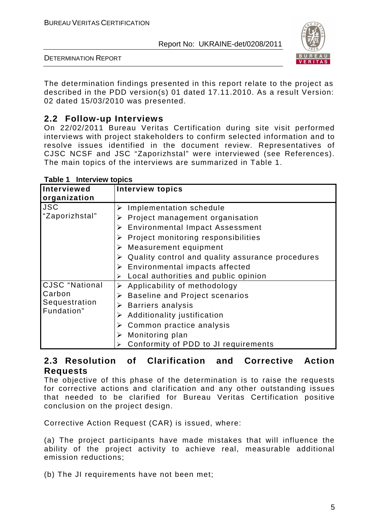

DETERMINATION REPORT

The determination findings presented in this report relate to the project as described in the PDD version(s) 01 dated 17.11.2010. As a result Version: 02 dated 15/03/2010 was presented.

# **2.2 Follow-up Interviews**

On 22/02/2011 Bureau Veritas Certification during site visit performed interviews with project stakeholders to confirm selected information and to resolve issues identified in the document review. Representatives of CJSC NCSF and JSC "Zaporizhstal" were interviewed (see References). The main topics of the interviews are summarized in Table 1.

| Interviewed<br>organization           | <b>Interview topics</b>                          |
|---------------------------------------|--------------------------------------------------|
|                                       |                                                  |
| <b>JSC</b>                            | Implementation schedule<br>➤                     |
| "Zaporizhstal"                        | Project management organisation<br>➤             |
|                                       | <b>Environmental Impact Assessment</b><br>➤      |
|                                       | Project monitoring responsibilities<br>➤         |
|                                       | Measurement equipment<br>➤                       |
|                                       | Quality control and quality assurance procedures |
|                                       | $\triangleright$ Environmental impacts affected  |
|                                       | Local authorities and public opinion<br>➤        |
| <b>CJSC</b> "National                 | Applicability of methodology<br>➤                |
| Carbon<br>Sequestration<br>Fundation" | <b>Baseline and Project scenarios</b><br>➤       |
|                                       | <b>Barriers analysis</b><br>➤                    |
|                                       | Additionality justification<br>➤                 |
|                                       | Common practice analysis<br>➤                    |
|                                       | Monitoring plan<br>➤                             |
|                                       | Conformity of PDD to JI requirements             |

### **Table 1 Interview topics**

# **2.3 Resolution of Clarification and Corrective Action Requests**

The objective of this phase of the determination is to raise the requests for corrective actions and clarification and any other outstanding issues that needed to be clarified for Bureau Veritas Certification positive conclusion on the project design.

Corrective Action Request (CAR) is issued, where:

(a) The project participants have made mistakes that will influence the ability of the project activity to achieve real, measurable additional emission reductions;

(b) The JI requirements have not been met;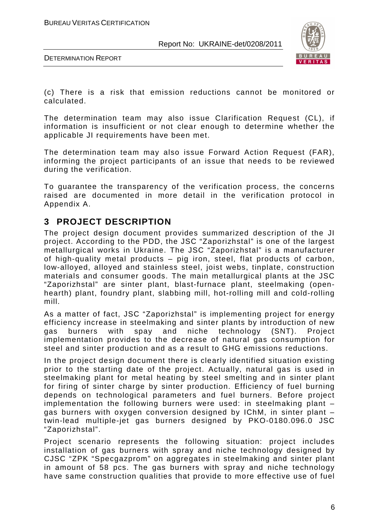

DETERMINATION REPORT

(c) There is a risk that emission reductions cannot be monitored or calculated.

The determination team may also issue Clarification Request (CL), if information is insufficient or not clear enough to determine whether the applicable JI requirements have been met.

The determination team may also issue Forward Action Request (FAR), informing the project participants of an issue that needs to be reviewed during the verification.

To guarantee the transparency of the verification process, the concerns raised are documented in more detail in the verification protocol in Appendix A.

# **3 PROJECT DESCRIPTION**

The project design document provides summarized description of the JI project. According to the PDD, the JSC "Zaporizhstal" is one of the largest metallurgical works in Ukraine. The JSC "Zaporizhstal" is a manufacturer of high-quality metal products – pig iron, steel, flat products of carbon, low-alloyed, alloyed and stainless steel, joist webs, tinplate, construction materials and consumer goods. The main metallurgical plants at the JSC "Zaporizhstal" are sinter plant, blast-furnace plant, steelmaking (openhearth) plant, foundry plant, slabbing mill, hot-rolling mill and cold-rolling mill.

As a matter of fact, JSC "Zaporizhstal" is implementing project for energy efficiency increase in steelmaking and sinter plants by introduction of new gas burners with spay and niche technology (SNT). Project implementation provides to the decrease of natural gas consumption for steel and sinter production and as a result to GHG emissions reductions.

In the project design document there is clearly identified situation existing prior to the starting date of the project. Actually, natural gas is used in steelmaking plant for metal heating by steel smelting and in sinter plant for firing of sinter charge by sinter production. Efficiency of fuel burning depends on technological parameters and fuel burners. Before project implementation the following burners were used: in steelmaking plant – gas burners with oxygen conversion designed by IChM, in sinter plant – twin-lead multiple-jet gas burners designed by PKO-0180.096.0 JSC "Zaporizhstal".

Project scenario represents the following situation: project includes installation of gas burners with spray and niche technology designed by CJSC "ZPK "Specgazprom" on aggregates in steelmaking and sinter plant in amount of 58 pcs. The gas burners with spray and niche technology have same construction qualities that provide to more effective use of fuel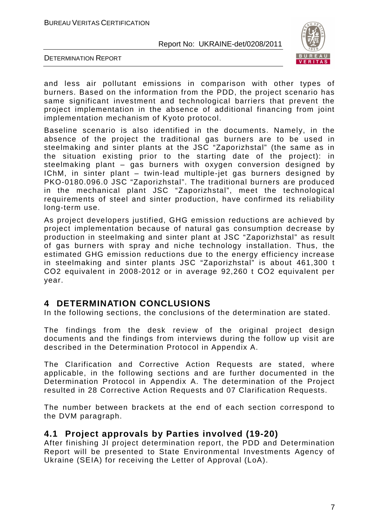

DETERMINATION REPORT

and less air pollutant emissions in comparison with other types of burners. Based on the information from the PDD, the project scenario has same significant investment and technological barriers that prevent the project implementation in the absence of additional financing from joint implementation mechanism of Kyoto protocol.

Baseline scenario is also identified in the documents. Namely, in the absence of the project the traditional gas burners are to be used in steelmaking and sinter plants at the JSC "Zaporizhstal" (the same as in the situation existing prior to the starting date of the project): in steelmaking plant – gas burners with oxygen conversion designed by IChM, in sinter plant – twin-lead multiple-jet gas burners designed by PKO-0180.096.0 JSC "Zaporizhstal". The traditional burners are produced in the mechanical plant JSC "Zaporizhstal", meet the technological requirements of steel and sinter production, have confirmed its reliability long-term use.

As project developers justified, GHG emission reductions are achieved by project implementation because of natural gas consumption decrease by production in steelmaking and sinter plant at JSC "Zaporizhstal" as result of gas burners with spray and niche technology installation. Thus, the estimated GHG emission reductions due to the energy efficiency increase in steelmaking and sinter plants JSC "Zaporizhstal" is about 461,300 t СО2 equivalent in 2008-2012 or in average 92,260 t СО2 equivalent per year.

# **4 DETERMINATION CONCLUSIONS**

In the following sections, the conclusions of the determination are stated.

The findings from the desk review of the original project design documents and the findings from interviews during the follow up visit are described in the Determination Protocol in Appendix A.

The Clarification and Corrective Action Requests are stated, where applicable, in the following sections and are further documented in the Determination Protocol in Appendix A. The determination of the Project resulted in 28 Corrective Action Requests and 07 Clarification Requests.

The number between brackets at the end of each section correspond to the DVM paragraph.

### **4.1 Project approvals by Parties involved (19-20)**

After finishing JI project determination report, the PDD and Determination Report will be presented to State Environmental Investments Agency of Ukraine (SEIA) for receiving the Letter of Approval (LoA).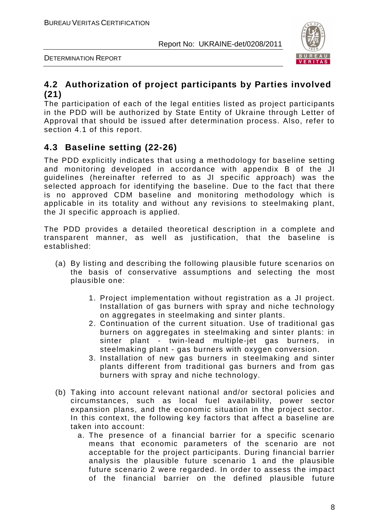

DETERMINATION REPORT

# **4.2 Authorization of project participants by Parties involved (21)**

The participation of each of the legal entities listed as project participants in the PDD will be authorized by State Entity of Ukraine through Letter of Approval that should be issued after determination process. Also, refer to section 4.1 of this report.

# **4.3 Baseline setting (22-26)**

The PDD explicitly indicates that using a methodology for baseline setting and monitoring developed in accordance with appendix B of the JI guidelines (hereinafter referred to as JI specific approach) was the selected approach for identifying the baseline. Due to the fact that there is no approved CDM baseline and monitoring methodology which is applicable in its totality and without any revisions to steelmaking plant, the JI specific approach is applied.

The PDD provides a detailed theoretical description in a complete and transparent manner, as well as justification, that the baseline is established:

- (a) By listing and describing the following plausible future scenarios on the basis of conservative assumptions and selecting the most plausible one:
	- 1. Project implementation without registration as a JI project. Installation of gas burners with spray and niche technology on aggregates in steelmaking and sinter plants.
	- 2. Continuation of the current situation. Use of traditional gas burners on aggregates in steelmaking and sinter plants: in sinter plant - twin-lead multiple-jet gas burners, in steelmaking plant - gas burners with oxygen conversion.
	- 3. Installation of new gas burners in steelmaking and sinter plants different from traditional gas burners and from gas burners with spray and niche technology.
- (b) Taking into account relevant national and/or sectoral policies and circumstances, such as local fuel availability, power sector expansion plans, and the economic situation in the project sector. In this context, the following key factors that affect a baseline are taken into account:
	- a. The presence of a financial barrier for a specific scenario means that economic parameters of the scenario are not acceptable for the project participants. During financial barrier analysis the plausible future scenario 1 and the plausible future scenario 2 were regarded. In order to assess the impact of the financial barrier on the defined plausible future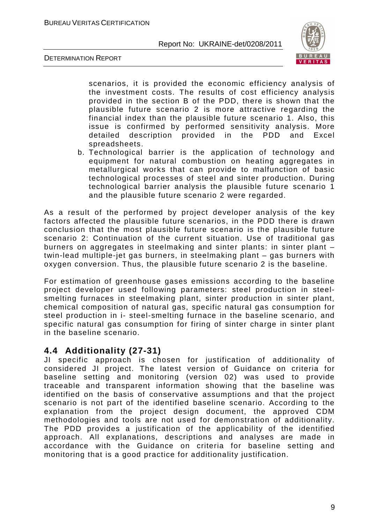

DETERMINATION REPORT

scenarios, it is provided the economic efficiency analysis of the investment costs. The results of cost efficiency analysis provided in the section B of the PDD, there is shown that the plausible future scenario 2 is more attractive regarding the financial index than the plausible future scenario 1. Also, this issue is confirmed by performed sensitivity analysis. More detailed description provided in the PDD and Excel spreadsheets.

b. Technological barrier is the application of technology and equipment for natural combustion on heating aggregates in metallurgical works that can provide to malfunction of basic technological processes of steel and sinter production. During technological barrier analysis the plausible future scenario 1 and the plausible future scenario 2 were regarded.

As a result of the performed by project developer analysis of the key factors affected the plausible future scenarios, in the PDD there is drawn conclusion that the most plausible future scenario is the plausible future scenario 2: Continuation of the current situation. Use of traditional gas burners on aggregates in steelmaking and sinter plants: in sinter plant – twin-lead multiple-jet gas burners, in steelmaking plant – gas burners with oxygen conversion. Thus, the plausible future scenario 2 is the baseline.

For estimation of greenhouse gases emissions according to the baseline project developer used following parameters: steel production in steelsmelting furnaces in steelmaking plant, sinter production in sinter plant, chemical composition of natural gas, specific natural gas consumption for steel production in i- steel-smelting furnace in the baseline scenario, and specific natural gas consumption for firing of sinter charge in sinter plant in the baseline scenario.

# **4.4 Additionality (27-31)**

JI specific approach is chosen for justification of additionality of considered JI project. The latest version of Guidance on criteria for baseline setting and monitoring (version 02) was used to provide traceable and transparent information showing that the baseline was identified on the basis of conservative assumptions and that the project scenario is not part of the identified baseline scenario. According to the explanation from the project design document, the approved CDM methodologies and tools are not used for demonstration of additionality. The PDD provides a justification of the applicability of the identified approach. All explanations, descriptions and analyses are made in accordance with the Guidance on criteria for baseline setting and monitoring that is a good practice for additionality justification.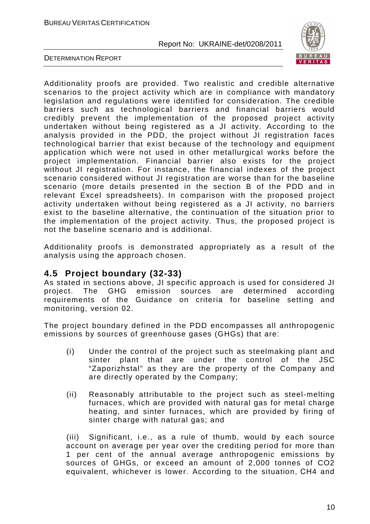

DETERMINATION REPORT

Additionality proofs are provided. Two realistic and credible alternative scenarios to the project activity which are in compliance with mandatory legislation and regulations were identified for consideration. The credible barriers such as technological barriers and financial barriers would credibly prevent the implementation of the proposed project activity undertaken without being registered as a JI activity. According to the analysis provided in the PDD, the project without JI registration faces technological barrier that exist because of the technology and equipment application which were not used in other metallurgical works before the project implementation. Financial barrier also exists for the project without JI registration. For instance, the financial indexes of the project scenario considered without JI registration are worse than for the baseline scenario (more details presented in the section B of the PDD and in relevant Excel spreadsheets). In comparison with the proposed project activity undertaken without being registered as a JI activity, no barriers exist to the baseline alternative, the continuation of the situation prior to the implementation of the project activity. Thus, the proposed project is not the baseline scenario and is additional.

Additionality proofs is demonstrated appropriately as a result of the analysis using the approach chosen.

# **4.5 Project boundary (32-33)**

As stated in sections above, JI specific approach is used for considered JI project. The GHG emission sources are determined according requirements of the Guidance on criteria for baseline setting and monitoring, version 02.

The project boundary defined in the PDD encompasses all anthropogenic emissions by sources of greenhouse gases (GHGs) that are:

- (i) Under the control of the project such as steelmaking plant and sinter plant that are under the control of the JSC "Zaporizhstal" as they are the property of the Company and are directly operated by the Company;
- (ii) Reasonably attributable to the project such as steel-melting furnaces, which are provided with natural gas for metal charge heating, and sinter furnaces, which are provided by firing of sinter charge with natural gas; and

(iii) Significant, i.e., as a rule of thumb, would by each source account on average per year over the crediting period for more than 1 per cent of the annual average anthropogenic emissions by sources of GHGs, or exceed an amount of 2,000 tonnes of CO2 equivalent, whichever is lower. According to the situation, СН4 and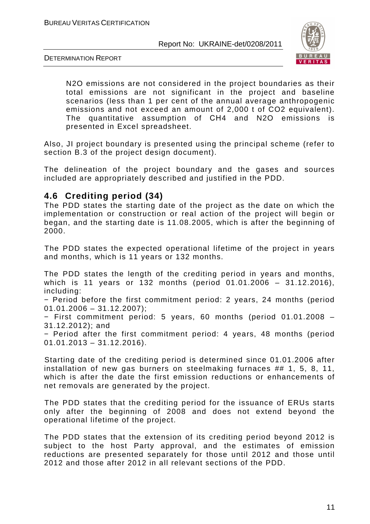

DETERMINATION REPORT

N2O emissions are not considered in the project boundaries as their total emissions are not significant in the project and baseline scenarios (less than 1 per cent of the annual average anthropogenic emissions and not exceed an amount of 2,000 t of CO2 equivalent). The quantitative assumption of СН4 and N2O emissions is presented in Excel spreadsheet.

Also, JI project boundary is presented using the principal scheme (refer to section B.3 of the project design document).

The delineation of the project boundary and the gases and sources included are appropriately described and justified in the PDD.

# **4.6 Crediting period (34)**

The PDD states the starting date of the project as the date on which the implementation or construction or real action of the project will begin or began, and the starting date is 11.08.2005, which is after the beginning of 2000.

The PDD states the expected operational lifetime of the project in years and months, which is 11 years or 132 months.

The PDD states the length of the crediting period in years and months, which is 11 years or 132 months (period 01.01.2006 – 31.12.2016), including:

− Period before the first commitment period: 2 years, 24 months (period  $01.01.2006 - 31.12.2007$ ;

− First commitment period: 5 years, 60 months (period 01.01.2008 – 31.12.2012); and

− Period after the first commitment period: 4 years, 48 months (period  $01.01.2013 - 31.12.2016$ .

Starting date of the crediting period is determined since 01.01.2006 after installation of new gas burners on steelmaking furnaces ## 1, 5, 8, 11, which is after the date the first emission reductions or enhancements of net removals are generated by the project.

The PDD states that the crediting period for the issuance of ERUs starts only after the beginning of 2008 and does not extend beyond the operational lifetime of the project.

The PDD states that the extension of its crediting period beyond 2012 is subject to the host Party approval, and the estimates of emission reductions are presented separately for those until 2012 and those until 2012 and those after 2012 in all relevant sections of the PDD.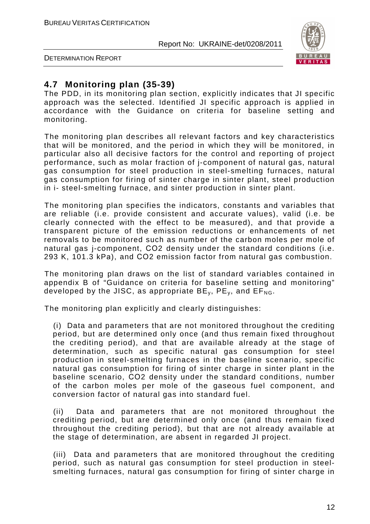

DETERMINATION REPORT

# **4.7 Monitoring plan (35-39)**

The PDD, in its monitoring plan section, explicitly indicates that JI specific approach was the selected. Identified JI specific approach is applied in accordance with the Guidance on criteria for baseline setting and monitoring.

The monitoring plan describes all relevant factors and key characteristics that will be monitored, and the period in which they will be monitored, in particular also all decisive factors for the control and reporting of project performance, such as molar fraction of j-component of natural gas, natural gas consumption for steel production in steel-smelting furnaces, natural gas consumption for firing of sinter charge in sinter plant, steel production in i- steel-smelting furnace, and sinter production in sinter plant.

The monitoring plan specifies the indicators, constants and variables that are reliable (i.e. provide consistent and accurate values), valid (i.e. be clearly connected with the effect to be measured), and that provide a transparent picture of the emission reductions or enhancements of net removals to be monitored such as number of the carbon moles per mole of natural gas j-component, СО2 density under the standard conditions (i.e. 293 K, 101.3 kPа), and СО2 emission factor from natural gas combustion.

The monitoring plan draws on the list of standard variables contained in appendix B of "Guidance on criteria for baseline setting and monitoring" developed by the JISC, as appropriate  $BE_v$ ,  $PE_v$ , and  $EF_{NG}$ .

The monitoring plan explicitly and clearly distinguishes:

(i) Data and parameters that are not monitored throughout the crediting period, but are determined only once (and thus remain fixed throughout the crediting period), and that are available already at the stage of determination, such as specific natural gas consumption for steel production in steel-smelting furnaces in the baseline scenario, specific natural gas consumption for firing of sinter charge in sinter plant in the baseline scenario, СО2 density under the standard conditions, number of the carbon moles per mole of the gaseous fuel component, and conversion factor of natural gas into standard fuel.

(ii) Data and parameters that are not monitored throughout the crediting period, but are determined only once (and thus remain fixed throughout the crediting period), but that are not already available at the stage of determination, are absent in regarded JI project.

(iii) Data and parameters that are monitored throughout the crediting period, such as natural gas consumption for steel production in steelsmelting furnaces, natural gas consumption for firing of sinter charge in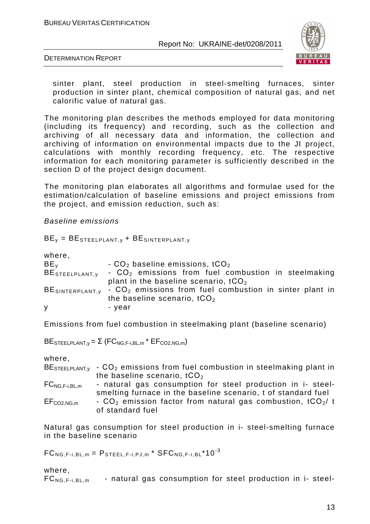

DETERMINATION REPORT

sinter plant, steel production in steel-smelting furnaces, sinter production in sinter plant, chemical composition of natural gas, and net calorific value of natural gas.

The monitoring plan describes the methods employed for data monitoring (including its frequency) and recording, such as the collection and archiving of all necessary data and information, the collection and archiving of information on environmental impacts due to the JI project, calculations with monthly recording frequency, etc. The respective information for each monitoring parameter is sufficiently described in the section D of the project design document.

The monitoring plan elaborates all algorithms and formulae used for the estimation/calculation of baseline emissions and project emissions from the project, and emission reduction, such as:

Baseline emissions

 $BE<sub>v</sub> = BE<sub>STEELPLANT,v</sub> + BE<sub>SINTERPLANT,v</sub>$ 

where,

| BE <sub>v</sub> | $-CO2$ baseline emissions, tCO <sub>2</sub>                                            |
|-----------------|----------------------------------------------------------------------------------------|
| BESTEELPLANT, y | - CO <sub>2</sub> emissions from fuel combustion in steelmaking                        |
|                 | plant in the baseline scenario, $tCO2$                                                 |
|                 | BESINTERPLANT, $v$ - CO <sub>2</sub> emissions from fuel combustion in sinter plant in |
|                 | the baseline scenario, tCO <sub>2</sub>                                                |
| y               | - vear                                                                                 |

Emissions from fuel combustion in steelmaking plant (baseline scenario)

BESTEELPLANT, $v = \Sigma$  (FC<sub>NG,F-i,BL,m</sub> \* EF<sub>CO2,NG,m</sub>)

where,

|                     | $BESTEELPLANT.v$ - $CO2$ emissions from fuel combustion in steelmaking plant in |
|---------------------|---------------------------------------------------------------------------------|
|                     | the baseline scenario, $tCO2$                                                   |
| $FC_{NG,F-i, BL,m}$ | - natural gas consumption for steel production in i- steel-                     |
|                     | smelting furnace in the baseline scenario, t of standard fuel                   |
| $EF_{CO2,NG,m}$     | - $CO2$ emission factor from natural gas combustion, tCO <sub>2</sub> /t        |
|                     | of standard fuel                                                                |

Natural gas consumption for steel production in i- steel-smelting furnace in the baseline scenario

 $FC_{NG,F-i,BL,m} = P_{STFEL,F-i,P,L,m} * SFC_{NG,F-i,BL} * 10^{-3}$ 

where,

 $FC_{NG,F-i,BL,m}$  - natural gas consumption for steel production in i- steel-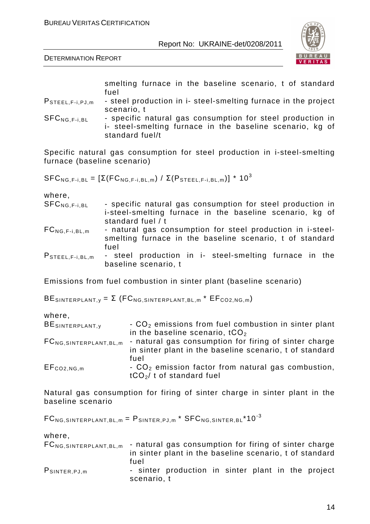

DETERMINATION REPORT

smelting furnace in the baseline scenario, t of standard fuel

- PSTEEL,F-i,PJ,m steel production in i- steel-smelting furnace in the project scenario, t
- SFC<sub>NG.F-i,BL</sub> specific natural gas consumption for steel production in i- steel-smelting furnace in the baseline scenario, kg of standard fuel/t

Specific natural gas consumption for steel production in i-steel-smelting furnace (baseline scenario)

 $SFC_{NG,F-i,BL} = \left[\Sigma(FC_{NG,F-i,BL,m}) / \Sigma(P_{STEEL,F-i,BL,m})\right] * 10^3$ 

where,

| $SFC_{NG.F-i.BL}$ | - specific natural gas consumption for steel production in                             |  |
|-------------------|----------------------------------------------------------------------------------------|--|
|                   | i-steel-smelting furnace in the baseline scenario, kg of                               |  |
|                   | standard fuel / t                                                                      |  |
| $\Gamma$          | والمتحاف والمستنقل والمتحاول والمستقل المتحاول والمتحدث والمتحاول والمستنفر والمستنفرة |  |

- $FC_{NG.F-i, BL,m}$  natural gas consumption for steel production in i-steelsmelting furnace in the baseline scenario, t of standard fuel
- P<sub>STEEL,F-i,BL,m</sub> steel production in i- steel-smelting furnace in the baseline scenario, t

Emissions from fuel combustion in sinter plant (baseline scenario)

BESINTERPLANT,  $y = \Sigma$  (FC<sub>NG, SINTERPLANT, BL, m</sub> \*  $EF_{CO2,NG,m}$ )

where,

| BESINTERPLANT, y                    | $\sim$ CO <sub>2</sub> emissions from fuel combustion in sinter plant |
|-------------------------------------|-----------------------------------------------------------------------|
|                                     | in the baseline scenario, $tCO2$                                      |
| FC <sub>NG</sub> SINTERPLANT, BL, m | - natural gas consumption for firing of sinter charge                 |
|                                     | in sinter plant in the baseline scenario, t of standard               |
|                                     | fuel                                                                  |
| $EF_{CO2,NG,m}$                     | $\sim$ CO <sub>2</sub> emission factor from natural gas combustion,   |
|                                     | $tCO2/t$ of standard fuel                                             |

Natural gas consumption for firing of sinter charge in sinter plant in the baseline scenario

 $FC_{NG, SINTERPLANT, BL,m} = P_{SINTER, PJ,m} * SFC_{NG, SINTER, BL} * 10^{-3}$ 

scenario, t

where,

|                    | $FC_{NG, SINTERPLANT, BL,m}$ - natural gas consumption for firing of sinter charge<br>in sinter plant in the baseline scenario, t of standard |
|--------------------|-----------------------------------------------------------------------------------------------------------------------------------------------|
| $P_{SINTER, PJ,m}$ | fuel<br>- sinter production in sinter plant in the project                                                                                    |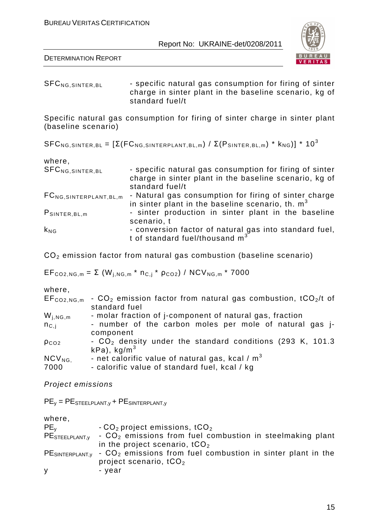

DETERMINATION REPORT

SFC<sub>NG,SINTER,BL</sub> - specific natural gas consumption for firing of sinter charge in sinter plant in the baseline scenario, kg of standard fuel/t

Specific natural gas consumption for firing of sinter charge in sinter plant (baseline scenario)

SFC<sub>NG,SINTER,BL</sub> =  $[\Sigma(FC_{NG, SINTERPLANT,BL,m}) / \Sigma(P_{SINTER,BL,m}) * k_{NG})] * 10^3$ 

| where,                        |                                                              |
|-------------------------------|--------------------------------------------------------------|
| SFC <sub>NG, SINTER, BL</sub> | - specific natural gas consumption for firing of sinter      |
|                               | charge in sinter plant in the baseline scenario, kg of       |
|                               | standard fuel/t                                              |
| $FC_{NG, SINTERPLANT, BL,m}$  | - Natural gas consumption for firing of sinter charge        |
|                               | in sinter plant in the baseline scenario, th. m <sup>3</sup> |
| $P_{SINTER, BL,m}$            | - sinter production in sinter plant in the baseline          |
|                               | scenario, t                                                  |
| $k_{NG}$                      | - conversion factor of natural gas into standard fuel,       |
|                               | t of standard fuel/thousand m <sup>3</sup>                   |

СО2 emission factor from natural gas combustion (baseline scenario)

 $EF_{CO2,NG,m} = \Sigma (W_{j,NG,m} * n_{C,j} * p_{CO2}) / NCV_{NG,m} * 7000$ 

where,

| $EF_{CO2,NG,m}$ | $\sim$ CO <sub>2</sub> emission factor from natural gas combustion, tCO <sub>2</sub> /t of<br>standard fuel |
|-----------------|-------------------------------------------------------------------------------------------------------------|
| $W_{i,NG,m}$    | - molar fraction of j-component of natural gas, fraction                                                    |
| $n_{C,i}$       | - number of the carbon moles per mole of natural gas j-                                                     |
|                 | component                                                                                                   |
| $p_{CO2}$       | - CO <sub>2</sub> density under the standard conditions (293 K, 101.3)<br>$kPa$ ), kg/m <sup>3</sup>        |
| $NCV_{NG.}$     | - net calorific value of natural gas, kcal / $m3$                                                           |
| 7000            | - calorific value of standard fuel, kcal / kg                                                               |

Project emissions

 $PE<sub>v</sub> = PE<sub>STEELPLANT,v</sub> + PE<sub>SINTERPLANT,v</sub>$ 

| where,              |                                                                            |
|---------------------|----------------------------------------------------------------------------|
| $PE_v$              | $-CO2$ project emissions, tCO <sub>2</sub>                                 |
| PE STEELPLANT, y    | $\sim$ CO <sub>2</sub> emissions from fuel combustion in steelmaking plant |
|                     | in the project scenario, $tCO2$                                            |
| $PE$ SINTERPLANT, V | $-CO2$ emissions from fuel combustion in sinter plant in the               |
|                     | project scenario, $tCO2$                                                   |
| y                   | – year                                                                     |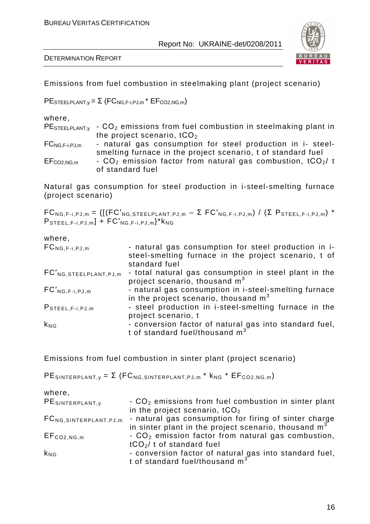DETERMINATION REPORT



Emissions from fuel combustion in steelmaking plant (project scenario)

 $PE$ STEELPLANT,y =  $\Sigma$  (FC<sub>NG,F-i,PJ,m</sub> \* EF<sub>CO2,NG,m</sub>)

| where,                                                 |                                                                          |
|--------------------------------------------------------|--------------------------------------------------------------------------|
| $PE$ STEELPLANT, $v$                                   | - CO <sub>2</sub> emissions from fuel combustion in steelmaking plant in |
|                                                        | the project scenario, $tCO2$                                             |
| $FC_{\mathsf{NG},\mathsf{F-i},\mathsf{PJ},\mathsf{m}}$ | - natural gas consumption for steel production in i- steel-              |
|                                                        | smelting furnace in the project scenario, t of standard fuel             |
| $EF_{CO2,NG,m}$                                        | - $CO2$ emission factor from natural gas combustion, tCO <sub>2</sub> /t |
|                                                        | of standard fuel                                                         |
|                                                        |                                                                          |

Natural gas consumption for steel production in i-steel-smelting furnace (project scenario)

 $FC_{NG,F-i,PJ,m} = \{[(FC'_{NG,STEELPLANT,PJ,m} - \Sigma FC'_{NG,F-i,PJ,m}) / (\Sigma P_{STEEL,F-i,PJ,m}) *$  $P_{\text{STEEL},F-i,PJ,m}$  +  $FC'_{\text{NG},F-i,PJ,m}$ <sup>\*</sup> $k_{\text{NG}}$ 

#### where,

| $FC_{NG,F-i,PJ,m}$           | - natural gas consumption for steel production in i-<br>steel-smelting furnace in the project scenario, t of |
|------------------------------|--------------------------------------------------------------------------------------------------------------|
|                              | standard fuel                                                                                                |
| $FC'_{NG, STEELPLANT, PJ,m}$ | - total natural gas consumption in steel plant in the                                                        |
|                              | project scenario, thousand $m3$                                                                              |
| $FC'_{NG,F-i,PJ,m}$          | - natural gas consumption in i-steel-smelting furnace                                                        |
|                              | in the project scenario, thousand $m3$                                                                       |
| $P$ STEEL, $F-i$ , $PJ$ , m  | - steel production in i-steel-smelting furnace in the                                                        |
|                              | project scenario, t                                                                                          |
| $k_{NG}$                     | - conversion factor of natural gas into standard fuel,                                                       |
|                              | t of standard fuel/thousand m <sup>3</sup>                                                                   |

Emissions from fuel combustion in sinter plant (project scenario)

 $PE$ SINTERPLANT,  $y = \Sigma$  (FC<sub>NG</sub>, SINTERPLANT, PJ, m<sup>\*</sup>  $k_{NG}$ <sup>\*</sup> EF<sub>CO2, NG, m)</sub>

| where,                        |                                                                    |
|-------------------------------|--------------------------------------------------------------------|
| PESINTERPLANT, y              | $-$ CO <sub>2</sub> emissions from fuel combustion in sinter plant |
|                               | in the project scenario, $tCO2$                                    |
| $FC_{NG, SINTERPLANT, PJ, m}$ | - natural gas consumption for firing of sinter charge              |
|                               | in sinter plant in the project scenario, thousand $m3$             |
| $EF_{CO2,NG,m}$               | $-CO2$ emission factor from natural gas combustion,                |
|                               | $tCO2/t$ of standard fuel                                          |
| $k_{NG}$                      | - conversion factor of natural gas into standard fuel,             |
|                               | t of standard fuel/thousand m <sup>3</sup>                         |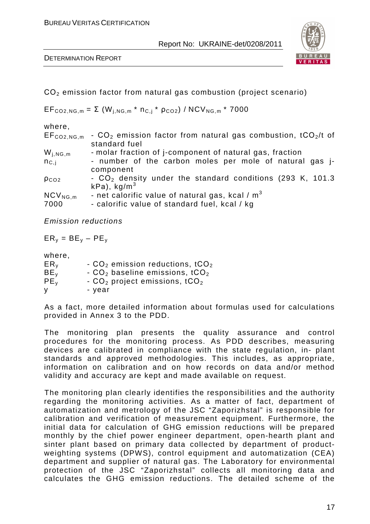

DETERMINATION REPORT

СО2 emission factor from natural gas combustion (project scenario)

 $EF_{CO2,NG,m} = \Sigma (W_{i,NG,m} * n_{C,i} * p_{CO2}) / NCV_{NG,m} * 7000$ 

| where,          |                                                                             |
|-----------------|-----------------------------------------------------------------------------|
| $EF_{CO2,NG,m}$ | - $CO2$ emission factor from natural gas combustion, tCO <sub>2</sub> /t of |
|                 | standard fuel                                                               |
| $W_{j,NG,m}$    | - molar fraction of j-component of natural gas, fraction                    |
| $n_{\rm C,i}$   | - number of the carbon moles per mole of natural gas <i>j</i> -             |
|                 | component                                                                   |
| $p_{CO2}$       | $-CO2$ density under the standard conditions (293 K, 101.3)                 |
|                 | $kPa$ , kg/m <sup>3</sup>                                                   |
| $NCV_{NG,m}$    | - net calorific value of natural gas, kcal / $m3$                           |
| 7000            | - calorific value of standard fuel, kcal / kg                               |

Emission reductions

 $ER_v = BE_v - PE_v$ 

where,

| ER <sub>v</sub> | - $CO2$ emission reductions, tCO <sub>2</sub> |
|-----------------|-----------------------------------------------|
| BE <sub>v</sub> | $-CO2$ baseline emissions, tCO <sub>2</sub>   |
| PE <sub>v</sub> | - $CO2$ project emissions, tCO <sub>2</sub>   |
| v               | - vear                                        |

As a fact, more detailed information about formulas used for calculations provided in Annex 3 to the PDD.

The monitoring plan presents the quality assurance and control procedures for the monitoring process. As PDD describes, measuring devices are calibrated in compliance with the state regulation, in- plant standards and approved methodologies. This includes, as appropriate, information on calibration and on how records on data and/or method validity and accuracy are kept and made available on request.

The monitoring plan clearly identifies the responsibilities and the authority regarding the monitoring activities. As a matter of fact, department of automatization and metrology of the JSC "Zaporizhstal" is responsible for calibration and verification of measurement equipment. Furthermore, the initial data for calculation of GHG emission reductions will be prepared monthly by the chief power engineer department, open-hearth plant and sinter plant based on primary data collected by department of productweighting systems (DPWS), control equipment and automatization (CEA) department and supplier of natural gas. The Laboratory for environmental protection of the JSC "Zaporizhstal" collects all monitoring data and calculates the GHG emission reductions. The detailed scheme of the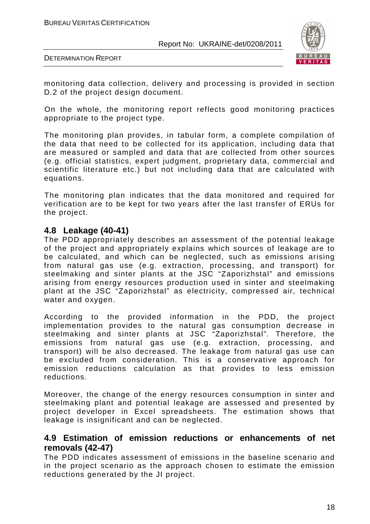

DETERMINATION REPORT

monitoring data collection, delivery and processing is provided in section D.2 of the project design document.

On the whole, the monitoring report reflects good monitoring practices appropriate to the project type.

The monitoring plan provides, in tabular form, a complete compilation of the data that need to be collected for its application, including data that are measured or sampled and data that are collected from other sources (e.g. official statistics, expert judgment, proprietary data, commercial and scientific literature etc.) but not including data that are calculated with equations.

The monitoring plan indicates that the data monitored and required for verification are to be kept for two years after the last transfer of ERUs for the project.

### **4.8 Leakage (40-41)**

The PDD appropriately describes an assessment of the potential leakage of the project and appropriately explains which sources of leakage are to be calculated, and which can be neglected, such as emissions arising from natural gas use (e.g. extraction, processing, and transport) for steelmaking and sinter plants at the JSC "Zaporizhstal" and emissions arising from energy resources production used in sinter and steelmaking plant at the JSC "Zaporizhstal" as electricity, compressed air, technical water and oxygen.

According to the provided information in the PDD, the project implementation provides to the natural gas consumption decrease in steelmaking and sinter plants at JSC "Zaporizhstal". Therefore, the emissions from natural gas use (e.g. extraction, processing, and transport) will be also decreased. The leakage from natural gas use can be excluded from consideration. This is a conservative approach for emission reductions calculation as that provides to less emission reductions.

Moreover, the change of the energy resources consumption in sinter and steelmaking plant and potential leakage are assessed and presented by project developer in Excel spreadsheets. The estimation shows that leakage is insignificant and can be neglected.

### **4.9 Estimation of emission reductions or enhancements of net removals (42-47)**

The PDD indicates assessment of emissions in the baseline scenario and in the project scenario as the approach chosen to estimate the emission reductions generated by the JI project.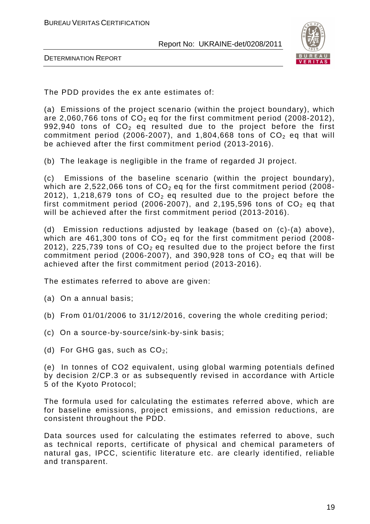

DETERMINATION REPORT

The PDD provides the ex ante estimates of:

(a) Emissions of the project scenario (within the project boundary), which are 2,060,766 tons of  $CO<sub>2</sub>$  eq for the first commitment period (2008-2012), 992,940 tons of  $CO<sub>2</sub>$  eq resulted due to the project before the first commitment period (2006-2007), and 1,804,668 tons of  $CO<sub>2</sub>$  eq that will be achieved after the first commitment period (2013-2016).

(b) The leakage is negligible in the frame of regarded JI project.

(c) Emissions of the baseline scenario (within the project boundary), which are 2,522,066 tons of  $CO<sub>2</sub>$  eq for the first commitment period (2008-2012), 1,218,679 tons of  $CO<sub>2</sub>$  eq resulted due to the project before the first commitment period (2006-2007), and 2,195,596 tons of  $CO<sub>2</sub>$  eq that will be achieved after the first commitment period (2013-2016).

(d) Emission reductions adjusted by leakage (based on (c)-(a) above), which are  $461,300$  tons of  $CO<sub>2</sub>$  eq for the first commitment period (2008-2012), 225,739 tons of  $CO<sub>2</sub>$  eq resulted due to the project before the first commitment period (2006-2007), and 390,928 tons of  $CO<sub>2</sub>$  eq that will be achieved after the first commitment period (2013-2016).

The estimates referred to above are given:

(a) On a annual basis;

- (b) From 01/01/2006 to 31/12/2016, covering the whole crediting period;
- (c) On a source-by-source/sink-by-sink basis;
- (d) For GHG gas, such as  $CO<sub>2</sub>$ ;

(e) In tonnes of CO2 equivalent, using global warming potentials defined by decision 2/CP.3 or as subsequently revised in accordance with Article 5 of the Kyoto Protocol;

The formula used for calculating the estimates referred above, which are for baseline emissions, project emissions, and emission reductions, are consistent throughout the PDD.

Data sources used for calculating the estimates referred to above, such as technical reports, certificate of physical and chemical parameters of natural gas, IPCC, scientific literature etc. are clearly identified, reliable and transparent.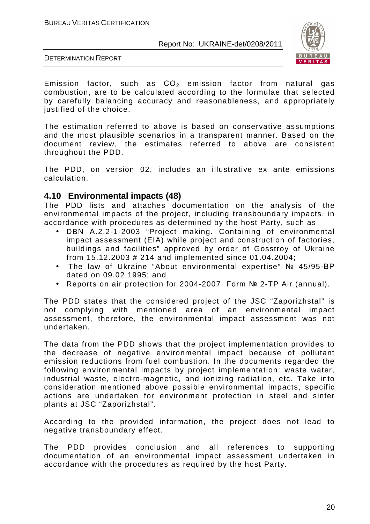

DETERMINATION REPORT

Emission factor, such as  $CO<sub>2</sub>$  emission factor from natural gas combustion, are to be calculated according to the formulae that selected by carefully balancing accuracy and reasonableness, and appropriately justified of the choice.

The estimation referred to above is based on conservative assumptions and the most plausible scenarios in a transparent manner. Based on the document review, the estimates referred to above are consistent throughout the PDD.

The PDD, on version 02, includes an illustrative ex ante emissions calculation.

### **4.10 Environmental impacts (48)**

The PDD lists and attaches documentation on the analysis of the environmental impacts of the project, including transboundary impacts, in accordance with procedures as determined by the host Party, such as

- DBN А.2.2-1-2003 "Project making. Containing of environmental impact assessment (EIA) while project and construction of factories, buildings and facilities" approved by order of Gosstroy of Ukraine from 15.12.2003 # 214 and implemented since 01.04.2004;
- The law of Ukraine "About environmental expertise" № 45/95-ВР dated on 09.02.1995; and
- Reports on air protection for 2004-2007. Form № 2-TP Air (annual).

The PDD states that the considered project of the JSC "Zaporizhstal" is not complying with mentioned area of an environmental impact assessment, therefore, the environmental impact assessment was not undertaken.

The data from the PDD shows that the project implementation provides to the decrease of negative environmental impact because of pollutant emission reductions from fuel combustion. In the documents regarded the following environmental impacts by project implementation: waste water, industrial waste, electro-magnetic, and ionizing radiation, etc. Take into consideration mentioned above possible environmental impacts, specific actions are undertaken for environment protection in steel and sinter plants at JSC "Zaporizhstal".

According to the provided information, the project does not lead to negative transboundary effect.

The PDD provides conclusion and all references to supporting documentation of an environmental impact assessment undertaken in accordance with the procedures as required by the host Party.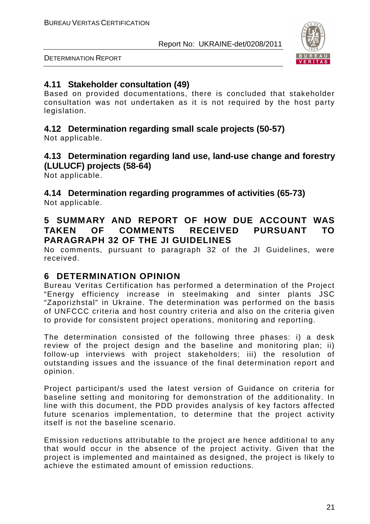

DETERMINATION REPORT

# **4.11 Stakeholder consultation (49)**

Based on provided documentations, there is concluded that stakeholder consultation was not undertaken as it is not required by the host party legislation.

# **4.12 Determination regarding small scale projects (50-57)**

Not applicable.

# **4.13 Determination regarding land use, land-use change and forestry (LULUCF) projects (58-64)**

Not applicable.

**4.14 Determination regarding programmes of activities (65-73)**  Not applicable.

# **5 SUMMARY AND REPORT OF HOW DUE ACCOUNT WAS TAKEN OF COMMENTS RECEIVED PURSUANT TO PARAGRAPH 32 OF THE JI GUIDELINES**

No comments, pursuant to paragraph 32 of the JI Guidelines, were received.

# **6 DETERMINATION OPINION**

Bureau Veritas Certification has performed a determination of the Project "Energy efficiency increase in steelmaking and sinter plants JSC "Zaporizhstal" in Ukraine. The determination was performed on the basis of UNFCCC criteria and host country criteria and also on the criteria given to provide for consistent project operations, monitoring and reporting.

The determination consisted of the following three phases: i) a desk review of the project design and the baseline and monitoring plan; ii) follow-up interviews with project stakeholders; iii) the resolution of outstanding issues and the issuance of the final determination report and opinion.

Project participant/s used the latest version of Guidance on criteria for baseline setting and monitoring for demonstration of the additionality. In line with this document, the PDD provides analysis of key factors affected future scenarios implementation, to determine that the project activity itself is not the baseline scenario.

Emission reductions attributable to the project are hence additional to any that would occur in the absence of the project activity. Given that the project is implemented and maintained as designed, the project is likely to achieve the estimated amount of emission reductions.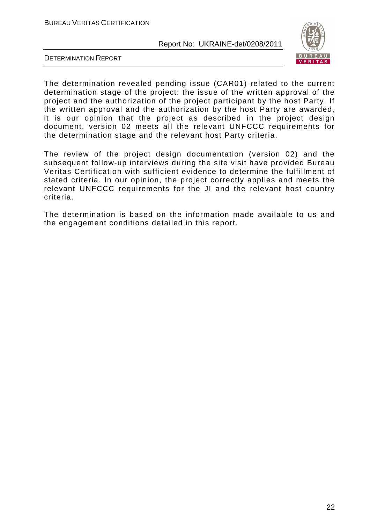

DETERMINATION REPORT

The determination revealed pending issue (CAR01) related to the current determination stage of the project: the issue of the written approval of the project and the authorization of the project participant by the host Party. If the written approval and the authorization by the host Party are awarded, it is our opinion that the project as described in the project design document, version 02 meets all the relevant UNFCCC requirements for the determination stage and the relevant host Party criteria.

The review of the project design documentation (version 02) and the subsequent follow-up interviews during the site visit have provided Bureau Veritas Certification with sufficient evidence to determine the fulfillment of stated criteria. In our opinion, the project correctly applies and meets the relevant UNFCCC requirements for the JI and the relevant host country criteria.

The determination is based on the information made available to us and the engagement conditions detailed in this report.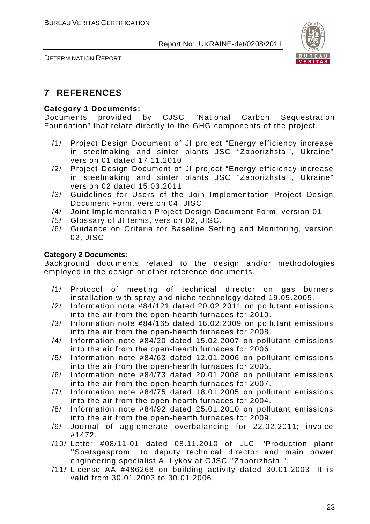

DETERMINATION REPORT

# **7 REFERENCES**

### **Category 1 Documents:**

Documents provided by CJSC "National Carbon Sequestration Foundation" that relate directly to the GHG components of the project.

- /1/ Project Design Document of JI project "Energy efficiency increase in steelmaking and sinter plants JSC "Zaporizhstal", Ukraine" version 01 dated 17.11.2010
- /2/ Project Design Document of JI project "Energy efficiency increase in steelmaking and sinter plants JSC "Zaporizhstal", Ukraine" version 02 dated 15.03.2011
- /3/ Guidelines for Users of the Join Implementation Project Design Document Form, version 04, JISC
- /4/ Joint Implementation Project Design Document Form, version 01
- /5/ Glossary of JI terms, version 02, JISC.
- /6/ Guidance on Criteria for Baseline Setting and Monitoring, version 02, JISC.

### **Category 2 Documents:**

Background documents related to the design and/or methodologies employed in the design or other reference documents.

- /1/ Protocol of meeting of technical director on gas burners installation with spray and niche technology dated 19.05.2005.
- /2/ Information note #84/121 dated 20.02.2011 on pollutant emissions into the air from the open-hearth furnaces for 2010.
- /3/ Information note #84/165 dated 16.02.2009 on pollutant emissions into the air from the open-hearth furnaces for 2008.
- /4/ Information note #84/20 dated 15.02.2007 on pollutant emissions into the air from the open-hearth furnaces for 2006.
- /5/ Information note #84/63 dated 12.01.2006 on pollutant emissions into the air from the open-hearth furnaces for 2005.
- /6/ Information note #84/73 dated 20.01.2008 on pollutant emissions into the air from the open-hearth furnaces for 2007.
- /7/ Information note #84/75 dated 18.01.2005 on pollutant emissions into the air from the open-hearth furnaces for 2004.
- /8/ Information note #84/92 dated 25.01.2010 on pollutant emissions into the air from the open-hearth furnaces for 2009.
- /9/ Journal of agglomerate overbalancing for 22.02.2011; invoice #1472.
- /10/ Letter #08/11-01 dated 08.11.2010 of LLC ''Production plant ''Spetsgasprom'' to deputy technical director and main power engineering specialist A. Lykov at OJSC ''Zaporizhstal''.
- /11/ License AA #486268 on building activity dated 30.01.2003. It is valid from 30.01.2003 to 30.01.2006.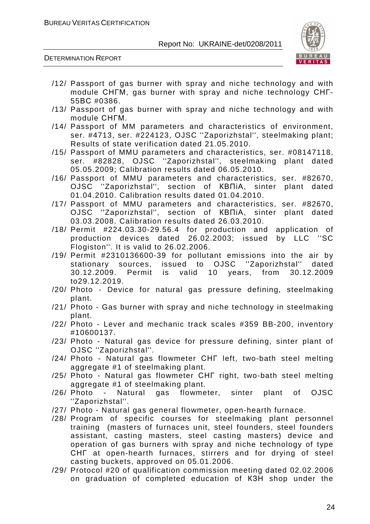

- /12/ Passport of gas burner with spray and niche technology and with module СНГМ, gas burner with spray and niche technology СНГ-55ВС #0386.
- /13/ Passport of gas burner with spray and niche technology and with module СНГМ.
- /14/ Passport of MM parameters and characteristics of environment, ser. #4713, ser. #224123, OJSC ''Zaporizhstal'', steelmaking plant; Results of state verification dated 21.05.2010.
- /15/ Passport of MMU parameters and characteristics, ser. #08147118, ser. #82828, OJSC ''Zaporizhstal'', steelmaking plant dated 05.05.2009; Calibration results dated 06.05.2010.
- /16/ Passport of MMU parameters and characteristics, ser. #82670, OJSC ''Zaporizhstal'', section of КВПіА, sinter plant dated 01.04.2010. Calibration results dated 01.04.2010.
- /17/ Passport of MMU parameters and characteristics, ser. #82670, OJSC ''Zaporizhstal'', section of КВПіА, sinter plant dated 03.03.2008. Calibration results dated 26.03.2010.
- /18/ Permit #224.03.30-29.56.4 for production and application of production devices dated 26.02.2003; issued by LLC ''SC Flogiston''. It is valid to 26.02.2006.
- /19/ Permit #2310136600-39 for pollutant emissions into the air by stationary sources, issued to OJSC ''Zaporizhstal'' dated 30.12.2009. Permit is valid 10 years, from 30.12.2009 to29.12.2019.
- /20/ Photo Device for natural gas pressure defining, steelmaking plant.
- /21/ Photo Gas burner with spray and niche technology in steelmaking plant.
- /22/ Photo Lever and mechanic track scales #359 BB-200, inventory #10600137.
- /23/ Photo Natural gas device for pressure defining, sinter plant of OJSC ''Zaporizhstal''.
- /24/ Photo Natural gas flowmeter СНГ left, two-bath steel melting aggregate #1 of steelmaking plant.
- /25/ Photo Natural gas flowmeter СНГ right, two-bath steel melting aggregate #1 of steelmaking plant.
- /26/ Photo Natural gas flowmeter, sinter plant of OJSC ''Zaporizhstal''.
- /27/ Photo Natural gas general flowmeter, open-hearth furnace.
- /28/ Program of specific courses for steelmaking plant personnel training (masters of furnaces unit, steel founders, steel founders assistant, casting masters, steel casting masters) device and operation of gas burners with spray and niche technology of type СНГ at open-hearth furnaces, stirrers and for drying of steel casting buckets, approved on 05.01.2006.
- /29/ Protocol #20 of qualification commission meeting dated 02.02.2006 on graduation of completed education of КЗН shop under the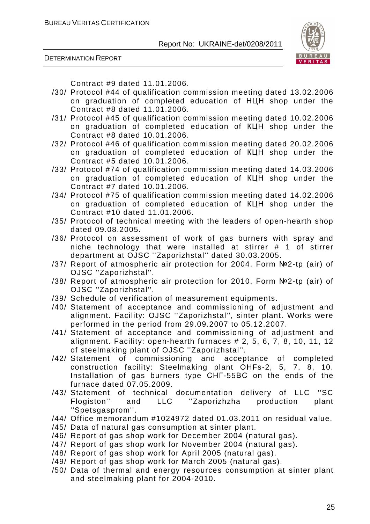

DETERMINATION REPORT

Contract #9 dated 11.01.2006.

- /30/ Protocol #44 of qualification commission meeting dated 13.02.2006 on graduation of completed education of НЦН shop under the Contract #8 dated 11.01.2006.
- /31/ Protocol #45 of qualification commission meeting dated 10.02.2006 on graduation of completed education of КЦН shop under the Contract #8 dated 10.01.2006.
- /32/ Protocol #46 of qualification commission meeting dated 20.02.2006 on graduation of completed education of КЦН shop under the Contract #5 dated 10.01.2006.
- /33/ Protocol #74 of qualification commission meeting dated 14.03.2006 on graduation of completed education of КЦН shop under the Contract #7 dated 10.01.2006.
- /34/ Protocol #75 of qualification commission meeting dated 14.02.2006 on graduation of completed education of КЦН shop under the Contract #10 dated 11.01.2006.
- /35/ Protocol of technical meeting with the leaders of open-hearth shop dated 09.08.2005.
- /36/ Protocol on assessment of work of gas burners with spray and niche technology that were installed at stirrer # 1 of stirrer department at OJSC ''Zaporizhstal'' dated 30.03.2005.
- /37/ Report of atmospheric air protection for 2004. Form №2-tp (air) of OJSC ''Zaporizhstal''.
- /38/ Report of atmospheric air protection for 2010. Form №2-tp (air) of OJSC ''Zaporizhstal''.
- /39/ Schedule of verification of measurement equipments.
- /40/ Statement of acceptance and commissioning of adjustment and alignment. Facility: OJSC ''Zaporizhstal'', sinter plant. Works were performed in the period from 29.09.2007 to 05.12.2007.
- /41/ Statement of acceptance and commissioning of adjustment and alignment. Facility: open-hearth furnaces # 2, 5, 6, 7, 8, 10, 11, 12 of steelmaking plant of OJSC ''Zaporizhstal''.
- /42/ Statement of commissioning and acceptance of completed construction facility: Steelmaking plant OHFs-2, 5, 7, 8, 10. Installation of gas burners type СНГ-55ВС on the ends of the furnace dated 07.05.2009.
- /43/ Statement of technical documentation delivery of LLC ''SC Flogiston'' and LLC ''Zaporizhzha production plant ''Spetsgasprom''.
- /44/ Office memorandum #1024972 dated 01.03.2011 on residual value.
- /45/ Data of natural gas consumption at sinter plant.
- /46/ Report of gas shop work for December 2004 (natural gas).
- /47/ Report of gas shop work for November 2004 (natural gas).
- /48/ Report of gas shop work for April 2005 (natural gas).
- /49/ Report of gas shop work for March 2005 (natural gas).
- /50/ Data of thermal and energy resources consumption at sinter plant and steelmaking plant for 2004-2010.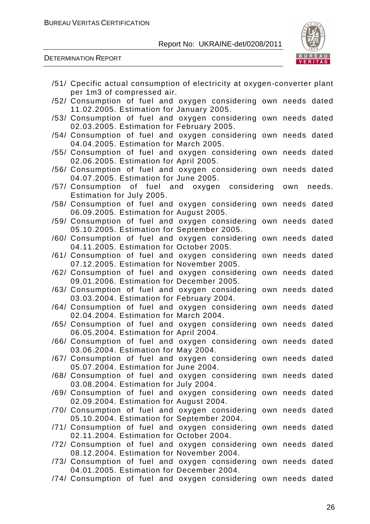

| /51/ Cpecific actual consumption of electricity at oxygen-converter plant |  |        |
|---------------------------------------------------------------------------|--|--------|
| per 1m3 of compressed air.                                                |  |        |
| /52/ Consumption of fuel and oxygen considering own needs dated           |  |        |
| 11.02.2005. Estimation for January 2005.                                  |  |        |
| /53/ Consumption of fuel and oxygen considering own needs dated           |  |        |
| 02.03.2005. Estimation for February 2005.                                 |  |        |
| /54/ Consumption of fuel and oxygen considering own needs dated           |  |        |
| 04.04.2005. Estimation for March 2005.                                    |  |        |
| /55/ Consumption of fuel and oxygen considering own needs dated           |  |        |
| 02.06.2005. Estimation for April 2005.                                    |  |        |
| /56/ Consumption of fuel and oxygen considering own needs dated           |  |        |
| 04.07.2005. Estimation for June 2005.                                     |  |        |
| /57/ Consumption of fuel and oxygen considering own                       |  | needs. |
| Estimation for July 2005.                                                 |  |        |
| /58/ Consumption of fuel and oxygen considering own needs dated           |  |        |
| 06.09.2005. Estimation for August 2005.                                   |  |        |
| /59/ Consumption of fuel and oxygen considering own needs dated           |  |        |
| 05.10.2005. Estimation for September 2005.                                |  |        |
| /60/ Consumption of fuel and oxygen considering own needs dated           |  |        |
| 04.11.2005. Estimation for October 2005.                                  |  |        |
| /61/ Consumption of fuel and oxygen considering own needs dated           |  |        |
| 07.12.2005. Estimation for November 2005.                                 |  |        |
| /62/ Consumption of fuel and oxygen considering own needs dated           |  |        |
| 09.01.2006. Estimation for December 2005.                                 |  |        |
| /63/ Consumption of fuel and oxygen considering own needs dated           |  |        |
| 03.03.2004. Estimation for February 2004.                                 |  |        |
| /64/ Consumption of fuel and oxygen considering own needs dated           |  |        |
| 02.04.2004. Estimation for March 2004.                                    |  |        |
| /65/ Consumption of fuel and oxygen considering own needs dated           |  |        |
| 06.05.2004. Estimation for April 2004.                                    |  |        |
| /66/ Consumption of fuel and oxygen considering own needs dated           |  |        |
| 03.06.2004. Estimation for May 2004.                                      |  |        |
| /67/ Consumption of fuel and oxygen considering own needs dated           |  |        |
| 05.07.2004. Estimation for June 2004.                                     |  |        |
| /68/ Consumption of fuel and oxygen considering own needs dated           |  |        |
| 03.08.2004. Estimation for July 2004.                                     |  |        |
| /69/ Consumption of fuel and oxygen considering own needs dated           |  |        |
| 02.09.2004. Estimation for August 2004.                                   |  |        |
| /70/ Consumption of fuel and oxygen considering own needs dated           |  |        |
| 05.10.2004. Estimation for September 2004.                                |  |        |
| /71/ Consumption of fuel and oxygen considering own needs dated           |  |        |
| 02.11.2004. Estimation for October 2004.                                  |  |        |
| /72/ Consumption of fuel and oxygen considering own needs dated           |  |        |
| 08.12.2004. Estimation for November 2004.                                 |  |        |
| /73/ Consumption of fuel and oxygen considering own needs dated           |  |        |
| 04.01.2005. Estimation for December 2004.                                 |  |        |
| /74/ Consumption of fuel and oxygen considering own needs dated           |  |        |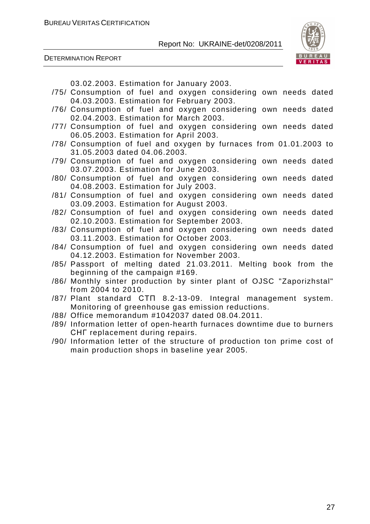

DETERMINATION REPORT

03.02.2003. Estimation for January 2003.

- /75/ Consumption of fuel and oxygen considering own needs dated 04.03.2003. Estimation for February 2003.
- /76/ Consumption of fuel and oxygen considering own needs dated 02.04.2003. Estimation for March 2003.
- /77/ Consumption of fuel and oxygen considering own needs dated 06.05.2003. Estimation for April 2003.
- /78/ Consumption of fuel and oxygen by furnaces from 01.01.2003 to 31.05.2003 dated 04.06.2003.
- /79/ Consumption of fuel and oxygen considering own needs dated 03.07.2003. Estimation for June 2003.
- /80/ Consumption of fuel and oxygen considering own needs dated 04.08.2003. Estimation for July 2003.
- /81/ Consumption of fuel and oxygen considering own needs dated 03.09.2003. Estimation for August 2003.
- /82/ Consumption of fuel and oxygen considering own needs dated 02.10.2003. Estimation for September 2003.
- /83/ Consumption of fuel and oxygen considering own needs dated 03.11.2003. Estimation for October 2003.
- /84/ Consumption of fuel and oxygen considering own needs dated 04.12.2003. Estimation for November 2003.
- /85/ Passport of melting dated 21.03.2011. Melting book from the beginning of the campaign #169.
- /86/ Monthly sinter production by sinter plant of OJSC "Zaporizhstal" from 2004 to 2010.
- /87/ Plant standard СТП 8.2-13-09. Integral management system. Monitoring of greenhouse gas emission reductions.
- /88/ Office memorandum #1042037 dated 08.04.2011.
- /89/ Information letter of open-hearth furnaces downtime due to burners СНГ replacement during repairs.
- /90/ Information letter of the structure of production ton prime cost of main production shops in baseline year 2005.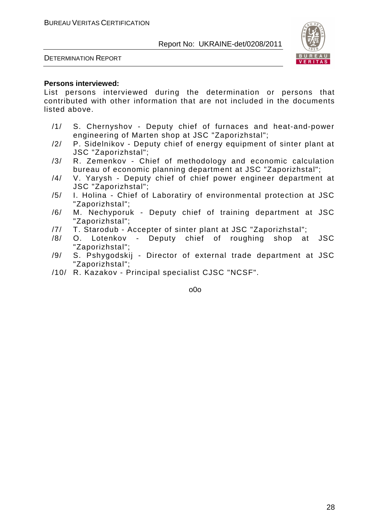

DETERMINATION REPORT

### **Persons interviewed:**

List persons interviewed during the determination or persons that contributed with other information that are not included in the documents listed above.

- /1/ S. Chernyshov Deputy chief of furnaces and heat-and-power engineering of Marten shop at JSC "Zaporizhstal";
- /2/ P. Sidelnikov Deputy chief of energy equipment of sinter plant at JSC "Zaporizhstal";
- /3/ R. Zemenkov Chief of methodology and economic calculation bureau of economic planning department at JSC "Zaporizhstal";
- /4/ V. Yarysh Deputy chief of chief power engineer department at JSC "Zaporizhstal";
- /5/ I. Holina Chief of Laboratiry of environmental protection at JSC "Zaporizhstal";
- /6/ M. Nechyporuk Deputy chief of training department at JSC "Zaporizhstal";
- /7/ T. Starodub Accepter of sinter plant at JSC "Zaporizhstal";
- /8/ O. Lotenkov Deputy chief of roughing shop at JSC "Zaporizhstal";
- /9/ S. Pshygodskij Director of external trade department at JSC "Zaporizhstal";
- /10/ R. Kazakov Principal specialist CJSC "NCSF".

o0o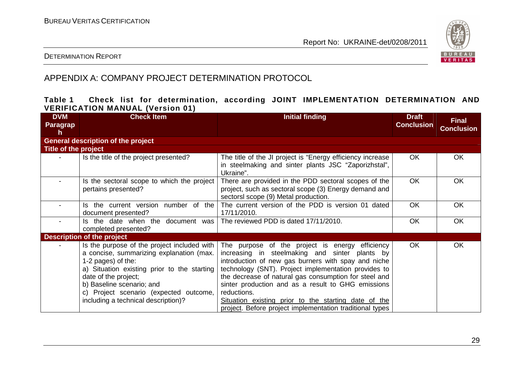

### DETERMINATION REPORT

# APPENDIX A: COMPANY PROJECT DETERMINATION PROTOCOL

### **Table 1 Check list for determination, according JOINT IMPLEMENTATION DETERMINATION AND VERIFICATION MANUAL (Version 01)**

| <b>DVM</b><br>Paragrap<br>h | <b>Check Item</b>                                                                                                                                                                                                                                                                                  | <b>Initial finding</b>                                                                                                                                                                                                                                                                                                                                                                                                                                             | <b>Draft</b><br><b>Conclusion</b> | <b>Final</b><br><b>Conclusion</b> |
|-----------------------------|----------------------------------------------------------------------------------------------------------------------------------------------------------------------------------------------------------------------------------------------------------------------------------------------------|--------------------------------------------------------------------------------------------------------------------------------------------------------------------------------------------------------------------------------------------------------------------------------------------------------------------------------------------------------------------------------------------------------------------------------------------------------------------|-----------------------------------|-----------------------------------|
|                             | <b>General description of the project</b>                                                                                                                                                                                                                                                          |                                                                                                                                                                                                                                                                                                                                                                                                                                                                    |                                   |                                   |
| Title of the project        |                                                                                                                                                                                                                                                                                                    |                                                                                                                                                                                                                                                                                                                                                                                                                                                                    |                                   |                                   |
|                             | Is the title of the project presented?                                                                                                                                                                                                                                                             | The title of the JI project is "Energy efficiency increase<br>in steelmaking and sinter plants JSC "Zaporizhstal",<br>Ukraine".                                                                                                                                                                                                                                                                                                                                    | <b>OK</b>                         | <b>OK</b>                         |
|                             | Is the sectoral scope to which the project<br>pertains presented?                                                                                                                                                                                                                                  | There are provided in the PDD sectoral scopes of the<br>project, such as sectoral scope (3) Energy demand and<br>sectorsl scope (9) Metal production.                                                                                                                                                                                                                                                                                                              | <b>OK</b>                         | <b>OK</b>                         |
| $\blacksquare$              | Is the current version number of the<br>document presented?                                                                                                                                                                                                                                        | The current version of the PDD is version 01 dated<br>17/11/2010.                                                                                                                                                                                                                                                                                                                                                                                                  | <b>OK</b>                         | <b>OK</b>                         |
|                             | Is the date when the document was<br>completed presented?                                                                                                                                                                                                                                          | The reviewed PDD is dated 17/11/2010.                                                                                                                                                                                                                                                                                                                                                                                                                              | <b>OK</b>                         | <b>OK</b>                         |
|                             | <b>Description of the project</b>                                                                                                                                                                                                                                                                  |                                                                                                                                                                                                                                                                                                                                                                                                                                                                    |                                   |                                   |
|                             | Is the purpose of the project included with<br>a concise, summarizing explanation (max.<br>1-2 pages) of the:<br>a) Situation existing prior to the starting<br>date of the project;<br>b) Baseline scenario; and<br>c) Project scenario (expected outcome,<br>including a technical description)? | The purpose of the project is energy efficiency<br>increasing in steelmaking and sinter plants by<br>introduction of new gas burners with spay and niche<br>technology (SNT). Project implementation provides to<br>the decrease of natural gas consumption for steel and<br>sinter production and as a result to GHG emissions<br>reductions.<br>Situation existing prior to the starting date of the<br>project. Before project implementation traditional types | <b>OK</b>                         | <b>OK</b>                         |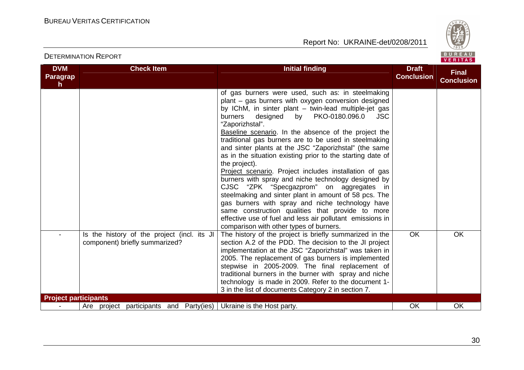

| <b>DVM</b>                  | <b>Check Item</b>                                                             | <b>Initial finding</b>                                                                                                                                                                                                                                                                                                                                                                                                                                                                                                                                                                                                                                                                                                                                                                                                                                                                                                                    | <b>Draft</b>      | <b>Final</b>      |
|-----------------------------|-------------------------------------------------------------------------------|-------------------------------------------------------------------------------------------------------------------------------------------------------------------------------------------------------------------------------------------------------------------------------------------------------------------------------------------------------------------------------------------------------------------------------------------------------------------------------------------------------------------------------------------------------------------------------------------------------------------------------------------------------------------------------------------------------------------------------------------------------------------------------------------------------------------------------------------------------------------------------------------------------------------------------------------|-------------------|-------------------|
| Paragrap<br>h.              |                                                                               |                                                                                                                                                                                                                                                                                                                                                                                                                                                                                                                                                                                                                                                                                                                                                                                                                                                                                                                                           | <b>Conclusion</b> | <b>Conclusion</b> |
|                             |                                                                               | of gas burners were used, such as: in steelmaking<br>plant - gas burners with oxygen conversion designed<br>by IChM, in sinter plant - twin-lead multiple-jet gas<br>by<br>PKO-0180.096.0<br>burners<br>designed<br>JSC<br>"Zaporizhstal".<br>Baseline scenario. In the absence of the project the<br>traditional gas burners are to be used in steelmaking<br>and sinter plants at the JSC "Zaporizhstal" (the same<br>as in the situation existing prior to the starting date of<br>the project).<br>Project scenario. Project includes installation of gas<br>burners with spray and niche technology designed by<br>CJSC "ZPK "Specgazprom" on aggregates in<br>steelmaking and sinter plant in amount of 58 pcs. The<br>gas burners with spray and niche technology have<br>same construction qualities that provide to more<br>effective use of fuel and less air pollutant emissions in<br>comparison with other types of burners. |                   |                   |
|                             | Is the history of the project (incl. its JI<br>component) briefly summarized? | The history of the project is briefly summarized in the<br>section A.2 of the PDD. The decision to the JI project<br>implementation at the JSC "Zaporizhstal" was taken in<br>2005. The replacement of gas burners is implemented<br>stepwise in 2005-2009. The final replacement of<br>traditional burners in the burner with spray and niche<br>technology is made in 2009. Refer to the document 1-<br>3 in the list of documents Category 2 in section 7.                                                                                                                                                                                                                                                                                                                                                                                                                                                                             | <b>OK</b>         | <b>OK</b>         |
| <b>Project participants</b> |                                                                               |                                                                                                                                                                                                                                                                                                                                                                                                                                                                                                                                                                                                                                                                                                                                                                                                                                                                                                                                           |                   |                   |
|                             | Are project participants and Party(ies)   Ukraine is the Host party.          |                                                                                                                                                                                                                                                                                                                                                                                                                                                                                                                                                                                                                                                                                                                                                                                                                                                                                                                                           | OK                | OK                |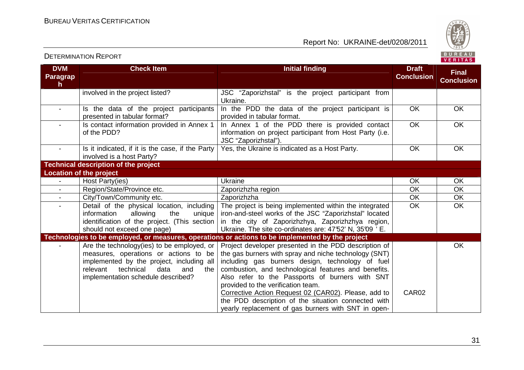

| <b>DVM</b><br><b>Paragrap</b><br>h. | <b>Check Item</b>                                                                                                                                                                                                      | <b>Initial finding</b>                                                                                                                                                                                                                                                                                                                                                                                                                                                                    | <b>Draft</b><br><b>Conclusion</b> | <b>Final</b><br><b>Conclusion</b> |
|-------------------------------------|------------------------------------------------------------------------------------------------------------------------------------------------------------------------------------------------------------------------|-------------------------------------------------------------------------------------------------------------------------------------------------------------------------------------------------------------------------------------------------------------------------------------------------------------------------------------------------------------------------------------------------------------------------------------------------------------------------------------------|-----------------------------------|-----------------------------------|
|                                     | involved in the project listed?                                                                                                                                                                                        | JSC "Zaporizhstal" is the project participant from<br>Ukraine.                                                                                                                                                                                                                                                                                                                                                                                                                            |                                   |                                   |
| $\overline{\phantom{a}}$            | Is the data of the project participants<br>presented in tabular format?                                                                                                                                                | In the PDD the data of the project participant is<br>provided in tabular format.                                                                                                                                                                                                                                                                                                                                                                                                          | OK                                | OK                                |
|                                     | Is contact information provided in Annex 1<br>of the PDD?                                                                                                                                                              | In Annex 1 of the PDD there is provided contact<br>information on project participant from Host Party (i.e.<br>JSC "Zaporizhstal").                                                                                                                                                                                                                                                                                                                                                       | <b>OK</b>                         | <b>OK</b>                         |
|                                     | Is it indicated, if it is the case, if the Party<br>involved is a host Party?                                                                                                                                          | Yes, the Ukraine is indicated as a Host Party.                                                                                                                                                                                                                                                                                                                                                                                                                                            | OK                                | OK                                |
|                                     | <b>Technical description of the project</b>                                                                                                                                                                            |                                                                                                                                                                                                                                                                                                                                                                                                                                                                                           |                                   |                                   |
|                                     | <b>Location of the project</b>                                                                                                                                                                                         |                                                                                                                                                                                                                                                                                                                                                                                                                                                                                           |                                   |                                   |
|                                     | Host Party(ies)                                                                                                                                                                                                        | Ukraine                                                                                                                                                                                                                                                                                                                                                                                                                                                                                   | OK                                | <b>OK</b>                         |
|                                     | Region/State/Province etc.                                                                                                                                                                                             | Zaporizhzha region                                                                                                                                                                                                                                                                                                                                                                                                                                                                        | OK                                | <b>OK</b>                         |
|                                     | City/Town/Community etc.                                                                                                                                                                                               | Zaporizhzha                                                                                                                                                                                                                                                                                                                                                                                                                                                                               | OK                                | OK                                |
|                                     | Detail of the physical location, including<br>information<br>allowing<br>the<br>unique<br>identification of the project. (This section<br>should not exceed one page)                                                  | The project is being implemented within the integrated<br>iron-and-steel works of the JSC "Zaporizhstal" located<br>in the city of Zaporizhzhya, Zaporizhzhya region,<br>Ukraine. The site co-ordinates are: 47°52' N, 35°09 ' E.                                                                                                                                                                                                                                                         | <b>OK</b>                         | <b>OK</b>                         |
|                                     |                                                                                                                                                                                                                        | Technologies to be employed, or measures, operations or actions to be implemented by the project                                                                                                                                                                                                                                                                                                                                                                                          |                                   |                                   |
|                                     | Are the technology (ies) to be employed, or<br>measures, operations or actions to be<br>implemented by the project, including all<br>technical<br>data<br>relevant<br>and<br>the<br>implementation schedule described? | Project developer presented in the PDD description of<br>the gas burners with spray and niche technology (SNT)<br>including gas burners design, technology of fuel<br>combustion, and technological features and benefits.<br>Also refer to the Passports of burners with SNT<br>provided to the verification team.<br>Corrective Action Request 02 (CAR02). Please, add to<br>the PDD description of the situation connected with<br>yearly replacement of gas burners with SNT in open- | CAR02                             | <b>OK</b>                         |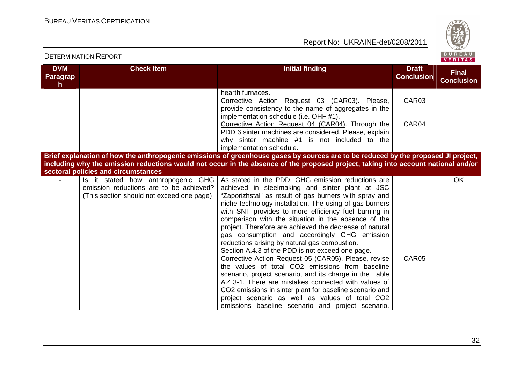DETERMINATION REPORT

Report No: UKRAINE-det/0208/2011



#### **DVM Paragraph Check Item Initial finding Check Item Initial finding Check Item Initial finding Initial finding Draft Conclusion Final Conclusion**hearth furnaces. Corrective Action Request 03 (CAR03). Please, provide consistency to the name of aggregates in the implementation schedule (i.e. OHF #1). Corrective Action Request 04 (CAR04). Through the PDD 6 sinter machines are considered. Please, explain why sinter machine #1 is not included to the implementation schedule. **Brief explanation of how the anthropogenic emissions of greenhouse gases by sources are to be reduced by the proposed JI project,** CAR03 CAR04 **including why the emission reductions would not occur in the absence of the proposed project, taking into account national and/or sectoral policies and circumstances** - Is it stated how anthropogenic GHG emission reductions are to be achieved? (This section should not exceed one page) As stated in the PDD, GHG emission reductions are achieved in steelmaking and sinter plant at JSC "Zaporizhstal" as result of gas burners with spray and niche technology installation. The using of gas burners with SNT provides to more efficiency fuel burning in comparison with the situation in the absence of the project. Therefore are achieved the decrease of natural gas consumption and accordingly GHG emission reductions arising by natural gas combustion. Section A.4.3 of the PDD is not exceed one page. Corrective Action Request 05 (CAR05). Please, revise the values of total CO2 emissions from baseline scenario, project scenario, and its charge in the Table A.4.3-1. There are mistakes connected with values of CO2 emissions in sinter plant for baseline scenario and project scenario as well as values of total CO2 emissions baseline scenario and project scenario. CAR05 OK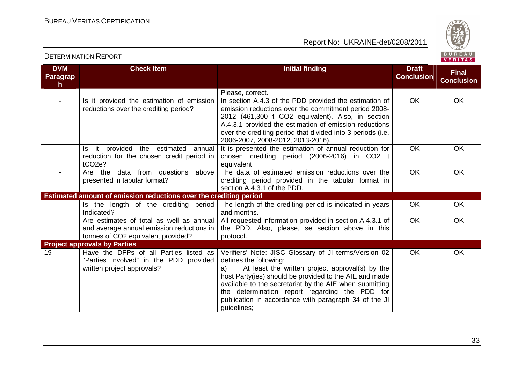

#### **DVM Paragraph Check Item Initial finding Check Item Initial finding Check Item Initial finding Check Item Initial finding Check Item Initial finding Check Item Initial finding Check Item Initial finding Check Item Initial finding Check Conclusion Final Conclusion**Please, correct. In section A.4.3 of the PDD provided the estimation of - Is it provided the estimation of emission reductions over the crediting period? emission reductions over the commitment period 2008- 2012 (461,300 t CO2 equivalent). Also, in section A.4.3.1 provided the estimation of emission reductions over the crediting period that divided into 3 periods (i.e. 2006-2007, 2008-2012, 2013-2016). It is presented the estimation of annual reduction for OK OK Is it provided the estimated annual reduction for the chosen credit period in tCO2e? - Are the data from questions above chosen crediting period (2006-2016) in CO2 t equivalent. The data of estimated emission reductions over the OK OK presented in tabular format? crediting period provided in the tabular format in section A.4.3.1 of the PDD. OK OK **Estimated amount of emission reductions over the crediting period**  The length of the crediting period is indicated in years Is the length of the crediting period Indicated? - Are estimates of total as well as annual and months. All requested information provided in section A.4.3.1 of OK OK and average annual emission reductions in tonnes of CO2 equivalent provided? the PDD. Also, please, se section above in this protocol. OK OK **Project approvals by Parties**  19 Have the DFPs of all Parties listed as "Parties involved" in the PDD provided written project approvals? Verifiers' Note: JISC Glossary of JI terms/Version 02 defines the following: a) At least the written project approval(s) by the host Party(ies) should be provided to the AIE and made available to the secretariat by the AIE when submitting the determination report regarding the PDD for publication in accordance with paragraph 34 of the JI guidelines; OK OK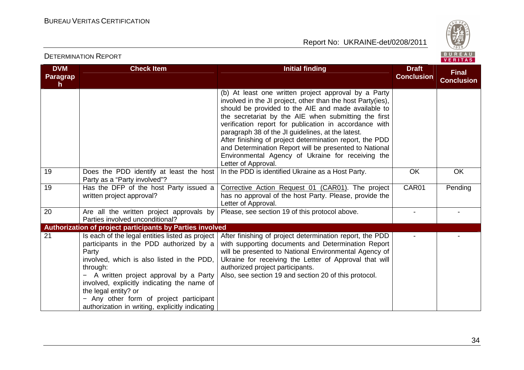

#### **DVM Paragraph Check Item Initial finding Check Item Initial finding Check Item Initial finding Initial finding Draft Conclusion Final Conclusion**(b) At least one written project approval by a Party involved in the JI project, other than the host Party(ies), should be provided to the AIE and made available to the secretariat by the AIE when submitting the first verification report for publication in accordance with paragraph 38 of the JI guidelines, at the latest. After finishing of project determination report, the PDD and Determination Report will be presented to National Environmental Agency of Ukraine for receiving the Letter of Approval. In the PDD is identified Ukraine as a Host Party.  $\overline{O}$  OK  $\overline{O}$  OK 19 Does the PDD identify at least the host Party as a "Party involved"? 19 | Has the DFP of the host Party issued a written project approval? Corrective Action Request 01 (CAR01). The project has no approval of the host Party. Please, provide the Letter of Approval. Please, see section 19 of this protocol above. - - CAR01 Pending 20 Are all the written project approvals by Parties involved unconditional? **Authorization of project participants by Parties involved**  After finishing of project determination report, the PDD 21 Is each of the legal entities listed as project participants in the PDD authorized by a Party involved, which is also listed in the PDD, through: − A written project approval by a Party involved, explicitly indicating the name of the legal entity? or − Any other form of project participant authorization in writing, explicitly indicating with supporting documents and Determination Report will be presented to National Environmental Agency of Ukraine for receiving the Letter of Approval that will authorized project participants. Also, see section 19 and section 20 of this protocol. - -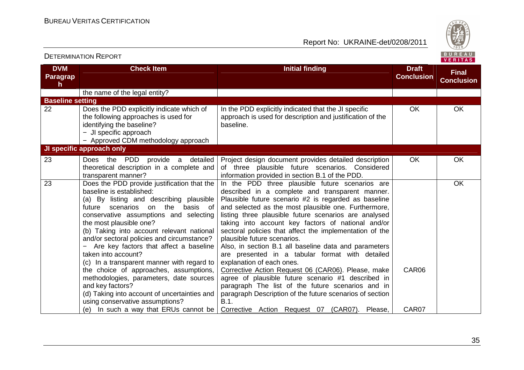

| <b>DVM</b><br><b>Paragrap</b><br>h. | <b>Check Item</b>                                                                                                                                                                                                                                                                                                                                                                                                                                                                                                                                                                                                                                                                   | <b>Initial finding</b>                                                                                                                                                                                                                                                                                                                                                                                                                                                                                                                                                                                                                                                                                                                                                                                                                                     | <b>Draft</b><br><b>Conclusion</b> | <b>Final</b><br><b>Conclusion</b> |
|-------------------------------------|-------------------------------------------------------------------------------------------------------------------------------------------------------------------------------------------------------------------------------------------------------------------------------------------------------------------------------------------------------------------------------------------------------------------------------------------------------------------------------------------------------------------------------------------------------------------------------------------------------------------------------------------------------------------------------------|------------------------------------------------------------------------------------------------------------------------------------------------------------------------------------------------------------------------------------------------------------------------------------------------------------------------------------------------------------------------------------------------------------------------------------------------------------------------------------------------------------------------------------------------------------------------------------------------------------------------------------------------------------------------------------------------------------------------------------------------------------------------------------------------------------------------------------------------------------|-----------------------------------|-----------------------------------|
|                                     | the name of the legal entity?                                                                                                                                                                                                                                                                                                                                                                                                                                                                                                                                                                                                                                                       |                                                                                                                                                                                                                                                                                                                                                                                                                                                                                                                                                                                                                                                                                                                                                                                                                                                            |                                   |                                   |
| <b>Baseline setting</b>             |                                                                                                                                                                                                                                                                                                                                                                                                                                                                                                                                                                                                                                                                                     |                                                                                                                                                                                                                                                                                                                                                                                                                                                                                                                                                                                                                                                                                                                                                                                                                                                            |                                   |                                   |
| 22                                  | Does the PDD explicitly indicate which of<br>the following approaches is used for<br>identifying the baseline?<br>- JI specific approach<br>- Approved CDM methodology approach                                                                                                                                                                                                                                                                                                                                                                                                                                                                                                     | In the PDD explicitly indicated that the JI specific<br>approach is used for description and justification of the<br>baseline.                                                                                                                                                                                                                                                                                                                                                                                                                                                                                                                                                                                                                                                                                                                             | <b>OK</b>                         | OK                                |
|                                     | JI specific approach only                                                                                                                                                                                                                                                                                                                                                                                                                                                                                                                                                                                                                                                           |                                                                                                                                                                                                                                                                                                                                                                                                                                                                                                                                                                                                                                                                                                                                                                                                                                                            |                                   |                                   |
| 23                                  | Does the PDD provide a detailed<br>theoretical description in a complete and<br>transparent manner?                                                                                                                                                                                                                                                                                                                                                                                                                                                                                                                                                                                 | Project design document provides detailed description<br>of three plausible future scenarios. Considered<br>information provided in section B.1 of the PDD.                                                                                                                                                                                                                                                                                                                                                                                                                                                                                                                                                                                                                                                                                                | <b>OK</b>                         | <b>OK</b>                         |
| 23                                  | Does the PDD provide justification that the<br>baseline is established:<br>(a) By listing and describing plausible<br>the<br>future scenarios<br>on<br>basis of<br>conservative assumptions and selecting<br>the most plausible one?<br>(b) Taking into account relevant national<br>and/or sectoral policies and circumstance?<br>Are key factors that affect a baseline<br>taken into account?<br>(c) In a transparent manner with regard to<br>the choice of approaches, assumptions,<br>methodologies, parameters, date sources<br>and key factors?<br>(d) Taking into account of uncertainties and<br>using conservative assumptions?<br>(e) In such a way that ERUs cannot be | In the PDD three plausible future scenarios are<br>described in a complete and transparent manner.<br>Plausible future scenario #2 is regarded as baseline<br>and selected as the most plausible one. Furthermore,<br>listing three plausible future scenarios are analysed<br>taking into account key factors of national and/or<br>sectoral policies that affect the implementation of the<br>plausible future scenarios.<br>Also, in section B.1 all baseline data and parameters<br>are presented in a tabular format with detailed<br>explanation of each ones.<br>Corrective Action Request 06 (CAR06). Please, make<br>agree of plausible future scenario #1 described in<br>paragraph The list of the future scenarios and in<br>paragraph Description of the future scenarios of section<br>B.1.<br>Corrective Action Request 07 (CAR07). Please, | CAR06<br>CAR07                    | OK                                |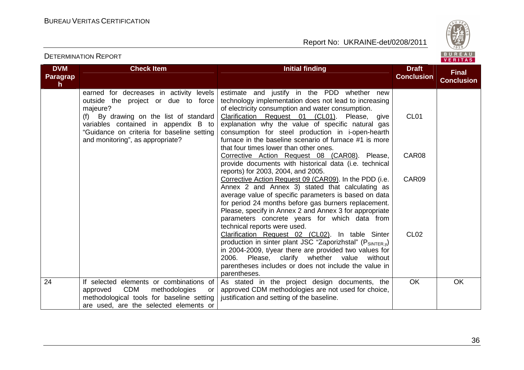

| <b>DVM</b> | <b>Check Item</b>                                                                                                                                                                                                                                              | <b>Initial finding</b>                                                                                                                                                                                                                                                                                                                                                            | <b>Draft</b>      | <b>Final</b>      |
|------------|----------------------------------------------------------------------------------------------------------------------------------------------------------------------------------------------------------------------------------------------------------------|-----------------------------------------------------------------------------------------------------------------------------------------------------------------------------------------------------------------------------------------------------------------------------------------------------------------------------------------------------------------------------------|-------------------|-------------------|
| Paragrap   |                                                                                                                                                                                                                                                                |                                                                                                                                                                                                                                                                                                                                                                                   | <b>Conclusion</b> | <b>Conclusion</b> |
| h.         |                                                                                                                                                                                                                                                                |                                                                                                                                                                                                                                                                                                                                                                                   |                   |                   |
|            | earned for decreases in activity levels<br>outside the project or due to force<br>majeure?<br>(f) By drawing on the list of standard<br>variables contained in appendix B to<br>"Guidance on criteria for baseline setting<br>and monitoring", as appropriate? | estimate and justify in the PDD whether new<br>technology implementation does not lead to increasing<br>of electricity consumption and water consumption.<br>Clarification Request 01 (CL01).<br>Please, give<br>explanation why the value of specific natural gas<br>consumption for steel production in i-open-hearth<br>furnace in the baseline scenario of furnace #1 is more | CL <sub>01</sub>  |                   |
|            |                                                                                                                                                                                                                                                                | that four times lower than other ones.<br>Corrective Action Request 08 (CAR08). Please,<br>provide documents with historical data (i.e. technical<br>reports) for 2003, 2004, and 2005.                                                                                                                                                                                           | CAR08             |                   |
|            |                                                                                                                                                                                                                                                                | Corrective Action Request 09 (CAR09). In the PDD (i.e.<br>Annex 2 and Annex 3) stated that calculating as<br>average value of specific parameters is based on data<br>for period 24 months before gas burners replacement.<br>Please, specify in Annex 2 and Annex 3 for appropriate<br>parameters concrete years for which data from<br>technical reports were used.             | CAR09             |                   |
|            |                                                                                                                                                                                                                                                                | Clarification Request 02 (CL02). In table Sinter<br>production in sinter plant JSC "Zaporizhstal" (PSINTER.y)<br>in 2004-2009, t/year there are provided two values for<br>2006.<br>Please, clarify whether value<br>without<br>parentheses includes or does not include the value in<br>parentheses.                                                                             | CL <sub>02</sub>  |                   |
| 24         | If selected elements or combinations of<br><b>CDM</b><br>methodologies<br>approved<br>or<br>methodological tools for baseline setting<br>are used, are the selected elements or                                                                                | As stated in the project design documents, the<br>approved CDM methodologies are not used for choice,<br>justification and setting of the baseline.                                                                                                                                                                                                                               | <b>OK</b>         | OK.               |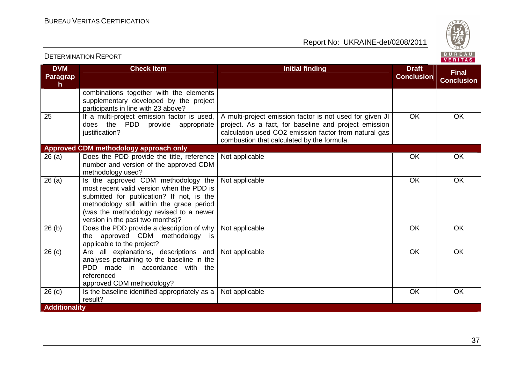DETERMINATION REPORT

Report No: UKRAINE-det/0208/2011



#### **DVM Paragraph Check Item Draft Check Item Initial finding Check Item Draft Conclusion Final Conclusion**combinations together with the elements supplementary developed by the project participants in line with 23 above? 25 **If a multi-project emission factor is used,**  does the PDD provide appropriate justification? A multi-project emission factor is not used for given JI project. As a fact, for baseline and project emission calculation used СО2 emission factor from natural gas combustion that calculated by the formula. OK OK **Approved CDM methodology approach only**  26 (a) Does the PDD provide the title, reference number and version of the approved CDM methodology used? 26 (a) Is the approved CDM methodology the Not applicable **OK** OK OK most recent valid version when the PDD is submitted for publication? If not, is the methodology still within the grace period (was the methodology revised to a newer version in the past two months)? 26 (b) Does the PDD provide a description of why | Not applicable  $\overline{O}$  | OK | OK OK Not applicable OK OK OK the approved CDM methodology is applicable to the project? 26 (c) | Are all explanations, descriptions and analyses pertaining to the baseline in the PDD made in accordance with the referenced approved CDM methodology? 26 (d)  $\qquad$  Is the baseline identified appropriately as a  $\mid$  Not applicable  $\qquad \qquad \mid$  OK  $\qquad \mid$  OK  $\qquad \mid$  OK Not applicable **OK** OK OK result? **Additionality**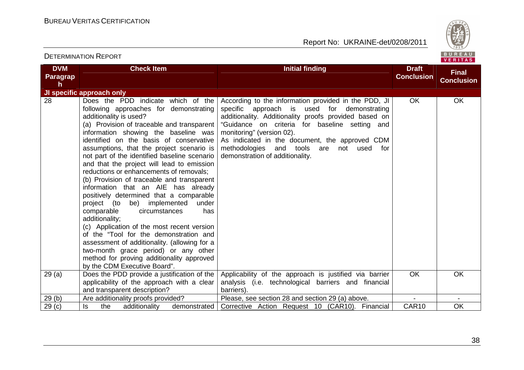

| <b>DVM</b>        | <b>Check Item</b>                                                                                                                                                                                                                                                                                                                                                                                                                                                                                                                                                                                                                                                                                                                                                                                                                                                                                                          | <b>Initial finding</b>                                                                                                                                                                                                                                                                                                                                                       | <b>Draft</b>      | <b>Final</b>      |
|-------------------|----------------------------------------------------------------------------------------------------------------------------------------------------------------------------------------------------------------------------------------------------------------------------------------------------------------------------------------------------------------------------------------------------------------------------------------------------------------------------------------------------------------------------------------------------------------------------------------------------------------------------------------------------------------------------------------------------------------------------------------------------------------------------------------------------------------------------------------------------------------------------------------------------------------------------|------------------------------------------------------------------------------------------------------------------------------------------------------------------------------------------------------------------------------------------------------------------------------------------------------------------------------------------------------------------------------|-------------------|-------------------|
| <b>Paragrap</b>   |                                                                                                                                                                                                                                                                                                                                                                                                                                                                                                                                                                                                                                                                                                                                                                                                                                                                                                                            |                                                                                                                                                                                                                                                                                                                                                                              | <b>Conclusion</b> | <b>Conclusion</b> |
| h                 |                                                                                                                                                                                                                                                                                                                                                                                                                                                                                                                                                                                                                                                                                                                                                                                                                                                                                                                            |                                                                                                                                                                                                                                                                                                                                                                              |                   |                   |
|                   | JI specific approach only                                                                                                                                                                                                                                                                                                                                                                                                                                                                                                                                                                                                                                                                                                                                                                                                                                                                                                  |                                                                                                                                                                                                                                                                                                                                                                              |                   |                   |
| 28                | Does the PDD indicate which of the<br>following approaches for demonstrating<br>additionality is used?<br>(a) Provision of traceable and transparent<br>information showing the baseline was<br>identified on the basis of conservative<br>assumptions, that the project scenario is<br>not part of the identified baseline scenario<br>and that the project will lead to emission<br>reductions or enhancements of removals;<br>(b) Provision of traceable and transparent<br>information that an AIE has already<br>positively determined that a comparable<br>project (to be) implemented<br>under<br>has<br>comparable<br>circumstances<br>additionality;<br>(c) Application of the most recent version<br>of the "Tool for the demonstration and<br>assessment of additionality. (allowing for a<br>two-month grace period) or any other<br>method for proving additionality approved<br>by the CDM Executive Board". | According to the information provided in the PDD, JI<br>specific approach is used for demonstrating<br>additionality. Additionality proofs provided based on<br>"Guidance on criteria for baseline setting and<br>monitoring" (version 02).<br>As indicated in the document, the approved CDM<br>methodologies and tools are not used for<br>demonstration of additionality. | <b>OK</b>         | <b>OK</b>         |
| 29(a)             | Does the PDD provide a justification of the<br>applicability of the approach with a clear<br>and transparent description?                                                                                                                                                                                                                                                                                                                                                                                                                                                                                                                                                                                                                                                                                                                                                                                                  | Applicability of the approach is justified via barrier<br>analysis (i.e. technological barriers and financial<br>barriers).                                                                                                                                                                                                                                                  | <b>OK</b>         | OK                |
| 29(b)             | Are additionality proofs provided?                                                                                                                                                                                                                                                                                                                                                                                                                                                                                                                                                                                                                                                                                                                                                                                                                                                                                         | Please, see section 28 and section 29 (a) above.                                                                                                                                                                                                                                                                                                                             | $\blacksquare$    | $\blacksquare$    |
| 29 <sub>(c)</sub> | the<br>additionality<br>demonstrated<br>Is                                                                                                                                                                                                                                                                                                                                                                                                                                                                                                                                                                                                                                                                                                                                                                                                                                                                                 | Corrective Action Request 10 (CAR10). Financial                                                                                                                                                                                                                                                                                                                              | CAR10             | OK                |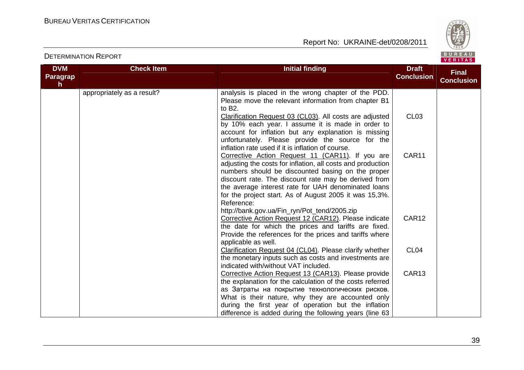

| <b>DVM</b><br>Paragrap<br>h. | <b>Check Item</b>          | <b>Initial finding</b>                                                                                                                                                                                                                                                                                                                                                                                           | <b>Draft</b><br><b>Conclusion</b> | <b>Final</b><br><b>Conclusion</b> |
|------------------------------|----------------------------|------------------------------------------------------------------------------------------------------------------------------------------------------------------------------------------------------------------------------------------------------------------------------------------------------------------------------------------------------------------------------------------------------------------|-----------------------------------|-----------------------------------|
|                              | appropriately as a result? | analysis is placed in the wrong chapter of the PDD.<br>Please move the relevant information from chapter B1<br>to B2.                                                                                                                                                                                                                                                                                            |                                   |                                   |
|                              |                            | Clarification Request 03 (CL03). All costs are adjusted<br>by 10% each year. I assume it is made in order to<br>account for inflation but any explanation is missing<br>unfortunately. Please provide the source for the                                                                                                                                                                                         | CL <sub>03</sub>                  |                                   |
|                              |                            | inflation rate used if it is inflation of course.<br>Corrective Action Request 11 (CAR11). If you are<br>adjusting the costs for inflation, all costs and production<br>numbers should be discounted basing on the proper<br>discount rate. The discount rate may be derived from<br>the average interest rate for UAH denominated loans<br>for the project start. As of August 2005 it was 15,3%.<br>Reference: | CAR11                             |                                   |
|                              |                            | http://bank.gov.ua/Fin_ryn/Pot_tend/2005.zip<br>Corrective Action Request 12 (CAR12). Please indicate<br>the date for which the prices and tariffs are fixed.<br>Provide the references for the prices and tariffs where<br>applicable as well.                                                                                                                                                                  | CAR12                             |                                   |
|                              |                            | Clarification Request 04 (CL04). Please clarify whether<br>the monetary inputs such as costs and investments are<br>indicated with/without VAT included.                                                                                                                                                                                                                                                         | CL <sub>04</sub>                  |                                   |
|                              |                            | Corrective Action Request 13 (CAR13). Please provide<br>the explanation for the calculation of the costs referred<br>as Затраты на покрытие технологических рисков.<br>What is their nature, why they are accounted only<br>during the first year of operation but the inflation<br>difference is added during the following years (line 63                                                                      | CAR13                             |                                   |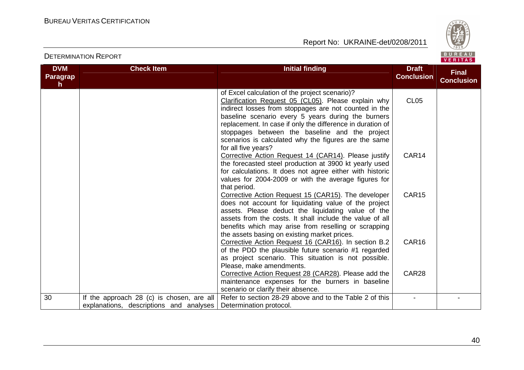

| <b>DVM</b><br>Paragrap | <b>Check Item</b>                                                                    | <b>Initial finding</b>                                                                                                                                                                                                                                                                                                                                                                                              | <b>Draft</b><br><b>Conclusion</b> | <b>Final</b>      |
|------------------------|--------------------------------------------------------------------------------------|---------------------------------------------------------------------------------------------------------------------------------------------------------------------------------------------------------------------------------------------------------------------------------------------------------------------------------------------------------------------------------------------------------------------|-----------------------------------|-------------------|
| h.                     |                                                                                      |                                                                                                                                                                                                                                                                                                                                                                                                                     |                                   | <b>Conclusion</b> |
|                        |                                                                                      | of Excel calculation of the project scenario)?<br>Clarification Request 05 (CL05). Please explain why<br>indirect losses from stoppages are not counted in the<br>baseline scenario every 5 years during the burners<br>replacement. In case if only the difference in duration of<br>stoppages between the baseline and the project<br>scenarios is calculated why the figures are the same<br>for all five years? | <b>CL05</b>                       |                   |
|                        |                                                                                      | Corrective Action Request 14 (CAR14). Please justify<br>the forecasted steel production at 3900 kt yearly used<br>for calculations. It does not agree either with historic<br>values for 2004-2009 or with the average figures for<br>that period.                                                                                                                                                                  | CAR14                             |                   |
|                        |                                                                                      | Corrective Action Request 15 (CAR15). The developer<br>does not account for liquidating value of the project<br>assets. Please deduct the liquidating value of the<br>assets from the costs. It shall include the value of all<br>benefits which may arise from reselling or scrapping<br>the assets basing on existing market prices.                                                                              | <b>CAR15</b>                      |                   |
|                        |                                                                                      | Corrective Action Request 16 (CAR16). In section B.2<br>of the PDD the plausible future scenario #1 regarded<br>as project scenario. This situation is not possible.<br>Please, make amendments.                                                                                                                                                                                                                    | CAR16                             |                   |
|                        |                                                                                      | Corrective Action Request 28 (CAR28). Please add the<br>maintenance expenses for the burners in baseline<br>scenario or clarify their absence.                                                                                                                                                                                                                                                                      | CAR28                             |                   |
| 30                     | If the approach 28 (c) is chosen, are all<br>explanations, descriptions and analyses | Refer to section 28-29 above and to the Table 2 of this<br>Determination protocol.                                                                                                                                                                                                                                                                                                                                  |                                   |                   |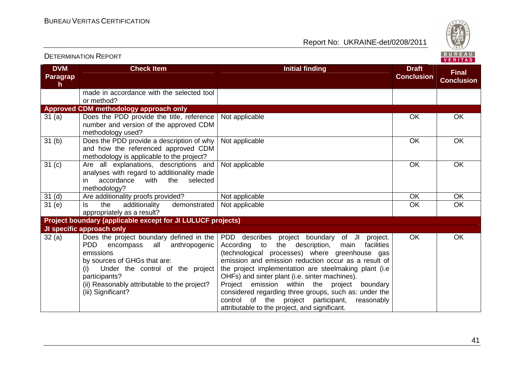DETERMINATION REPORT

Report No: UKRAINE-det/0208/2011



#### **DVM Paragraph Check Item Initial finding Check Item Initial finding Check Item Initial finding Check Item Initial finding Check Item Initial finding Check Item Initial finding Check Item Initial finding Check Item Initial finding Check Conclusion Final Conclusion**made in accordance with the selected tool or method? **Approved CDM methodology approach only**  31 (a) Does the PDD provide the title, reference number and version of the approved CDM methodology used? 31 (b) Does the PDD provide a description of why Not applicable **OK** OK OK and how the referenced approved CDM methodology is applicable to the project? 31 (c) Are all explanations, descriptions and Not applicable OK OK OK analyses with regard to additionality made selected  $\overline{\phantom{a}}$  in accordance with the methodology? 31 (d) | Are additionality proofs provided? | Not applicable OK | OK Not applicable  $\overline{O}$  OK  $\overline{O}$  OK  $\overline{OK}$ 31 (e) Is the additionality demonstrated appropriately as a result? **Project boundary (applicable except for JI LULUCF projects)** Not applicable **OK** OK **JI specific approach only**  32 (a) Does the project boundary defined in the PDD encompass all anthropogenic emissions by sources of GHGs that are: (i) Under the control of the project participants? (ii) Reasonably attributable to the project? (iii) Significant? PDD describes project boundary of JI project. According to the description, main facilities (technological processes) where greenhouse gas emission and emission reduction occur as a result of the project implementation are steelmaking plant (i.e OHFs) and sinter plant (i.e. sinter machines). Project emission within the project boundary considered regarding three groups, such as: under the reasonably control of the project participant, attributable to the project, and significant. OK OK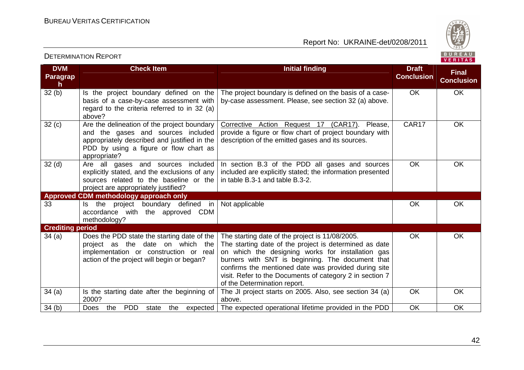DETERMINATION REPORT

Report No: UKRAINE-det/0208/2011



#### **DVM Paragraph**  $32(b)$ **Check Item Draft Check Item Initial finding Check Item Draft Conclusion Final Conclusion**Is the project boundary defined on the basis of a case-by-case assessment with regard to the criteria referred to in 32 (a) above?  $32 (c)$  Are the delineation of the project boundary The project boundary is defined on the basis of a case-The project boundary is defined on the basis of a case-<br>by-case assessment. Please, see section 32 (a) above. and the gases and sources included appropriately described and justified in the PDD by using a figure or flow chart as appropriate? 32 (d) | Are all gases and sources included Corrective Action Request 17 (CAR17). Please, provide a figure or flow chart of project boundary with description of the emitted gases and its sources. CAR17 OK explicitly stated, and the exclusions of any sources related to the baseline or the project are appropriately justified? **Approved CDM methodology approach only** In section B.3 of the PDD all gases and sources included are explicitly stated; the information presented in table B.3-1 and table B.3-2. OK OK 33 | Is the project boundary defined in accordance with the approved CDM methodology? Not applicable **OK** OK OK **Crediting period**  34 (a) Does the PDD state the starting date of the project as the date on which the implementation or construction or real action of the project will begin or began? The starting date of the project is 11/08/2005. The starting date of the project is determined as date on which the designing works for installation gas burners with SNT is beginning. The document that confirms the mentioned date was provided during site visit. Refer to the Documents of category 2 in section 7 of the Determination report. The JI project starts on 2005. Also, see section 34 (a) OK OK  $34$  (a) Is the starting date after the beginning of 2000? Does the above. 34 (b) | Does the PDD state the expected The expected operational lifetime provided in the PDD | OK | OK OK OK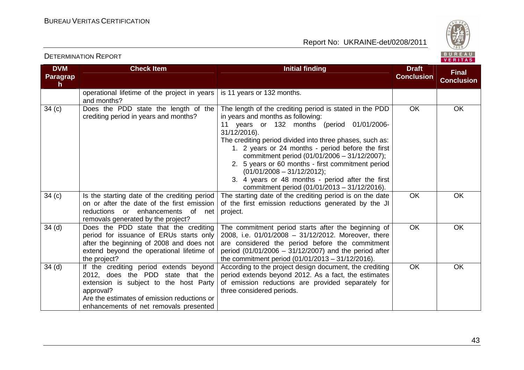

#### **DVM Paragraph Check Item Initial finding Check Item Initial finding Check Item Initial finding Check Item Initial finding Check Item Initial finding Check Item Initial finding Check Item Initial finding Check Item Initial finding Check Conclusion Final Conclusion**operational lifetime of the project in years and months? 34 (c) Does the PDD state the length of the is 11 years or 132 months. crediting period in years and months? The length of the crediting period is stated in the PDD in years and months as following: 11 years or 132 months (period 01/01/2006-31/12/2016). The crediting period divided into three phases, such as: 1. 2 years or 24 months - period before the first commitment period (01/01/2006 – 31/12/2007); 2. 5 years or 60 months - first commitment period (01/01/2008 – 31/12/2012); 3. 4 years or 48 months - period after the first commitment period (01/01/2013 – 31/12/2016). The starting date of the crediting period is on the date OK OK 34 (c) Is the starting date of the crediting period on or after the date of the first emission reductions or enhancements of net removals generated by the project? 34 (d) Does the PDD state that the crediting of the first emission reductions generated by the JI project. OK OK period for issuance of ERUs starts only after the beginning of 2008 and does not extend beyond the operational lifetime of the project? 34 (d) | If the crediting period extends beyond The commitment period starts after the beginning of 2008, i.e. 01/01/2008 – 31/12/2012. Moreover, there are considered the period before the commitment period (01/01/2006 – 31/12/2007) and the period after the commitment period (01/01/2013 – 31/12/2016). According to the project design document, the crediting OK OK 2012, does the PDD state that the extension is subject to the host Party approval? Are the estimates of emission reductions or enhancements of net removals presented period extends beyond 2012. As a fact, the estimates of emission reductions are provided separately for three considered periods. OK OK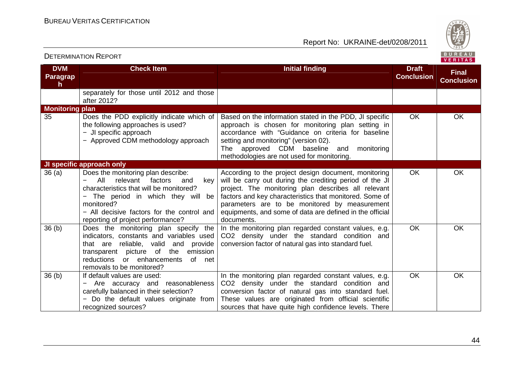

| <b>DVM</b>             | <b>Check Item</b>                                                                                                                                                                                                                                              | <b>Initial finding</b>                                                                                                                                                                                                                                                                                                                                       | <b>Draft</b>      | <b>Final</b>      |
|------------------------|----------------------------------------------------------------------------------------------------------------------------------------------------------------------------------------------------------------------------------------------------------------|--------------------------------------------------------------------------------------------------------------------------------------------------------------------------------------------------------------------------------------------------------------------------------------------------------------------------------------------------------------|-------------------|-------------------|
| Paragrap<br>h.         |                                                                                                                                                                                                                                                                |                                                                                                                                                                                                                                                                                                                                                              | <b>Conclusion</b> | <b>Conclusion</b> |
|                        | separately for those until 2012 and those<br>after 2012?                                                                                                                                                                                                       |                                                                                                                                                                                                                                                                                                                                                              |                   |                   |
| <b>Monitoring plan</b> |                                                                                                                                                                                                                                                                |                                                                                                                                                                                                                                                                                                                                                              |                   |                   |
| 35                     | Does the PDD explicitly indicate which of<br>the following approaches is used?<br>- JI specific approach<br>- Approved CDM methodology approach                                                                                                                | Based on the information stated in the PDD, JI specific<br>approach is chosen for monitoring plan setting in<br>accordance with "Guidance on criteria for baseline<br>setting and monitoring" (version 02).<br>The approved CDM baseline and<br>monitoring<br>methodologies are not used for monitoring.                                                     | <b>OK</b>         | <b>OK</b>         |
|                        | JI specific approach only                                                                                                                                                                                                                                      |                                                                                                                                                                                                                                                                                                                                                              |                   |                   |
| 36(a)                  | Does the monitoring plan describe:<br>relevant<br>All<br>factors<br>and<br>key<br>characteristics that will be monitored?<br>The period in which they will be<br>monitored?<br>- All decisive factors for the control and<br>reporting of project performance? | According to the project design document, monitoring<br>will be carry out during the crediting period of the JI<br>project. The monitoring plan describes all relevant<br>factors and key characteristics that monitored. Some of<br>parameters are to be monitored by measurement<br>equipments, and some of data are defined in the official<br>documents. | <b>OK</b>         | <b>OK</b>         |
| 36(b)                  | Does the monitoring plan specify the<br>indicators, constants and variables used<br>that are reliable, valid and provide<br>transparent picture of the emission<br><b>reductions</b><br>or enhancements<br>of net<br>removals to be monitored?                 | In the monitoring plan regarded constant values, e.g.<br>CO2 density under the standard condition and<br>conversion factor of natural gas into standard fuel.                                                                                                                                                                                                | <b>OK</b>         | <b>OK</b>         |
| 36 <sub>(b)</sub>      | If default values are used:<br>Are accuracy and reasonableness<br>carefully balanced in their selection?<br>Do the default values originate from<br>recognized sources?                                                                                        | In the monitoring plan regarded constant values, e.g.<br>CO2 density under the standard condition and<br>conversion factor of natural gas into standard fuel.<br>These values are originated from official scientific<br>sources that have quite high confidence levels. There                                                                               | <b>OK</b>         | <b>OK</b>         |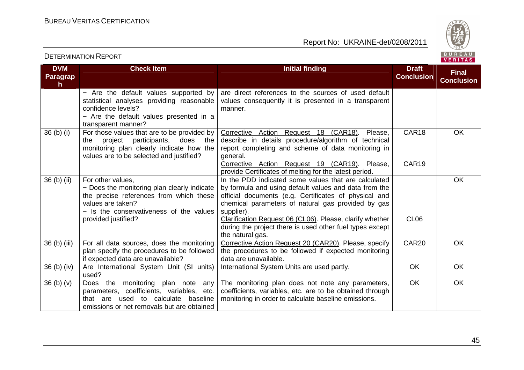

| <b>DVM</b>                       | <b>Check Item</b>                                                                                                                                                                                  | <b>Initial finding</b>                                                                                                                                                                                                                                                                                                                                                                 | <b>Draft</b>               | <b>Final</b>      |
|----------------------------------|----------------------------------------------------------------------------------------------------------------------------------------------------------------------------------------------------|----------------------------------------------------------------------------------------------------------------------------------------------------------------------------------------------------------------------------------------------------------------------------------------------------------------------------------------------------------------------------------------|----------------------------|-------------------|
| Paragrap<br>h.                   |                                                                                                                                                                                                    |                                                                                                                                                                                                                                                                                                                                                                                        | <b>Conclusion</b>          | <b>Conclusion</b> |
|                                  | - Are the default values supported by<br>statistical analyses providing reasonable<br>confidence levels?<br>- Are the default values presented in a<br>transparent manner?                         | are direct references to the sources of used default<br>values consequently it is presented in a transparent<br>manner.                                                                                                                                                                                                                                                                |                            |                   |
| 36 (b) (i)                       | For those values that are to be provided by<br>participants,<br>does the<br>project<br>the<br>monitoring plan clearly indicate how the<br>values are to be selected and justified?                 | Corrective Action Request 18 (CAR18).<br>Please,<br>describe in details procedure/algorithm of technical<br>report completing and scheme of data monitoring in<br>general.<br>Corrective Action Request 19 (CAR19). Please,<br>provide Certificates of melting for the latest period.                                                                                                  | CAR <sub>18</sub><br>CAR19 | <b>OK</b>         |
| 36 (b) (ii)                      | For other values,<br>- Does the monitoring plan clearly indicate<br>the precise references from which these<br>values are taken?<br>- Is the conservativeness of the values<br>provided justified? | In the PDD indicated some values that are calculated<br>by formula and using default values and data from the<br>official documents (e.g. Certificates of physical and<br>chemical parameters of natural gas provided by gas<br>supplier).<br>Clarification Request 06 (CL06). Please, clarify whether<br>during the project there is used other fuel types except<br>the natural gas. | CL <sub>06</sub>           | <b>OK</b>         |
| 36 (b) (iii)                     | For all data sources, does the monitoring<br>plan specify the procedures to be followed<br>if expected data are unavailable?                                                                       | Corrective Action Request 20 (CAR20). Please, specify<br>the procedures to be followed if expected monitoring<br>data are unavailable.                                                                                                                                                                                                                                                 | CAR20                      | <b>OK</b>         |
| 36 (b) (iv)                      | Are International System Unit (SI units)<br>used?                                                                                                                                                  | International System Units are used partly.                                                                                                                                                                                                                                                                                                                                            | <b>OK</b>                  | <b>OK</b>         |
| 36 <sub>(b)</sub> <sub>(v)</sub> | Does the monitoring plan note<br>any<br>parameters, coefficients, variables, etc.<br>that are used to calculate<br>baseline<br>emissions or net removals but are obtained                          | The monitoring plan does not note any parameters,<br>coefficients, variables, etc. are to be obtained through<br>monitoring in order to calculate baseline emissions.                                                                                                                                                                                                                  | <b>OK</b>                  | OK                |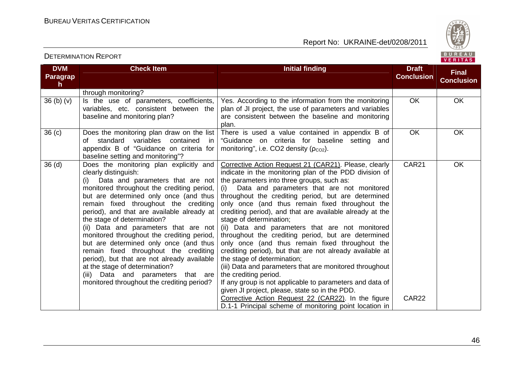

| <b>DVM</b><br>Paragrap<br>h.     | <b>Check Item</b>                                                                                                                                                                                                                                                                                                                                                                                                                                                                                                                                                                                                                                                    | <b>Initial finding</b>                                                                                                                                                                                                                                                                                                                                                                                                                                                                                                                                                                                                                                                                                                                                                                                                                                                                                                                                                                         | <b>Draft</b><br><b>Conclusion</b> | <b>Final</b><br><b>Conclusion</b> |
|----------------------------------|----------------------------------------------------------------------------------------------------------------------------------------------------------------------------------------------------------------------------------------------------------------------------------------------------------------------------------------------------------------------------------------------------------------------------------------------------------------------------------------------------------------------------------------------------------------------------------------------------------------------------------------------------------------------|------------------------------------------------------------------------------------------------------------------------------------------------------------------------------------------------------------------------------------------------------------------------------------------------------------------------------------------------------------------------------------------------------------------------------------------------------------------------------------------------------------------------------------------------------------------------------------------------------------------------------------------------------------------------------------------------------------------------------------------------------------------------------------------------------------------------------------------------------------------------------------------------------------------------------------------------------------------------------------------------|-----------------------------------|-----------------------------------|
|                                  | through monitoring?                                                                                                                                                                                                                                                                                                                                                                                                                                                                                                                                                                                                                                                  |                                                                                                                                                                                                                                                                                                                                                                                                                                                                                                                                                                                                                                                                                                                                                                                                                                                                                                                                                                                                |                                   |                                   |
| 36 <sub>(b)</sub> <sub>(v)</sub> | Is the use of parameters, coefficients,<br>variables, etc. consistent between the<br>baseline and monitoring plan?                                                                                                                                                                                                                                                                                                                                                                                                                                                                                                                                                   | Yes. According to the information from the monitoring<br>plan of JI project, the use of parameters and variables<br>are consistent between the baseline and monitoring<br>plan.                                                                                                                                                                                                                                                                                                                                                                                                                                                                                                                                                                                                                                                                                                                                                                                                                | OK.                               | <b>OK</b>                         |
| 36 <sub>(c)</sub>                | Does the monitoring plan draw on the list<br>of standard variables<br>contained<br>in<br>appendix B of "Guidance on criteria for<br>baseline setting and monitoring"?                                                                                                                                                                                                                                                                                                                                                                                                                                                                                                | There is used a value contained in appendix B of<br>"Guidance on criteria for baseline setting and<br>monitoring", i.e. CO2 density $(p_{CO2})$ .                                                                                                                                                                                                                                                                                                                                                                                                                                                                                                                                                                                                                                                                                                                                                                                                                                              | <b>OK</b>                         | <b>OK</b>                         |
| 36 <sub>(d)</sub>                | Does the monitoring plan explicitly and<br>clearly distinguish:<br>(i) Data and parameters that are not<br>monitored throughout the crediting period,<br>but are determined only once (and thus<br>remain fixed throughout the crediting<br>period), and that are available already at<br>the stage of determination?<br>(ii) Data and parameters that are not<br>monitored throughout the crediting period,<br>but are determined only once (and thus<br>remain fixed throughout the crediting<br>period), but that are not already available<br>at the stage of determination?<br>(iii) Data and parameters that are<br>monitored throughout the crediting period? | Corrective Action Request 21 (CAR21). Please, clearly<br>indicate in the monitoring plan of the PDD division of<br>the parameters into three groups, such as:<br>Data and parameters that are not monitored<br>(i)<br>throughout the crediting period, but are determined<br>only once (and thus remain fixed throughout the<br>crediting period), and that are available already at the<br>stage of determination;<br>(ii) Data and parameters that are not monitored<br>throughout the crediting period, but are determined<br>only once (and thus remain fixed throughout the<br>crediting period), but that are not already available at<br>the stage of determination;<br>(iii) Data and parameters that are monitored throughout<br>the crediting period.<br>If any group is not applicable to parameters and data of<br>given JI project, please, state so in the PDD.<br>Corrective Action Request 22 (CAR22). In the figure<br>D.1-1 Principal scheme of monitoring point location in | <b>CAR21</b><br>CAR22             | <b>OK</b>                         |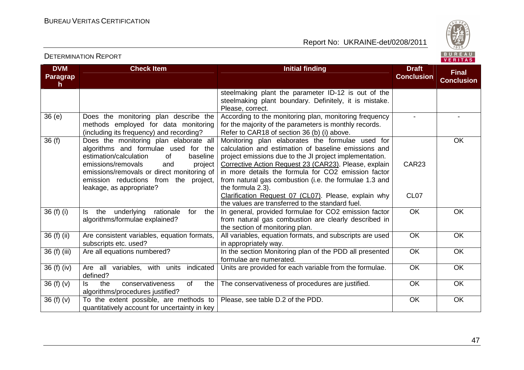

| <b>DVM</b><br><b>Paragrap</b><br>h | <b>Check Item</b>                                                                                                                                                                                                                                                                     | <b>Initial finding</b>                                                                                                                                                                                                                                                                                                                                             | <b>Draft</b><br><b>Conclusion</b> | <b>Final</b><br><b>Conclusion</b> |
|------------------------------------|---------------------------------------------------------------------------------------------------------------------------------------------------------------------------------------------------------------------------------------------------------------------------------------|--------------------------------------------------------------------------------------------------------------------------------------------------------------------------------------------------------------------------------------------------------------------------------------------------------------------------------------------------------------------|-----------------------------------|-----------------------------------|
|                                    |                                                                                                                                                                                                                                                                                       | steelmaking plant the parameter ID-12 is out of the<br>steelmaking plant boundary. Definitely, it is mistake.<br>Please, correct.                                                                                                                                                                                                                                  |                                   |                                   |
| 36 (e)                             | Does the monitoring plan describe the<br>methods employed for data monitoring<br>(including its frequency) and recording?                                                                                                                                                             | According to the monitoring plan, monitoring frequency<br>for the majority of the parameters is monthly records.<br>Refer to CAR18 of section 36 (b) (i) above.                                                                                                                                                                                                    |                                   |                                   |
| 36(f)                              | Does the monitoring plan elaborate all<br>algorithms and formulae used for the<br>estimation/calculation<br>baseline<br>of<br>emissions/removals<br>and<br>project<br>emissions/removals or direct monitoring of<br>emission reductions from the project,<br>leakage, as appropriate? | Monitoring plan elaborates the formulae used for<br>calculation and estimation of baseline emissions and<br>project emissions due to the JI project implementation.<br>Corrective Action Request 23 (CAR23). Please, explain<br>in more details the formula for CO2 emission factor<br>from natural gas combustion (i.e. the formulae 1.3 and<br>the formula 2.3). | CAR23                             | <b>OK</b>                         |
|                                    |                                                                                                                                                                                                                                                                                       | Clarification Request 07 (CL07). Please, explain why<br>the values are transferred to the standard fuel.                                                                                                                                                                                                                                                           | CL <sub>07</sub>                  |                                   |
| 36 (f) (i)                         | underlying rationale<br>the<br>for<br>ls.<br>the<br>algorithms/formulae explained?                                                                                                                                                                                                    | In general, provided formulae for CO2 emission factor<br>from natural gas combustion are clearly described in<br>the section of monitoring plan.                                                                                                                                                                                                                   | <b>OK</b>                         | <b>OK</b>                         |
| 36 (f) (ii)                        | Are consistent variables, equation formats,<br>subscripts etc. used?                                                                                                                                                                                                                  | All variables, equation formats, and subscripts are used<br>in appropriately way.                                                                                                                                                                                                                                                                                  | <b>OK</b>                         | <b>OK</b>                         |
| 36 (f) (iii)                       | Are all equations numbered?                                                                                                                                                                                                                                                           | In the section Monitoring plan of the PDD all presented<br>formulae are numerated.                                                                                                                                                                                                                                                                                 | <b>OK</b>                         | <b>OK</b>                         |
| 36 (f) (iv)                        | Are all variables, with units indicated<br>defined?                                                                                                                                                                                                                                   | Units are provided for each variable from the formulae.                                                                                                                                                                                                                                                                                                            | OK                                | <b>OK</b>                         |
| 36 (f) (v)                         | of<br>conservativeness<br>ls.<br>the<br>the<br>algorithms/procedures justified?                                                                                                                                                                                                       | The conservativeness of procedures are justified.                                                                                                                                                                                                                                                                                                                  | OK                                | <b>OK</b>                         |
| 36(f)(v)                           | To the extent possible, are methods to<br>quantitatively account for uncertainty in key                                                                                                                                                                                               | Please, see table D.2 of the PDD.                                                                                                                                                                                                                                                                                                                                  | OK                                | OK                                |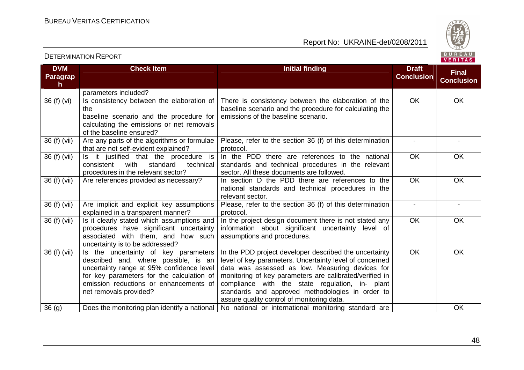

#### **DVM Paragraph Check Item Initial finding Check Item Initial finding Check Item Initial finding Check Item Initial finding Check Item Initial finding Check Item Initial finding Check Item Initial finding Check Item Initial finding Check Conclusion Final Conclusion**parameters included? 36 (f) (vi)  $\vert$  is consistency between the elaboration of the baseline scenario and the procedure for calculating the emissions or net removals of the baseline ensured? 36 (f) (vii)  $\vert$  Are any parts of the algorithms or formulae There is consistency between the elaboration of the baseline scenario and the procedure for calculating the emissions of the baseline scenario. OK OK that are not self-evident explained? 36 (f) (vii)  $\vert$  is it justified that the procedure is Please, refer to the section 36 (f) of this determination protocol. In the PDD there are references to the national - technical consistent with standard procedures in the relevant sector? Are references provided as necessary? standards and technical procedures in the relevant sector. All these documents are followed. 36 (f) (vii)  $\vert$  Are references provided as necessary?  $\vert$  In section D the PDD there are references to the OK OK national standards and technical procedures in the relevant sector. Please, refer to the section 36 (f) of this determination OK OK 36 (f) (vii) Are implicit and explicit key assumptions explained in a transparent manner? 36 (f) (vii)  $\vert$  is it clearly stated which assumptions and protocol. In the project design document there is not stated any - procedures have significant uncertainty associated with them, and how such uncertainty is to be addressed? 36 (f) (vii)  $\vert$  is the uncertainty of key parameters information about significant uncertainty level of assumptions and procedures. OK OK described and, where possible, is an uncertainty range at 95% confidence level for key parameters for the calculation of emission reductions or enhancements of net removals provided? In the PDD project developer described the uncertainty level of key parameters. Uncertainty level of concerned data was assessed as low. Measuring devices for monitoring of key parameters are calibrated/verified in compliance with the state regulation, in- plant standards and approved methodologies in order to assure quality control of monitoring data. 36 (g)  $\qquad$  Does the monitoring plan identify a national  $\mid$  No national or international monitoring standard are  $\mid$  OK OK OK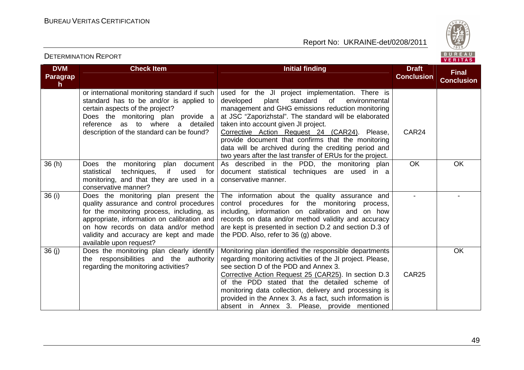

#### **DVM Paragraph Check Item Initial finding Check Item Initial finding Check Item Initial finding Check Item Initial finding Check Item Initial finding Check Item Initial finding Check Item Initial finding Check Item Initial finding Check Conclusion Final Conclusion**or international monitoring standard if such standard has to be and/or is applied to certain aspects of the project? Does the monitoring plan provide a reference as to where a detailed description of the standard can be found? used for the JI project implementation. There is environmental developed plant standard of management and GHG emissions reduction monitoring at JSC "Zaporizhstal". The standard will be elaborated taken into account given JI project. Corrective Action Request 24 (CAR24). Please, provide document that confirms that the monitoring data will be archived during the crediting period and two years after the last transfer of ERUs for the project. As described in the PDD, the monitoring plan CAR24 36 (h) Does the monitoring plan document for statistical techniques, if used monitoring, and that they are used in a conservative manner? 36 (i) Does the monitoring plan present the document statistical techniques are used in a conservative manner. OK OK quality assurance and control procedures for the monitoring process, including, as appropriate, information on calibration and on how records on data and/or method validity and accuracy are kept and made available upon request? 36 (j) Does the monitoring plan clearly identify The information about the quality assurance and control procedures for the monitoring process, including, information on calibration and on how records on data and/or method validity and accuracy are kept is presented in section D.2 and section D.3 of the PDD. Also, refer to 36 (g) above. - the responsibilities and the authority regarding the monitoring activities? Monitoring plan identified the responsible departments regarding monitoring activities of the JI project. Please, see section D of the PDD and Annex 3. Corrective Action Request 25 (CAR25). In section D.3 of the PDD stated that the detailed scheme of monitoring data collection, delivery and processing is provided in the Annex 3. As a fact, such information is absent in Annex 3. Please, provide mentioned CAR25 **OK**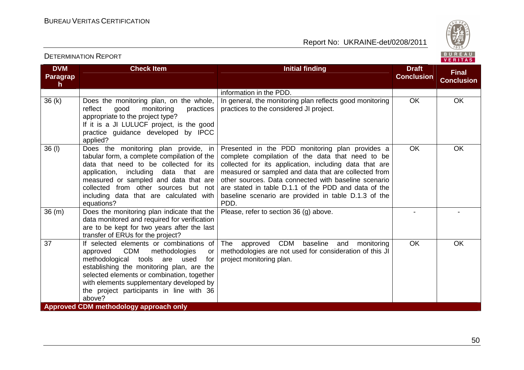DETERMINATION REPORT

Report No: UKRAINE-det/0208/2011



#### **DVM Paragraph Check Item Initial finding Check Item Initial finding Check Item Initial finding Check Item Initial finding Check Item Initial finding Check Item Initial finding Check Item Initial finding Check Item Initial finding Check Conclusion Final Conclusion**information in the PDD. In general, the monitoring plan reflects good monitoring  $36 (k)$  Does the monitoring plan, on the whole, reflect good monitoring practices appropriate to the project type? If it is a JI LULUCF project, is the good practice guidance developed by IPCC applied? 36 (l) Does the monitoring plan provide, in practices to the considered JI project. OK OK tabular form, a complete compilation of the data that need to be collected for its application, including data that are measured or sampled and data that are collected from other sources but not including data that are calculated with equations? 36 (m) Does the monitoring plan indicate that the Presented in the PDD monitoring plan provides a complete compilation of the data that need to be collected for its application, including data that are measured or sampled and data that are collected from other sources. Data connected with baseline scenario are stated in table D.1.1 of the PDD and data of the baseline scenario are provided in table D.1.3 of the PDD. Please, refer to section 36 (g) above. - - OK OK data monitored and required for verification are to be kept for two years after the last transfer of ERUs for the project? 37 If selected elements or combinations of approved CDM methodologies or for methodological tools are used establishing the monitoring plan, are the selected elements or combination, together with elements supplementary developed by the project participants in line with 36 above? **Approved CDM methodology approach only** The approved CDM baseline and monitoring methodologies are not used for consideration of this JI project monitoring plan. OK OK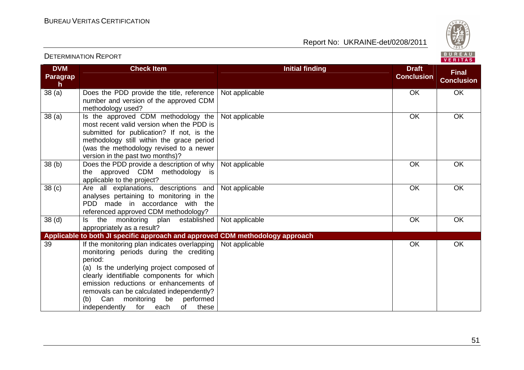DETERMINATION REPORT

Report No: UKRAINE-det/0208/2011



#### **DVM Paragraph**  $38(a)$ **Check Item Initial finding Check Item Initial finding Check Item Initial finding Check Item Initial finding Check Item Initial finding Check Item Initial finding Check Item Initial finding Check Item Initial finding Check Conclusion Final Conclusion**Does the PDD provide the title, reference number and version of the approved CDM methodology used? 38 (a) Is the approved CDM methodology the Not applicable a control of the OK OK OK OK most recent valid version when the PDD is submitted for publication? If not, is the methodology still within the grace period (was the methodology revised to a newer version in the past two months)? 38 (b) Does the PDD provide a description of why Not applicable OK OK OK the approved CDM methodology is applicable to the project? 38 (c) Are all explanations, descriptions and Not applicable **OK** OK OK analyses pertaining to monitoring in the PDD made in accordance with the referenced approved CDM methodology? 38 (d) Is the monitoring plan established Not applicable **OK** OK OK appropriately as a result? **Applicable to both JI specific approach and approved CDM methodology approach** Not applicable **OK** OK OK 39 If the monitoring plan indicates overlapping monitoring periods during the crediting period: (a) Is the underlying project composed of clearly identifiable components for which emission reductions or enhancements of removals can be calculated independently? (b) Can monitoring be performed these independently for each of Not applicable  $\overline{O}$  OK  $\overline{O}$  OK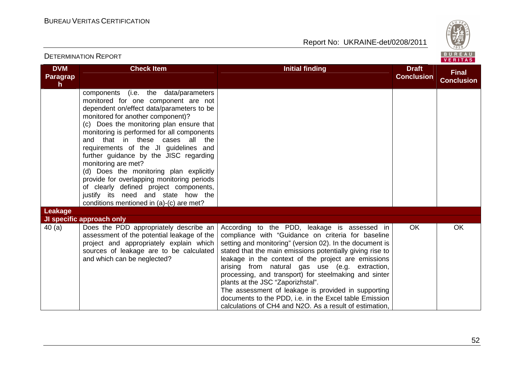

|                                               | <b>DETERMINATION REPORT</b>                                                                                                                                                                                                                                                                                                                                                                                                                                                                                                                                                                                               |                                                                                                                                                                                                                                                                                                                                                                                                                                                                                                                                                                                                                |                                   | BUREAU<br>VERITAS                 |
|-----------------------------------------------|---------------------------------------------------------------------------------------------------------------------------------------------------------------------------------------------------------------------------------------------------------------------------------------------------------------------------------------------------------------------------------------------------------------------------------------------------------------------------------------------------------------------------------------------------------------------------------------------------------------------------|----------------------------------------------------------------------------------------------------------------------------------------------------------------------------------------------------------------------------------------------------------------------------------------------------------------------------------------------------------------------------------------------------------------------------------------------------------------------------------------------------------------------------------------------------------------------------------------------------------------|-----------------------------------|-----------------------------------|
| <b>DVM</b><br><b>Paragrap</b><br>$\mathsf{h}$ | <b>Check Item</b>                                                                                                                                                                                                                                                                                                                                                                                                                                                                                                                                                                                                         | <b>Initial finding</b>                                                                                                                                                                                                                                                                                                                                                                                                                                                                                                                                                                                         | <b>Draft</b><br><b>Conclusion</b> | <b>Final</b><br><b>Conclusion</b> |
|                                               | components (i.e. the data/parameters<br>monitored for one component are not<br>dependent on/effect data/parameters to be<br>monitored for another component)?<br>(c) Does the monitoring plan ensure that<br>monitoring is performed for all components<br>and that in these cases all the<br>requirements of the JI guidelines and<br>further guidance by the JISC regarding<br>monitoring are met?<br>(d) Does the monitoring plan explicitly<br>provide for overlapping monitoring periods<br>of clearly defined project components,<br>justify its need and state how the<br>conditions mentioned in (a)-(c) are met? |                                                                                                                                                                                                                                                                                                                                                                                                                                                                                                                                                                                                                |                                   |                                   |
| Leakage                                       | JI specific approach only                                                                                                                                                                                                                                                                                                                                                                                                                                                                                                                                                                                                 |                                                                                                                                                                                                                                                                                                                                                                                                                                                                                                                                                                                                                |                                   |                                   |
| 40(a)                                         | Does the PDD appropriately describe an<br>assessment of the potential leakage of the<br>project and appropriately explain which<br>sources of leakage are to be calculated<br>and which can be neglected?                                                                                                                                                                                                                                                                                                                                                                                                                 | According to the PDD, leakage is assessed in<br>compliance with "Guidance on criteria for baseline<br>setting and monitoring" (version 02). In the document is<br>stated that the main emissions potentially giving rise to<br>leakage in the context of the project are emissions<br>arising from natural gas use (e.g. extraction,<br>processing, and transport) for steelmaking and sinter<br>plants at the JSC "Zaporizhstal".<br>The assessment of leakage is provided in supporting<br>documents to the PDD, i.e. in the Excel table Emission<br>calculations of CH4 and N2O. As a result of estimation, | OK.                               | <b>OK</b>                         |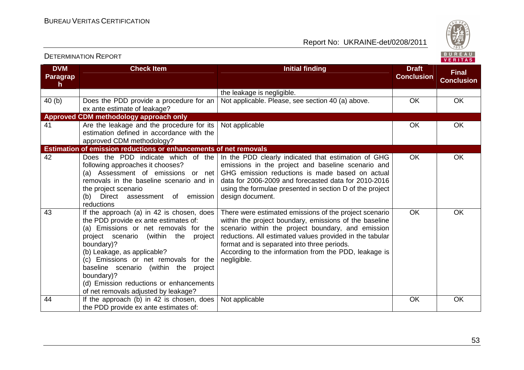

| <b>DVM</b>     | <b>Check Item</b>                                                                                                                                                                                                                                                                                                                                                                                         | <b>Initial finding</b>                                                                                                                                                                                                                                                                                                                                    | <b>Draft</b>      | <b>Final</b>      |
|----------------|-----------------------------------------------------------------------------------------------------------------------------------------------------------------------------------------------------------------------------------------------------------------------------------------------------------------------------------------------------------------------------------------------------------|-----------------------------------------------------------------------------------------------------------------------------------------------------------------------------------------------------------------------------------------------------------------------------------------------------------------------------------------------------------|-------------------|-------------------|
| Paragrap<br>h. |                                                                                                                                                                                                                                                                                                                                                                                                           |                                                                                                                                                                                                                                                                                                                                                           | <b>Conclusion</b> | <b>Conclusion</b> |
|                |                                                                                                                                                                                                                                                                                                                                                                                                           | the leakage is negligible.                                                                                                                                                                                                                                                                                                                                |                   |                   |
| 40(b)          | Does the PDD provide a procedure for an<br>ex ante estimate of leakage?                                                                                                                                                                                                                                                                                                                                   | Not applicable. Please, see section 40 (a) above.                                                                                                                                                                                                                                                                                                         | OK                | <b>OK</b>         |
|                | Approved CDM methodology approach only                                                                                                                                                                                                                                                                                                                                                                    |                                                                                                                                                                                                                                                                                                                                                           |                   |                   |
| 41             | Are the leakage and the procedure for its<br>estimation defined in accordance with the<br>approved CDM methodology?                                                                                                                                                                                                                                                                                       | Not applicable                                                                                                                                                                                                                                                                                                                                            | OK                | OK                |
|                | Estimation of emission reductions or enhancements of net removals                                                                                                                                                                                                                                                                                                                                         |                                                                                                                                                                                                                                                                                                                                                           |                   |                   |
| 42             | Does the PDD indicate which of the<br>following approaches it chooses?<br>(a) Assessment of emissions or net<br>removals in the baseline scenario and in<br>the project scenario<br>emission<br>Direct<br>(b)<br>assessment of<br>reductions                                                                                                                                                              | In the PDD clearly indicated that estimation of GHG<br>emissions in the project and baseline scenario and<br>GHG emission reductions is made based on actual<br>data for 2006-2009 and forecasted data for 2010-2016<br>using the formulae presented in section D of the project<br>design document.                                                      | <b>OK</b>         | <b>OK</b>         |
| 43             | If the approach (a) in 42 is chosen, does<br>the PDD provide ex ante estimates of:<br>(a) Emissions or net removals for the<br>(within the<br>project scenario<br>project<br>boundary)?<br>(b) Leakage, as applicable?<br>(c) Emissions or net removals for the<br>baseline scenario (within the project<br>boundary)?<br>(d) Emission reductions or enhancements<br>of net removals adjusted by leakage? | There were estimated emissions of the project scenario<br>within the project boundary, emissions of the baseline<br>scenario within the project boundary, and emission<br>reductions. All estimated values provided in the tabular<br>format and is separated into three periods.<br>According to the information from the PDD, leakage is<br>negligible. | OK                | OK                |
| 44             | If the approach (b) in 42 is chosen, does<br>the PDD provide ex ante estimates of:                                                                                                                                                                                                                                                                                                                        | Not applicable                                                                                                                                                                                                                                                                                                                                            | OK                | OK                |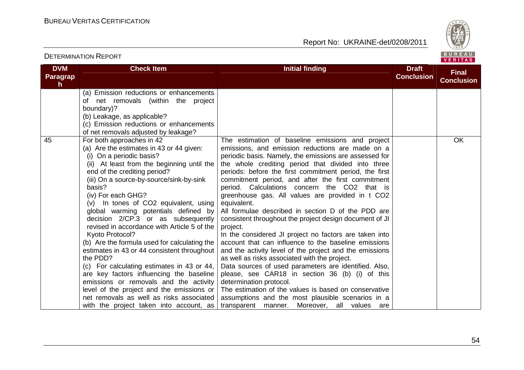DETERMINATION REPORT

Report No: UKRAINE-det/0208/2011



#### **DVM Paragraph Check Item Initial finding Check Item Initial finding Check Item Initial finding Initial finding Draft Conclusion Final Conclusion**(a) Emission reductions or enhancements of net removals (within the project boundary)? (b) Leakage, as applicable? (c) Emission reductions or enhancements of net removals adjusted by leakage? 45 For both approaches in 42 (a) Are the estimates in 43 or 44 given: (i) On a periodic basis? (ii) At least from the beginning until the end of the crediting period? (iii) On a source-by-source/sink-by-sink basis? (iv) For each GHG? (v) In tones of CO2 equivalent, using global warming potentials defined by decision 2/CP.3 or as subsequently revised in accordance with Article 5 of the Kyoto Protocol? (b) Are the formula used for calculating the estimates in 43 or 44 consistent throughout the PDD? (c) For calculating estimates in 43 or 44, are key factors influencing the baseline emissions or removals and the activity level of the project and the emissions or net removals as well as risks associated with the project taken into account, as The estimation of baseline emissions and project emissions, and emission reductions are made on a periodic basis. Namely, the emissions are assessed for the whole crediting period that divided into three periods: before the first commitment period, the first commitment period, and after the first commitment period. Calculations concern the CO2 that is greenhouse gas. All values are provided in t CO2 equivalent. All formulae described in section D of the PDD are consistent throughout the project design document of JI project. In the considered JI project no factors are taken into account that can influence to the baseline emissions and the activity level of the project and the emissions as well as risks associated with the project. Data sources of used parameters are identified. Also, please, see CAR18 in section 36 (b) (i) of this determination protocol. The estimation of the values is based on conservative assumptions and the most plausible scenarios in a transparent manner. Moreover, all values are **OK**

#### 54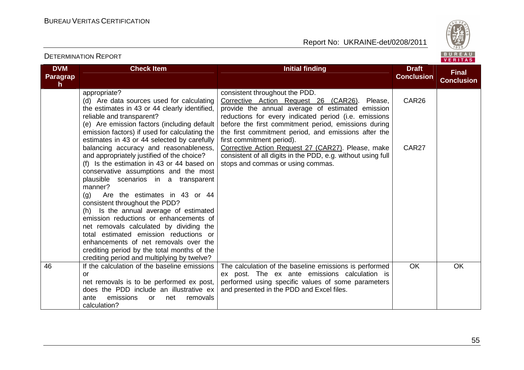

#### **DVM Paragraph Check Item Initial finding Check Item Initial finding Check Item Initial finding Check Item Initial finding Check Item Initial finding Check Item Initial finding Check Item Initial finding Check Item Initial finding Check Conclusion Final Conclusion**appropriate? (d) Are data sources used for calculating the estimates in 43 or 44 clearly identified, reliable and transparent? (e) Are emission factors (including default emission factors) if used for calculating the estimates in 43 or 44 selected by carefully balancing accuracy and reasonableness, and appropriately justified of the choice? (f) Is the estimation in 43 or 44 based on conservative assumptions and the most plausible scenarios in a transparent manner? (g) Are the estimates in 43 or 44 consistent throughout the PDD? (h) Is the annual average of estimated emission reductions or enhancements of net removals calculated by dividing the total estimated emission reductions or enhancements of net removals over the crediting period by the total months of the crediting period and multiplying by twelve? 46 **If the calculation of the baseline emissions** consistent throughout the PDD. Corrective Action Request 26 (CAR26). Please, provide the annual average of estimated emission reductions for every indicated period (i.e. emissions before the first commitment period, emissions during the first commitment period, and emissions after the first commitment period). Corrective Action Request 27 (CAR27). Please, make consistent of all digits in the PDD, e.g. without using full stops and commas or using commas. CAR26 CAR<sub>27</sub> or net removals is to be performed ex post, does the PDD include an illustrative ex removals ante emissions or net calculation? The calculation of the baseline emissions is performed ex post. The ex ante emissions calculation is performed using specific values of some parameters and presented in the PDD and Excel files. OK OK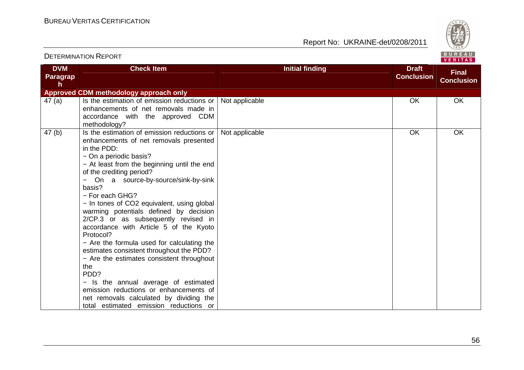

| <b>DVM</b>      | <b>Check Item</b>                                       | <b>Initial finding</b> | <b>Draft</b>      | <b>Final</b>      |
|-----------------|---------------------------------------------------------|------------------------|-------------------|-------------------|
| <b>Paragrap</b> |                                                         |                        | <b>Conclusion</b> | <b>Conclusion</b> |
| h               |                                                         |                        |                   |                   |
|                 | Approved CDM methodology approach only                  |                        |                   |                   |
| 47 $(a)$        | Is the estimation of emission reductions or             | Not applicable         | OK                | OK                |
|                 | enhancements of net removals made in                    |                        |                   |                   |
|                 | accordance with the approved CDM                        |                        |                   |                   |
|                 | methodology?                                            |                        |                   |                   |
| 47(b)           | Is the estimation of emission reductions or             | Not applicable         | OK                | OK                |
|                 | enhancements of net removals presented                  |                        |                   |                   |
|                 | in the PDD:                                             |                        |                   |                   |
|                 | - On a periodic basis?                                  |                        |                   |                   |
|                 | - At least from the beginning until the end             |                        |                   |                   |
|                 | of the crediting period?                                |                        |                   |                   |
|                 | On a source-by-source/sink-by-sink<br>$\qquad \qquad -$ |                        |                   |                   |
|                 | basis?                                                  |                        |                   |                   |
|                 | - For each GHG?                                         |                        |                   |                   |
|                 | - In tones of CO2 equivalent, using global              |                        |                   |                   |
|                 | warming potentials defined by decision                  |                        |                   |                   |
|                 | 2/CP.3 or as subsequently revised in                    |                        |                   |                   |
|                 | accordance with Article 5 of the Kyoto                  |                        |                   |                   |
|                 | Protocol?                                               |                        |                   |                   |
|                 | - Are the formula used for calculating the              |                        |                   |                   |
|                 | estimates consistent throughout the PDD?                |                        |                   |                   |
|                 | - Are the estimates consistent throughout<br>the        |                        |                   |                   |
|                 | PDD?                                                    |                        |                   |                   |
|                 | - Is the annual average of estimated                    |                        |                   |                   |
|                 | emission reductions or enhancements of                  |                        |                   |                   |
|                 | net removals calculated by dividing the                 |                        |                   |                   |
|                 | total estimated emission reductions or                  |                        |                   |                   |
|                 |                                                         |                        |                   |                   |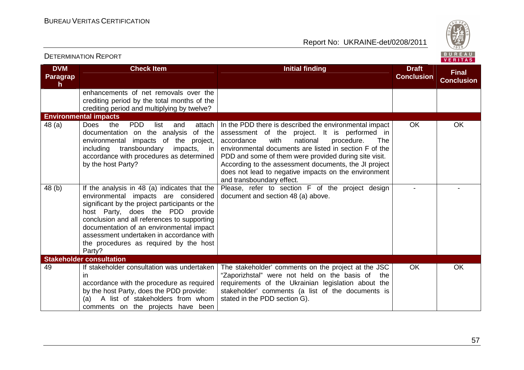DETERMINATION REPORT

Report No: UKRAINE-det/0208/2011



#### **DVM Paragraph Check Item Initial finding Check Item Initial finding Check Item Initial finding Check Item Initial finding Check Item Initial finding Check Item Initial finding Check Item Initial finding Check Item Initial finding Check Conclusion Final Conclusion**enhancements of net removals over the crediting period by the total months of the crediting period and multiplying by twelve? **Environmental impacts**  $48$  (a)  $\sqrt{ }$  Does the PDD list and documentation on the analysis of the environmental impacts of the project, including transboundary impacts, in accordance with procedures as determined by the host Party? attach  $\vert$  In the PDD there is described the environmental impact assessment of the project. It is performed in **The** accordance with national procedure. environmental documents are listed in section F of the PDD and some of them were provided during site visit. According to the assessment documents, the JI project does not lead to negative impacts on the environment and transboundary effect. Please, refer to section F of the project design OK OK 48 (b) If the analysis in 48 (a) indicates that the environmental impacts are considered significant by the project participants or the host Party, does the PDD provide conclusion and all references to supporting documentation of an environmental impact assessment undertaken in accordance with the procedures as required by the host Party? **Stakeholder consultation** document and section 48 (a) above. - - 49 **If stakeholder consultation was undertaken** in accordance with the procedure as required by the host Party, does the PDD provide: (a) A list of stakeholders from whom comments on the projects have been The stakeholder' comments on the project at the JSC "Zaporizhstal" were not held on the basis of the requirements of the Ukrainian legislation about the stakeholder' comments (a list of the documents is stated in the PDD section G). OK OK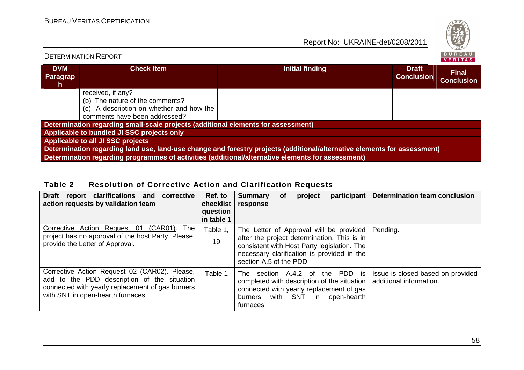

# DETERMINATION REPORT

| <b>DVM</b><br><b>Paragrap</b><br>n | <b>Check Item</b>                                                                                                        | Initial finding                                                                                   | <b>Draft</b><br><b>Conclusion</b> | <b>Final</b><br><b>Conclusion</b> |  |  |
|------------------------------------|--------------------------------------------------------------------------------------------------------------------------|---------------------------------------------------------------------------------------------------|-----------------------------------|-----------------------------------|--|--|
|                                    | received, if any?                                                                                                        |                                                                                                   |                                   |                                   |  |  |
|                                    | (b) The nature of the comments?                                                                                          |                                                                                                   |                                   |                                   |  |  |
|                                    | (c) A description on whether and how the                                                                                 |                                                                                                   |                                   |                                   |  |  |
|                                    | comments have been addressed?                                                                                            |                                                                                                   |                                   |                                   |  |  |
|                                    | Determination regarding small-scale projects (additional elements for assessment)                                        |                                                                                                   |                                   |                                   |  |  |
|                                    | Applicable to bundled JI SSC projects only                                                                               |                                                                                                   |                                   |                                   |  |  |
| Applicable to all JI SSC projects  |                                                                                                                          |                                                                                                   |                                   |                                   |  |  |
|                                    | Determination regarding land use, land-use change and forestry projects (additional/alternative elements for assessment) |                                                                                                   |                                   |                                   |  |  |
|                                    |                                                                                                                          | Determination regarding programmes of activities (additional/alternative elements for assessment) |                                   |                                   |  |  |

# **Table 2 Resolution of Corrective Action and Clarification Requests**

| <b>Draft</b><br>report clarifications and<br>corrective<br>action requests by validation team                                                                                         | Ref. to<br>checklist<br>question<br>in table 1 | participant<br>Determination team conclusion<br><b>Summary</b><br>project<br><b>of</b><br>response                                                                                                                                                  |
|---------------------------------------------------------------------------------------------------------------------------------------------------------------------------------------|------------------------------------------------|-----------------------------------------------------------------------------------------------------------------------------------------------------------------------------------------------------------------------------------------------------|
| Corrective Action Request 01<br>(CAR01). The<br>project has no approval of the host Party. Please,<br>provide the Letter of Approval.                                                 | Table 1,<br>19                                 | The Letter of Approval will be provided<br>Pending.<br>after the project determination. This is in<br>consistent with Host Party legislation. The<br>necessary clarification is provided in the<br>section A.5 of the PDD.                          |
| Corrective Action Request 02 (CAR02). Please,<br>add to the PDD description of the situation<br>connected with yearly replacement of gas burners<br>with SNT in open-hearth furnaces. | Table 1                                        | section A.4.2 of the PDD is<br>Issue is closed based on provided<br>The<br>additional information.<br>completed with description of the situation<br>connected with yearly replacement of gas<br>with SNT in<br>open-hearth<br>burners<br>furnaces. |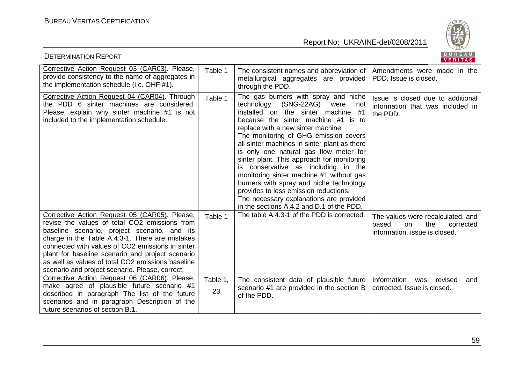

| <b>DETERMINATION REPORT</b>                                                                                                                                                                                                                                                                                                                                                                                       |                |                                                                                                                                                                                                                                                                                                                                                                                                                                                                                                                                                                                                                                                       | BUREAU<br>VERITAS                                                                                      |
|-------------------------------------------------------------------------------------------------------------------------------------------------------------------------------------------------------------------------------------------------------------------------------------------------------------------------------------------------------------------------------------------------------------------|----------------|-------------------------------------------------------------------------------------------------------------------------------------------------------------------------------------------------------------------------------------------------------------------------------------------------------------------------------------------------------------------------------------------------------------------------------------------------------------------------------------------------------------------------------------------------------------------------------------------------------------------------------------------------------|--------------------------------------------------------------------------------------------------------|
| Corrective Action Request 03 (CAR03). Please,<br>provide consistency to the name of aggregates in<br>the implementation schedule (i.e. OHF #1).                                                                                                                                                                                                                                                                   | Table 1        | The consistent names and abbreviation of<br>metallurgical aggregates are provided<br>through the PDD.                                                                                                                                                                                                                                                                                                                                                                                                                                                                                                                                                 | Amendments were made in the<br>PDD. Issue is closed.                                                   |
| Corrective Action Request 04 (CAR04). Through<br>the PDD 6 sinter machines are considered.<br>Please, explain why sinter machine #1 is not<br>included to the implementation schedule.                                                                                                                                                                                                                            | Table 1        | The gas burners with spray and niche<br>technology<br>(SNG-22AG)<br>were<br>not<br>installed on the sinter machine<br>#1<br>because the sinter machine #1 is to<br>replace with a new sinter machine.<br>The monitoring of GHG emission covers<br>all sinter machines in sinter plant as there<br>is only one natural gas flow meter for<br>sinter plant. This approach for monitoring<br>is conservative as including in the<br>monitoring sinter machine #1 without gas<br>burners with spray and niche technology<br>provides to less emission reductions.<br>The necessary explanations are provided<br>in the sections A.4.2 and D.1 of the PDD. | Issue is closed due to additional<br>information that was included in<br>the PDD.                      |
| Corrective Action Request 05 (CAR05). Please,<br>revise the values of total CO2 emissions from<br>baseline scenario, project scenario, and its<br>charge in the Table A.4.3-1. There are mistakes<br>connected with values of CO2 emissions in sinter<br>plant for baseline scenario and project scenario<br>as well as values of total CO2 emissions baseline<br>scenario and project scenario. Please, correct. | Table 1        | The table A.4.3-1 of the PDD is corrected.                                                                                                                                                                                                                                                                                                                                                                                                                                                                                                                                                                                                            | The values were recalculated, and<br>the<br>based<br>on.<br>corrected<br>information, issue is closed. |
| Corrective Action Request 06 (CAR06). Please,<br>make agree of plausible future scenario #1<br>described in paragraph The list of the future<br>scenarios and in paragraph Description of the<br>future scenarios of section B.1.                                                                                                                                                                                 | Table 1,<br>23 | The consistent data of plausible future   Information was revised<br>scenario #1 are provided in the section B<br>of the PDD.                                                                                                                                                                                                                                                                                                                                                                                                                                                                                                                         | and<br>corrected. Issue is closed.                                                                     |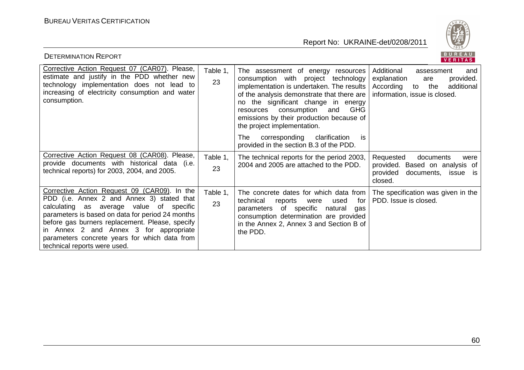

| <b>DETERMINATION REPORT</b>                                                                                                                                                                                                                                                                                                                                              |                |                                                                                                                                                                                                                                                                                                                                                                                                                                | BUREAU<br>VERITAS                                                                                                                        |
|--------------------------------------------------------------------------------------------------------------------------------------------------------------------------------------------------------------------------------------------------------------------------------------------------------------------------------------------------------------------------|----------------|--------------------------------------------------------------------------------------------------------------------------------------------------------------------------------------------------------------------------------------------------------------------------------------------------------------------------------------------------------------------------------------------------------------------------------|------------------------------------------------------------------------------------------------------------------------------------------|
| Corrective Action Request 07 (CAR07). Please,<br>estimate and justify in the PDD whether new<br>technology implementation does not lead to<br>increasing of electricity consumption and water<br>consumption.                                                                                                                                                            | Table 1.<br>23 | The assessment of energy resources<br>consumption with project technology<br>implementation is undertaken. The results<br>of the analysis demonstrate that there are<br>no the significant change in energy<br>consumption<br><b>GHG</b><br>and<br>resources<br>emissions by their production because of<br>the project implementation.<br>The<br>corresponding clarification<br>is<br>provided in the section B.3 of the PDD. | Additional<br>assessment<br>and<br>provided.<br>explanation<br>are<br>According to<br>the<br>additional<br>information, issue is closed. |
| Corrective Action Request 08 (CAR08). Please,<br>provide documents with historical data (i.e.<br>technical reports) for 2003, 2004, and 2005.                                                                                                                                                                                                                            | Table 1,<br>23 | The technical reports for the period 2003,<br>2004 and 2005 are attached to the PDD.                                                                                                                                                                                                                                                                                                                                           | Requested<br>documents<br>were<br>provided. Based on analysis of<br>provided<br>documents,<br>issue is<br>closed.                        |
| Corrective Action Request 09 (CAR09). In the<br>PDD (i.e. Annex 2 and Annex 3) stated that<br>calculating as average value of specific<br>parameters is based on data for period 24 months<br>before gas burners replacement. Please, specify<br>in Annex 2 and Annex 3 for appropriate<br>parameters concrete years for which data from<br>technical reports were used. | Table 1,<br>23 | The concrete dates for which data from<br>technical<br>for<br>used<br>reports<br>were<br>of specific<br>natural<br>parameters<br>gas<br>consumption determination are provided<br>in the Annex 2, Annex 3 and Section B of<br>the PDD.                                                                                                                                                                                         | The specification was given in the<br>PDD. Issue is closed.                                                                              |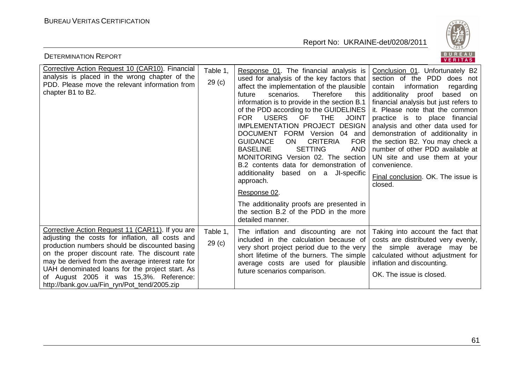

| <b>DETERMINATION REPORT</b>                                                                                                                                                                                                                                                                                                                                                                                 |                               |                                                                                                                                                                                                                                                                                                                                                                                                                                                                                                                                                                                                                                                                                                                                                                                   | BUREAU<br>VERITAS                                                                                                                                                                                                                                                                                                                                                                                                                                                                                          |
|-------------------------------------------------------------------------------------------------------------------------------------------------------------------------------------------------------------------------------------------------------------------------------------------------------------------------------------------------------------------------------------------------------------|-------------------------------|-----------------------------------------------------------------------------------------------------------------------------------------------------------------------------------------------------------------------------------------------------------------------------------------------------------------------------------------------------------------------------------------------------------------------------------------------------------------------------------------------------------------------------------------------------------------------------------------------------------------------------------------------------------------------------------------------------------------------------------------------------------------------------------|------------------------------------------------------------------------------------------------------------------------------------------------------------------------------------------------------------------------------------------------------------------------------------------------------------------------------------------------------------------------------------------------------------------------------------------------------------------------------------------------------------|
| Corrective Action Request 10 (CAR10). Financial<br>analysis is placed in the wrong chapter of the<br>PDD. Please move the relevant information from<br>chapter B1 to B2.                                                                                                                                                                                                                                    | Table 1.<br>29 <sub>(c)</sub> | Response 01. The financial analysis is<br>used for analysis of the key factors that<br>affect the implementation of the plausible<br>scenarios.<br>Therefore<br>future<br>this<br>information is to provide in the section B.1<br>of the PDD according to the GUIDELINES<br><b>FOR</b><br><b>USERS</b><br>OF<br><b>THE</b><br><b>JOINT</b><br>IMPLEMENTATION PROJECT DESIGN<br>DOCUMENT FORM Version 04 and<br><b>CRITERIA</b><br><b>FOR</b><br><b>GUIDANCE</b><br><b>ON</b><br><b>SETTING</b><br><b>BASELINE</b><br><b>AND</b><br>MONITORING Version 02. The section<br>B.2 contents data for demonstration of<br>JI-specific<br>additionality<br>based on a<br>approach.<br>Response 02.<br>The additionality proofs are presented in<br>the section B.2 of the PDD in the more | Conclusion 01. Unfortunately B2<br>section of the PDD does not<br>information<br>contain<br>regarding<br>additionality<br>proof<br>based on<br>financial analysis but just refers to<br>it. Please note that the common<br>practice is to place financial<br>analysis and other data used for<br>demonstration of additionality in<br>the section B2. You may check a<br>number of other PDD available at<br>UN site and use them at your<br>convenience.<br>Final conclusion. OK. The issue is<br>closed. |
| Corrective Action Request 11 (CAR11). If you are<br>adjusting the costs for inflation, all costs and<br>production numbers should be discounted basing<br>on the proper discount rate. The discount rate<br>may be derived from the average interest rate for<br>UAH denominated loans for the project start. As<br>of August 2005 it was 15,3%. Reference:<br>http://bank.gov.ua/Fin ryn/Pot tend/2005.zip | Table 1,<br>29 <sub>(c)</sub> | detailed manner.<br>The inflation and discounting are not<br>included in the calculation because of<br>very short project period due to the very<br>short lifetime of the burners. The simple<br>average costs are used for plausible<br>future scenarios comparison.                                                                                                                                                                                                                                                                                                                                                                                                                                                                                                             | Taking into account the fact that<br>costs are distributed very evenly,<br>the simple average may be<br>calculated without adjustment for<br>inflation and discounting.<br>OK. The issue is closed.                                                                                                                                                                                                                                                                                                        |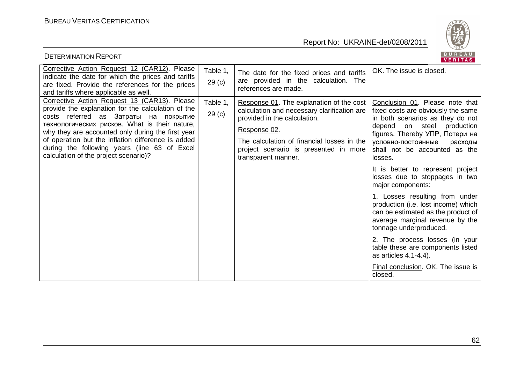

| DETERMINATION REPORT                                                                                                                                                                                                                                                                                                                                                                             |                               |                                                                                                                                                                                                                                                       | VERITAS                                                                                                                                                                                                                                                                                                                                                                                                                                                                                                                                                                                                                                                                          |
|--------------------------------------------------------------------------------------------------------------------------------------------------------------------------------------------------------------------------------------------------------------------------------------------------------------------------------------------------------------------------------------------------|-------------------------------|-------------------------------------------------------------------------------------------------------------------------------------------------------------------------------------------------------------------------------------------------------|----------------------------------------------------------------------------------------------------------------------------------------------------------------------------------------------------------------------------------------------------------------------------------------------------------------------------------------------------------------------------------------------------------------------------------------------------------------------------------------------------------------------------------------------------------------------------------------------------------------------------------------------------------------------------------|
| Corrective Action Request 12 (CAR12). Please<br>indicate the date for which the prices and tariffs<br>are fixed. Provide the references for the prices<br>and tariffs where applicable as well.                                                                                                                                                                                                  | Table 1,<br>29 <sub>(c)</sub> | The date for the fixed prices and tariffs<br>are provided in the calculation. The<br>references are made.                                                                                                                                             | OK. The issue is closed.                                                                                                                                                                                                                                                                                                                                                                                                                                                                                                                                                                                                                                                         |
| Corrective Action Request 13 (CAR13). Please<br>provide the explanation for the calculation of the<br>costs referred as Затраты на покрытие<br>технологических рисков. What is their nature,<br>why they are accounted only during the first year<br>of operation but the inflation difference is added<br>during the following years (line 63 of Excel<br>calculation of the project scenario)? | Table 1,<br>29 <sub>(c)</sub> | Response 01. The explanation of the cost<br>calculation and necessary clarification are<br>provided in the calculation.<br>Response 02.<br>The calculation of financial losses in the<br>project scenario is presented in more<br>transparent manner. | Conclusion 01. Please note that<br>fixed costs are obviously the same<br>in both scenarios as they do not<br>depend on steel production<br>figures. Thereby УПР, Потери на<br>условно-постоянные<br>расходы<br>shall not be accounted as the<br>losses.<br>It is better to represent project<br>losses due to stoppages in two<br>major components:<br>1. Losses resulting from under<br>production (i.e. lost income) which<br>can be estimated as the product of<br>average marginal revenue by the<br>tonnage underproduced.<br>2. The process losses (in your<br>table these are components listed<br>as articles 4.1-4.4).<br>Final conclusion. OK. The issue is<br>closed. |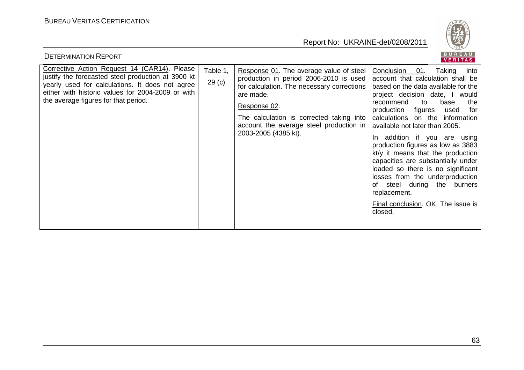

| <b>DETERMINATION REPORT</b>                                                                                                                                                                                                                        |                               |                                                                                                                                                                                                                                                                             | BUREAU<br><b>VERITAS</b>                                                                                                                                                                                                                                                                                                                                                                                                                                                                                                                                                                                                 |
|----------------------------------------------------------------------------------------------------------------------------------------------------------------------------------------------------------------------------------------------------|-------------------------------|-----------------------------------------------------------------------------------------------------------------------------------------------------------------------------------------------------------------------------------------------------------------------------|--------------------------------------------------------------------------------------------------------------------------------------------------------------------------------------------------------------------------------------------------------------------------------------------------------------------------------------------------------------------------------------------------------------------------------------------------------------------------------------------------------------------------------------------------------------------------------------------------------------------------|
| Corrective Action Request 14 (CAR14). Please<br>justify the forecasted steel production at 3900 kt<br>yearly used for calculations. It does not agree<br>either with historic values for 2004-2009 or with<br>the average figures for that period. | Table 1,<br>29 <sub>(c)</sub> | Response 01. The average value of steel<br>production in period 2006-2010 is used<br>for calculation. The necessary corrections<br>are made.<br>Response 02.<br>The calculation is corrected taking into<br>account the average steel production in<br>2003-2005 (4385 kt). | Conclusion<br>Taking<br>01.<br>into<br>account that calculation shall be<br>based on the data available for the<br>project decision date, I would<br>to<br>recommend<br>base<br>the<br>production figures<br>used<br>for<br>calculations on the information<br>available not later than 2005.<br>In addition if you are using<br>production figures as low as 3883<br>kt/y it means that the production<br>capacities are substantially under<br>loaded so there is no significant<br>losses from the underproduction<br>steel during the burners<br>of<br>replacement.<br>Final conclusion. OK. The issue is<br>closed. |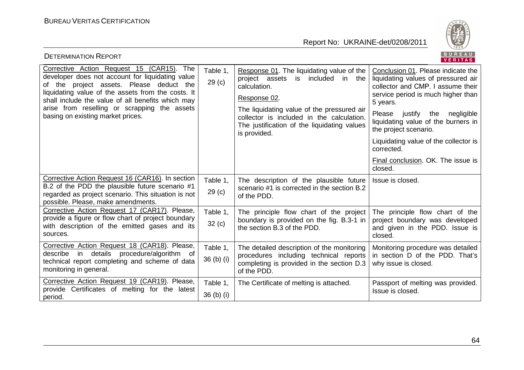

| <b>DETERMINATION REPORT</b>                                                                                                                                                                                                                                                                                                               |                               |                                                                                                                                                                                                                                                                                   | BUREAU<br><b>VERITAS</b>                                                                                                                                                                                                                                                                                                                                                     |
|-------------------------------------------------------------------------------------------------------------------------------------------------------------------------------------------------------------------------------------------------------------------------------------------------------------------------------------------|-------------------------------|-----------------------------------------------------------------------------------------------------------------------------------------------------------------------------------------------------------------------------------------------------------------------------------|------------------------------------------------------------------------------------------------------------------------------------------------------------------------------------------------------------------------------------------------------------------------------------------------------------------------------------------------------------------------------|
| Corrective Action Request 15 (CAR15). The<br>developer does not account for liquidating value<br>of the project assets. Please deduct the<br>liquidating value of the assets from the costs. It<br>shall include the value of all benefits which may<br>arise from reselling or scrapping the assets<br>basing on existing market prices. | Table 1.<br>29 <sub>(c)</sub> | Response 01. The liquidating value of the<br>included<br>project assets<br>is<br>in the<br>calculation.<br>Response 02.<br>The liquidating value of the pressured air<br>collector is included in the calculation.<br>The justification of the liquidating values<br>is provided. | Conclusion 01. Please indicate the<br>liquidating values of pressured air<br>collector and CMP. I assume their<br>service period is much higher than<br>5 years.<br>Please justify the<br>negligible<br>liquidating value of the burners in<br>the project scenario.<br>Liquidating value of the collector is<br>corrected.<br>Final conclusion. OK. The issue is<br>closed. |
| Corrective Action Request 16 (CAR16). In section<br>B.2 of the PDD the plausible future scenario #1<br>regarded as project scenario. This situation is not<br>possible. Please, make amendments.                                                                                                                                          | Table 1,<br>29 <sub>(c)</sub> | The description of the plausible future<br>scenario #1 is corrected in the section B.2<br>of the PDD.                                                                                                                                                                             | Issue is closed.                                                                                                                                                                                                                                                                                                                                                             |
| Corrective Action Request 17 (CAR17). Please,<br>provide a figure or flow chart of project boundary<br>with description of the emitted gases and its<br>sources.                                                                                                                                                                          | Table 1,<br>32(c)             | The principle flow chart of the project<br>boundary is provided on the fig. B.3-1 in<br>the section B.3 of the PDD.                                                                                                                                                               | The principle flow chart of the<br>project boundary was developed<br>and given in the PDD. Issue is<br>closed.                                                                                                                                                                                                                                                               |
| Corrective Action Request 18 (CAR18). Please,<br>describe in details procedure/algorithm of<br>technical report completing and scheme of data<br>monitoring in general.                                                                                                                                                                   | Table 1,<br>36 (b) (i)        | The detailed description of the monitoring<br>procedures including technical reports<br>completing is provided in the section D.3<br>of the PDD.                                                                                                                                  | Monitoring procedure was detailed<br>in section D of the PDD. That's<br>why issue is closed.                                                                                                                                                                                                                                                                                 |
| Corrective Action Request 19 (CAR19). Please,<br>provide Certificates of melting for the latest<br>period.                                                                                                                                                                                                                                | Table 1,<br>36 (b) (i)        | The Certificate of melting is attached.                                                                                                                                                                                                                                           | Passport of melting was provided.<br>Issue is closed.                                                                                                                                                                                                                                                                                                                        |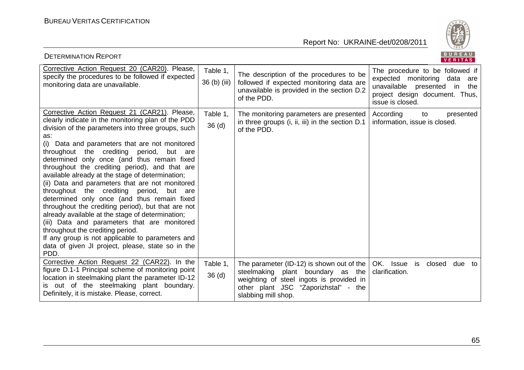

| <b>DETERMINATION REPORT</b>                                                                                                                                                                                                                                                                                                                                                                                                                                                                                                                                                                                                                                                                                                                                                                                                                                                                        |                               |                                                                                                                                                                                           | BUREAU<br><b>VERITAS</b>                                                                                                                                       |
|----------------------------------------------------------------------------------------------------------------------------------------------------------------------------------------------------------------------------------------------------------------------------------------------------------------------------------------------------------------------------------------------------------------------------------------------------------------------------------------------------------------------------------------------------------------------------------------------------------------------------------------------------------------------------------------------------------------------------------------------------------------------------------------------------------------------------------------------------------------------------------------------------|-------------------------------|-------------------------------------------------------------------------------------------------------------------------------------------------------------------------------------------|----------------------------------------------------------------------------------------------------------------------------------------------------------------|
| Corrective Action Request 20 (CAR20). Please,<br>specify the procedures to be followed if expected<br>monitoring data are unavailable.                                                                                                                                                                                                                                                                                                                                                                                                                                                                                                                                                                                                                                                                                                                                                             | Table 1,<br>36 (b) (iii)      | The description of the procedures to be<br>followed if expected monitoring data are<br>unavailable is provided in the section D.2<br>of the PDD.                                          | The procedure to be followed if<br>expected monitoring<br>data<br>are<br>unavailable presented in<br>the<br>project design document. Thus,<br>issue is closed. |
| Corrective Action Request 21 (CAR21). Please,<br>clearly indicate in the monitoring plan of the PDD<br>division of the parameters into three groups, such<br>as:<br>(i) Data and parameters that are not monitored<br>throughout the crediting<br>period,<br>but<br>are<br>determined only once (and thus remain fixed<br>throughout the crediting period), and that are<br>available already at the stage of determination;<br>(ii) Data and parameters that are not monitored<br>throughout the crediting<br>period,<br>but<br>are<br>determined only once (and thus remain fixed<br>throughout the crediting period), but that are not<br>already available at the stage of determination;<br>(iii) Data and parameters that are monitored<br>throughout the crediting period.<br>If any group is not applicable to parameters and<br>data of given JI project, please, state so in the<br>PDD. | Table 1,<br>36 <sub>(d)</sub> | The monitoring parameters are presented<br>in three groups (i, ii, iii) in the section D.1<br>of the PDD.                                                                                 | According<br>to<br>presented<br>information, issue is closed.                                                                                                  |
| Corrective Action Request 22 (CAR22). In the<br>figure D.1-1 Principal scheme of monitoring point<br>location in steelmaking plant the parameter ID-12<br>is out of the steelmaking plant boundary.<br>Definitely, it is mistake. Please, correct.                                                                                                                                                                                                                                                                                                                                                                                                                                                                                                                                                                                                                                                 | Table 1,<br>36 <sub>(d)</sub> | The parameter (ID-12) is shown out of the<br>steelmaking plant boundary as the<br>weighting of steel ingots is provided in<br>other plant JSC "Zaporizhstal" - the<br>slabbing mill shop. | OK. Issue<br>due<br>is<br>closed<br>to<br>clarification.                                                                                                       |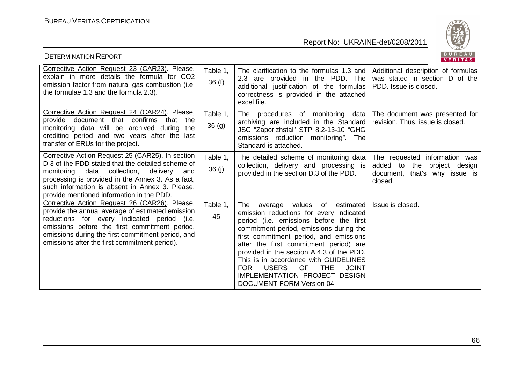

| <b>DETERMINATION REPORT</b>                                                                                                                                                                                                                                                                                 |                               |                                                                                                                                                                                                                                                                                                                                                                                                                                                                                            | BUREAU<br>VERITAS                                                                                              |
|-------------------------------------------------------------------------------------------------------------------------------------------------------------------------------------------------------------------------------------------------------------------------------------------------------------|-------------------------------|--------------------------------------------------------------------------------------------------------------------------------------------------------------------------------------------------------------------------------------------------------------------------------------------------------------------------------------------------------------------------------------------------------------------------------------------------------------------------------------------|----------------------------------------------------------------------------------------------------------------|
| Corrective Action Request 23 (CAR23). Please,<br>explain in more details the formula for CO2<br>emission factor from natural gas combustion (i.e.<br>the formulae 1.3 and the formula 2.3).                                                                                                                 | Table 1,<br>36(f)             | The clarification to the formulas 1.3 and<br>2.3 are provided in the PDD. The<br>additional justification of the formulas<br>correctness is provided in the attached<br>excel file.                                                                                                                                                                                                                                                                                                        | Additional description of formulas<br>was stated in section D of the<br>PDD. Issue is closed.                  |
| Corrective Action Request 24 (CAR24). Please,<br>provide document that confirms that<br>the<br>monitoring data will be archived during<br>the<br>crediting period and two years after the last<br>transfer of ERUs for the project.                                                                         | Table 1,<br>36 <sub>(g)</sub> | The procedures of monitoring data $\vert$ The document was presented for<br>archiving are included in the Standard<br>JSC "Zaporizhstal" STP 8.2-13-10 "GHG<br>emissions reduction monitoring". The<br>Standard is attached.                                                                                                                                                                                                                                                               | revision. Thus, issue is closed.                                                                               |
| Corrective Action Request 25 (CAR25). In section<br>D.3 of the PDD stated that the detailed scheme of<br>monitoring data collection,<br>delivery<br>and<br>processing is provided in the Annex 3. As a fact,<br>such information is absent in Annex 3. Please,<br>provide mentioned information in the PDD. | Table 1,<br>36 (j)            | The detailed scheme of monitoring data<br>collection, delivery and processing is<br>provided in the section D.3 of the PDD.                                                                                                                                                                                                                                                                                                                                                                | The requested information was<br>added to<br>the<br>project design<br>document, that's why issue is<br>closed. |
| Corrective Action Request 26 (CAR26). Please,<br>provide the annual average of estimated emission<br>reductions for every indicated period (i.e.<br>emissions before the first commitment period,<br>emissions during the first commitment period, and<br>emissions after the first commitment period).     | Table 1,<br>45                | average values of estimated<br>The<br>emission reductions for every indicated<br>period (i.e. emissions before the first<br>commitment period, emissions during the<br>first commitment period, and emissions<br>after the first commitment period) are<br>provided in the section A.4.3 of the PDD.<br>This is in accordance with GUIDELINES<br><b>JOINT</b><br><b>FOR</b><br><b>USERS</b><br><b>OF</b><br><b>THE</b><br>IMPLEMENTATION PROJECT DESIGN<br><b>DOCUMENT FORM Version 04</b> | Issue is closed.                                                                                               |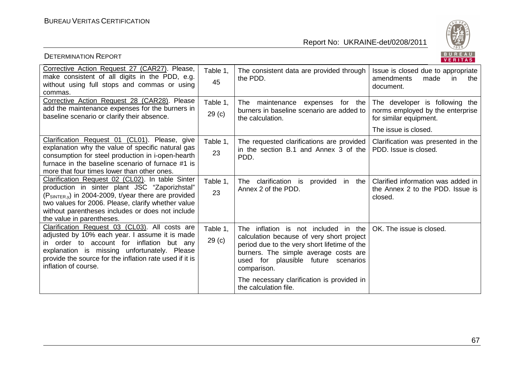

| <b>DETERMINATION REPORT</b>                                                                                                                                                                                                                                                                          |                               |                                                                                                                                                                                                                                  | BUREAU<br>VERITAS                                                                                                    |
|------------------------------------------------------------------------------------------------------------------------------------------------------------------------------------------------------------------------------------------------------------------------------------------------------|-------------------------------|----------------------------------------------------------------------------------------------------------------------------------------------------------------------------------------------------------------------------------|----------------------------------------------------------------------------------------------------------------------|
| Corrective Action Request 27 (CAR27). Please,<br>make consistent of all digits in the PDD, e.g.<br>without using full stops and commas or using<br>commas.                                                                                                                                           | Table 1.<br>45                | The consistent data are provided through<br>the PDD.                                                                                                                                                                             | Issue is closed due to appropriate<br>amendments<br>made<br>the<br>in.<br>document.                                  |
| Corrective Action Request 28 (CAR28). Please<br>add the maintenance expenses for the burners in<br>baseline scenario or clarify their absence.                                                                                                                                                       | Table 1,<br>29 <sub>(c)</sub> | The<br>maintenance expenses<br>for the<br>burners in baseline scenario are added to<br>the calculation.                                                                                                                          | The developer is following the<br>norms employed by the enterprise<br>for similar equipment.<br>The issue is closed. |
| Clarification Request 01 (CL01). Please, give<br>explanation why the value of specific natural gas<br>consumption for steel production in i-open-hearth<br>furnace in the baseline scenario of furnace #1 is<br>more that four times lower than other ones.                                          | Table 1.<br>23                | The requested clarifications are provided<br>in the section B.1 and Annex 3 of the<br>PDD.                                                                                                                                       | Clarification was presented in the<br>PDD. Issue is closed.                                                          |
| Clarification Request 02 (CL02). In table Sinter<br>production in sinter plant JSC "Zaporizhstal"<br>$(P_{SINTER.v})$ in 2004-2009, t/year there are provided<br>two values for 2006. Please, clarify whether value<br>without parentheses includes or does not include<br>the value in parentheses. | Table 1.<br>23                | clarification is<br>provided in the<br>The<br>Annex 2 of the PDD.                                                                                                                                                                | Clarified information was added in<br>the Annex 2 to the PDD. Issue is<br>closed.                                    |
| Clarification Request 03 (CL03). All costs are<br>adjusted by 10% each year. I assume it is made<br>in order to account for inflation but any<br>explanation is missing unfortunately. Please<br>provide the source for the inflation rate used if it is<br>inflation of course.                     | Table 1.<br>29 <sub>(c)</sub> | The inflation is not included in the<br>calculation because of very short project<br>period due to the very short lifetime of the<br>burners. The simple average costs are<br>used for plausible future scenarios<br>comparison. | OK. The issue is closed.                                                                                             |
|                                                                                                                                                                                                                                                                                                      |                               | The necessary clarification is provided in<br>the calculation file.                                                                                                                                                              |                                                                                                                      |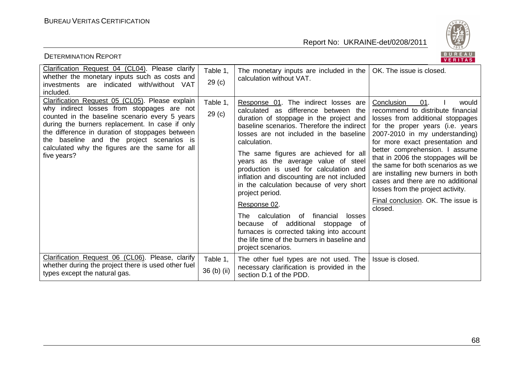

| <b>DETERMINATION REPORT</b>                                                                                                                                                                                                                                                                                                                                          |                               |                                                                                                                                                                                                                                                                                                                                                                                                                                                                                                                                                                                                                                                                                                       | BUREAU<br><b>VERITAS</b>                                                                                                                                                                                                                                                                                                                                                                                                                                                                   |
|----------------------------------------------------------------------------------------------------------------------------------------------------------------------------------------------------------------------------------------------------------------------------------------------------------------------------------------------------------------------|-------------------------------|-------------------------------------------------------------------------------------------------------------------------------------------------------------------------------------------------------------------------------------------------------------------------------------------------------------------------------------------------------------------------------------------------------------------------------------------------------------------------------------------------------------------------------------------------------------------------------------------------------------------------------------------------------------------------------------------------------|--------------------------------------------------------------------------------------------------------------------------------------------------------------------------------------------------------------------------------------------------------------------------------------------------------------------------------------------------------------------------------------------------------------------------------------------------------------------------------------------|
| Clarification Request 04 (CL04). Please clarify<br>whether the monetary inputs such as costs and<br>investments are indicated with/without VAT<br>included.                                                                                                                                                                                                          | Table 1,<br>29 <sub>(c)</sub> | The monetary inputs are included in the $ $<br>calculation without VAT.                                                                                                                                                                                                                                                                                                                                                                                                                                                                                                                                                                                                                               | OK. The issue is closed.                                                                                                                                                                                                                                                                                                                                                                                                                                                                   |
| Clarification Request 05 (CL05). Please explain<br>why indirect losses from stoppages are not<br>counted in the baseline scenario every 5 years<br>during the burners replacement. In case if only<br>the difference in duration of stoppages between<br>the baseline and the project scenarios is<br>calculated why the figures are the same for all<br>five years? | Table 1,<br>29 <sub>(c)</sub> | Response 01. The indirect losses are<br>calculated as<br>difference between the<br>duration of stoppage in the project and<br>baseline scenarios. Therefore the indirect<br>losses are not included in the baseline<br>calculation.<br>The same figures are achieved for all<br>years as the average value of steel<br>production is used for calculation and<br>inflation and discounting are not included<br>in the calculation because of very short<br>project period.<br>Response 02.<br>The calculation<br>0f<br>financial<br>losses<br>because of additional<br>stoppage of<br>furnaces is corrected taking into account<br>the life time of the burners in baseline and<br>project scenarios. | 01.<br>Conclusion<br>would<br>recommend to distribute financial<br>losses from additional stoppages<br>for the proper years (i.e. years<br>2007-2010 in my understanding)<br>for more exact presentation and<br>better comprehension. I assume<br>that in 2006 the stoppages will be<br>the same for both scenarios as we<br>are installing new burners in both<br>cases and there are no additional<br>losses from the project activity.<br>Final conclusion. OK. The issue is<br>closed. |
| Clarification Request 06 (CL06). Please, clarify<br>whether during the project there is used other fuel<br>types except the natural gas.                                                                                                                                                                                                                             | Table 1,<br>36 (b) (ii)       | The other fuel types are not used. The<br>necessary clarification is provided in the<br>section D.1 of the PDD.                                                                                                                                                                                                                                                                                                                                                                                                                                                                                                                                                                                       | Issue is closed.                                                                                                                                                                                                                                                                                                                                                                                                                                                                           |